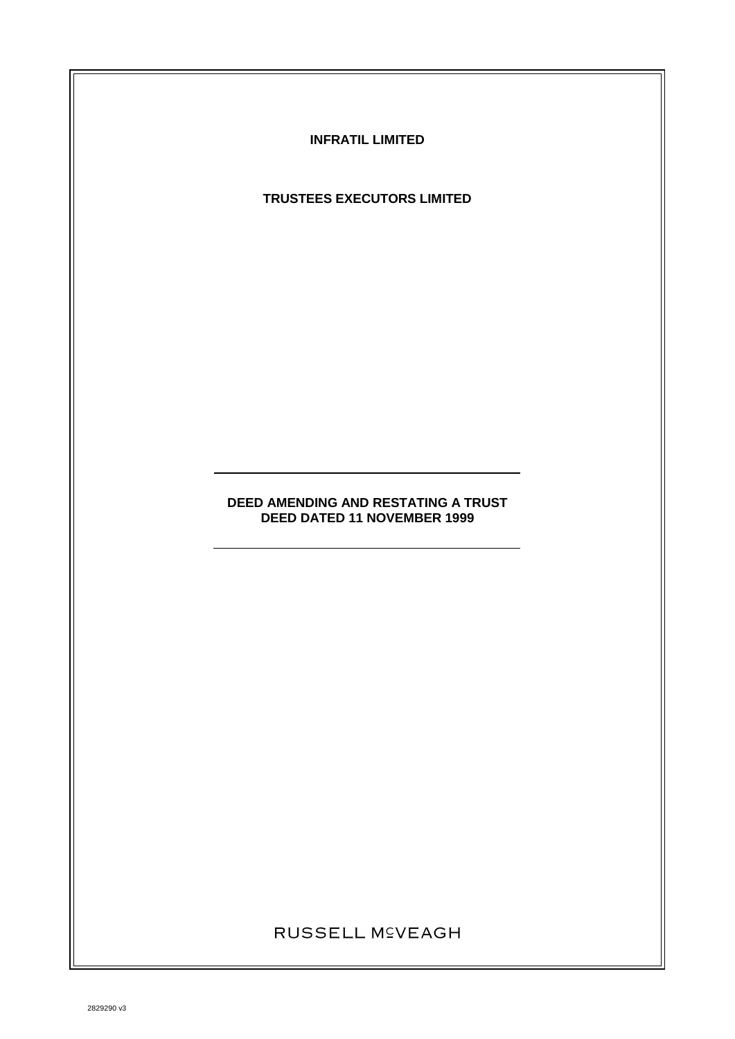**INFRATIL LIMITED**

**TRUSTEES EXECUTORS LIMITED**

# **DEED AMENDING AND RESTATING A TRUST DEED DATED 11 NOVEMBER 1999**

RUSSELL M<sup>C</sup>VEAGH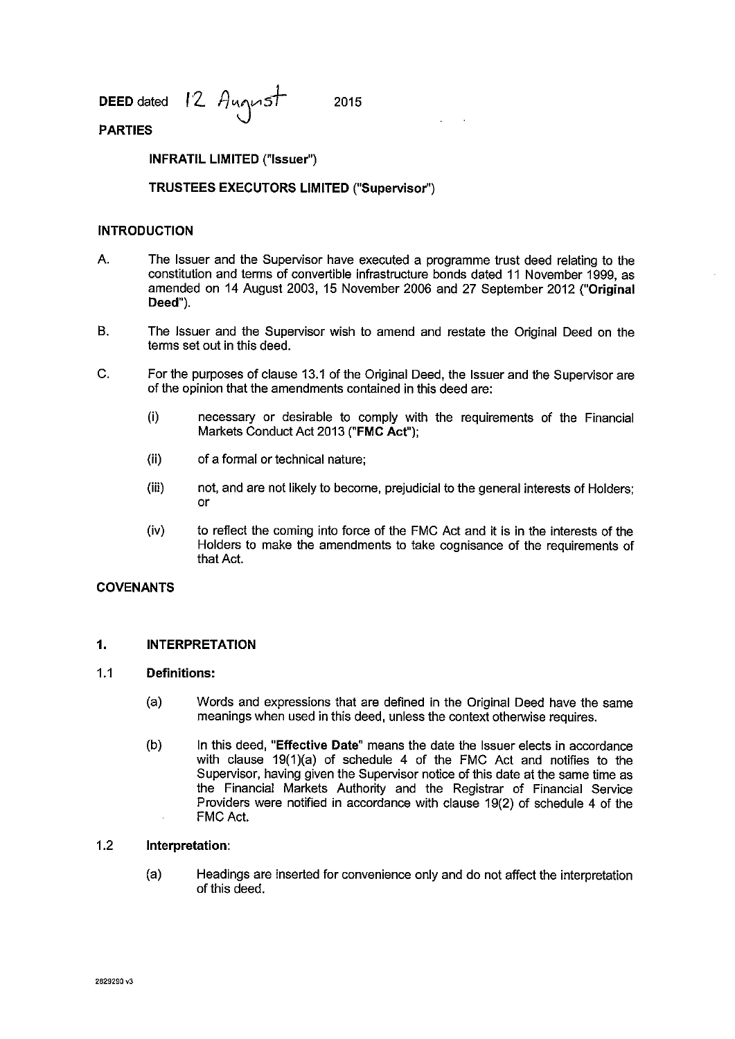**DEED** dated 12 August 2015

# **PARTIES**

**INFRATIL LIMITED ("Issuer")** 

# **TRUSTEES EXECUTORS LIMITED ("Supervisor")**

# **INTRODUCTION**

- A. The Issuer and the Supervisor have executed a programme trust deed relating to the constitution and terms of convertible infrastructure bonds dated 11 November 1999, as amended on 14 August 2003, 15 November 2006 and 27 September 2012 **("Original Deed").**
- B. The Issuer and the Supervisor wish to amend and restate the Original Deed on the terms set out in this deed.
- C. For the purposes of clause 13.1 of the Original Deed, the Issuer and the Supervisor are of the opinion that the amendments contained in this deed are:
	- (i) necessary or desirable to comply with the requirements of the Financial Markets Conduct Act 2013 **("FMC** Act");
	- (ii) of a formal or technical nature;
	- (iii) not, and are not likely to become, prejudicial to the general interests of Holders; or
	- (iv) to reflect the coming into force of the FMC Act and it is in the interests of the Holders to make the amendments to take cognisance of the requirements of that Act.

### **COVENANTS**

#### **1. INTERPRETATION**

#### 1.1 **Definitions:**

- (a) Words and expressions that are defined in the Original Deed have the same meanings when used in this deed, unless the context otherwise requires.
- (b) In this deed, **"Effective Date"** means the date the Issuer elects in accordance with clause 19(1)(a) of schedule 4 of the FMC Act and notifies to the Supervisor, having given the Supervisor notice of this date at the same time as the Financial Markets Authority and the Registrar of Financial Service Providers were notified in accordance with clause 19(2) of schedule 4 of the FMC Act.

#### 1.2 **Interpretation:**

(a) Headings are inserted for convenience only and do not affect the interpretation of this deed.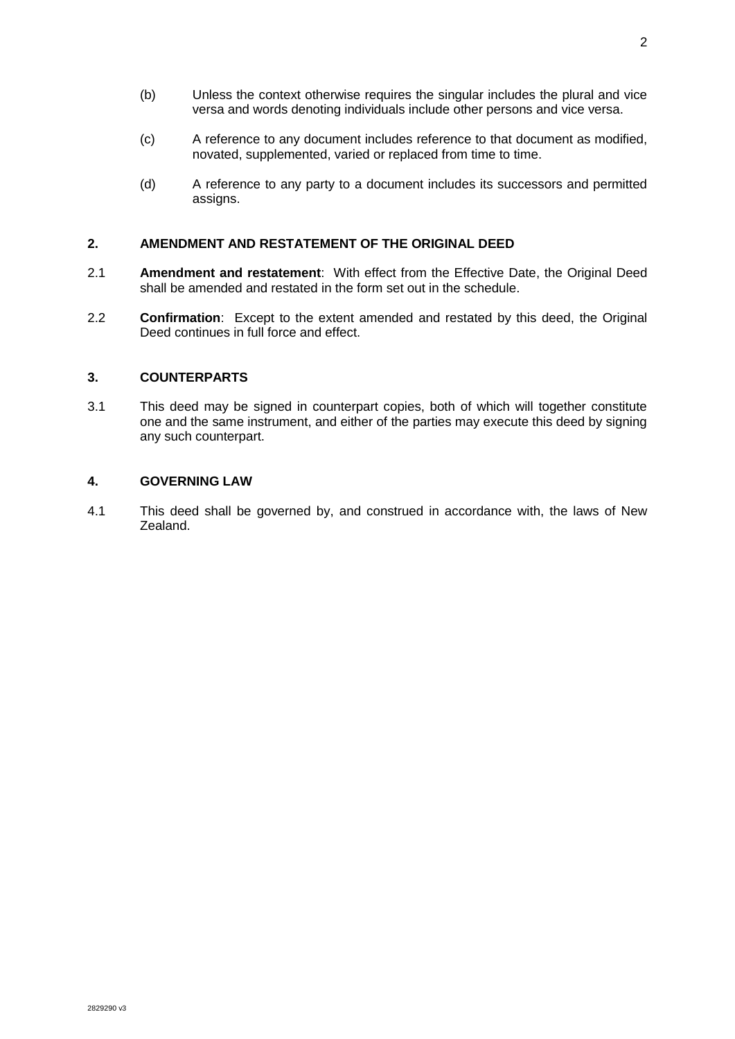- (b) Unless the context otherwise requires the singular includes the plural and vice versa and words denoting individuals include other persons and vice versa.
- (c) A reference to any document includes reference to that document as modified, novated, supplemented, varied or replaced from time to time.
- (d) A reference to any party to a document includes its successors and permitted assigns.

#### **2. AMENDMENT AND RESTATEMENT OF THE ORIGINAL DEED**

- 2.1 **Amendment and restatement**: With effect from the Effective Date, the Original Deed shall be amended and restated in the form set out in the schedule.
- 2.2 **Confirmation**: Except to the extent amended and restated by this deed, the Original Deed continues in full force and effect.

#### **3. COUNTERPARTS**

3.1 This deed may be signed in counterpart copies, both of which will together constitute one and the same instrument, and either of the parties may execute this deed by signing any such counterpart.

#### **4. GOVERNING LAW**

4.1 This deed shall be governed by, and construed in accordance with, the laws of New Zealand.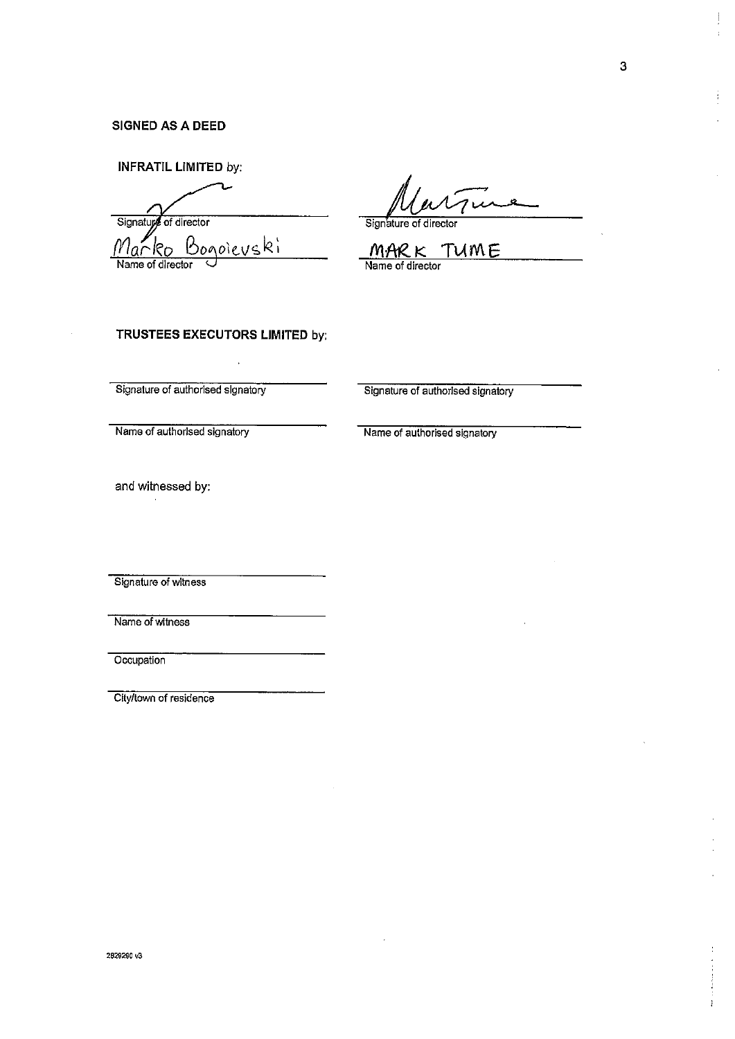## **SIGNED AS A DEED**

**INFRATIL LIMITED** by:

Signature of director Signature of director <u>Marko Bogoieuski</u>

Name of director

<u>MARK TUME</u> Name of director

#### **TRUSTEES EXECUTORS LIMITED** by:

Signature of authorised signatory Signature of authorised signatory

Name of authorised signatory Name of authorised signatory

and witnessed by:

Signature of witness

Name of witness

**Occupation** 

City/town of residence

 $\vdots$ 

 $\frac{1}{4}$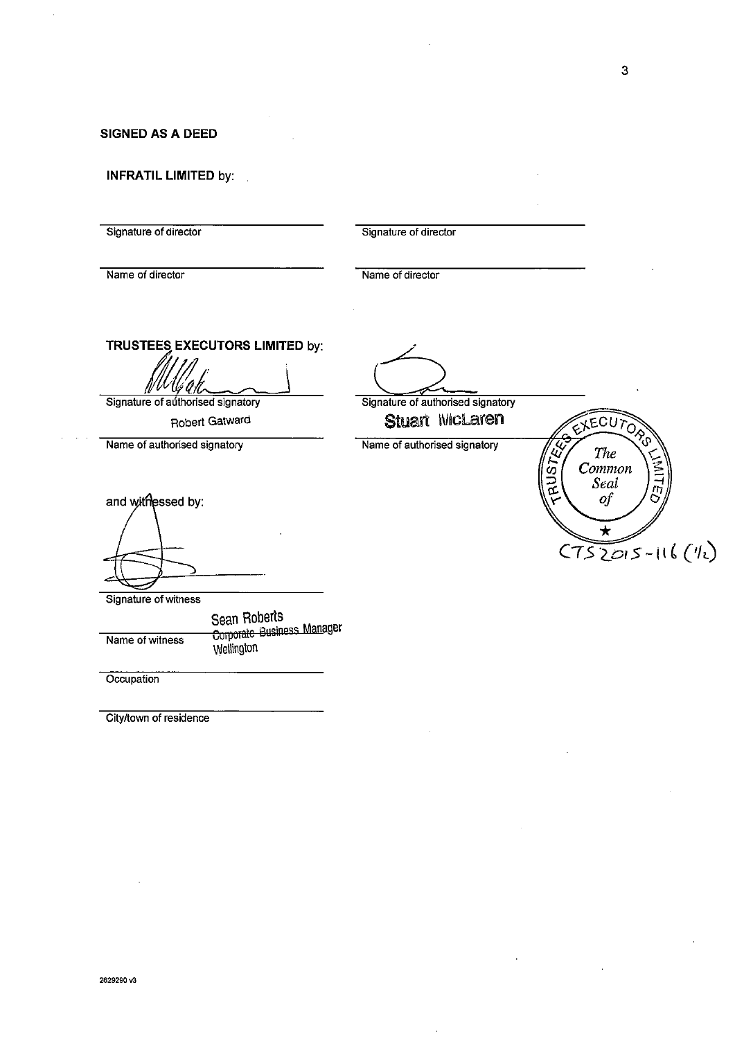**SIGNED AS A DEED** 

**INFRATIL LIMITED** by:

Signature of director Signature of director

Name of director Name of director

**TRUSTEES EXECUTORS LIMITED** by:

 $\sqrt{\frac{1}{\sqrt{\frac{1}{4}}}$ <br>Signature of authorised signatory

Robert Gatward

Signature of authorised signatory EXECUTOR Stuart McLaren **CAUSTER** Name of authorised signatory Name of authorised signatory The Common Seal  $of$  $\star$  $C752015-116(1)$ 

Signature of witness

and withessed by:

Name of witness Sean Roberts Corporate Business Manager Wellington

**Occupation** 

City/town of residence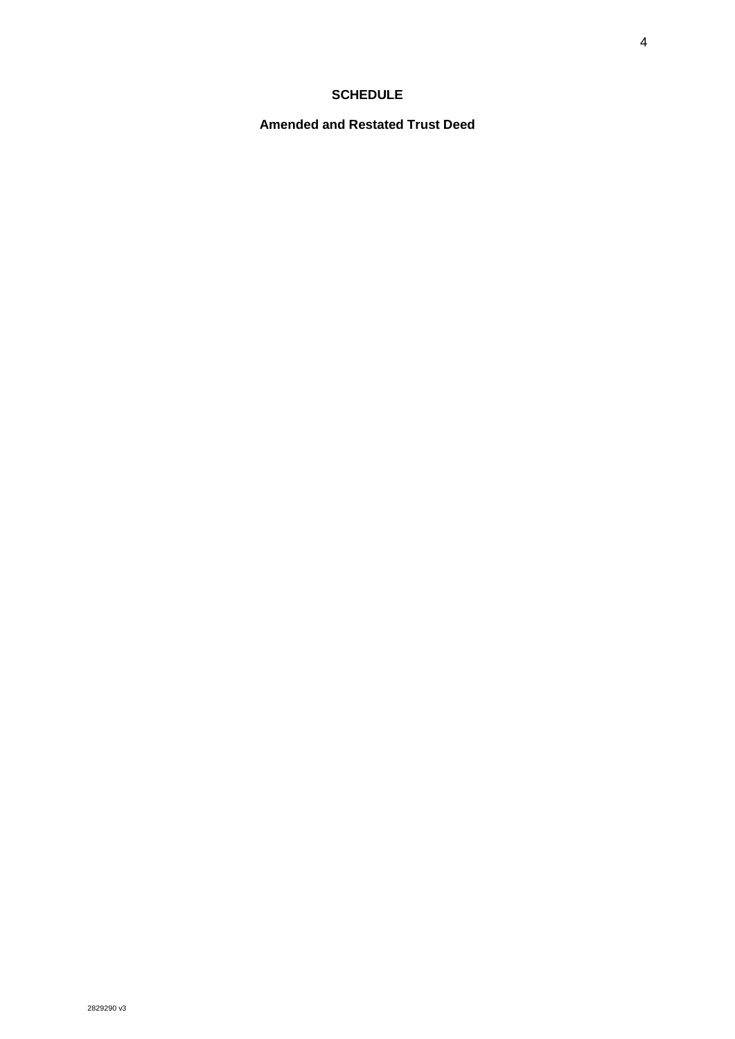# **SCHEDULE**

**Amended and Restated Trust Deed**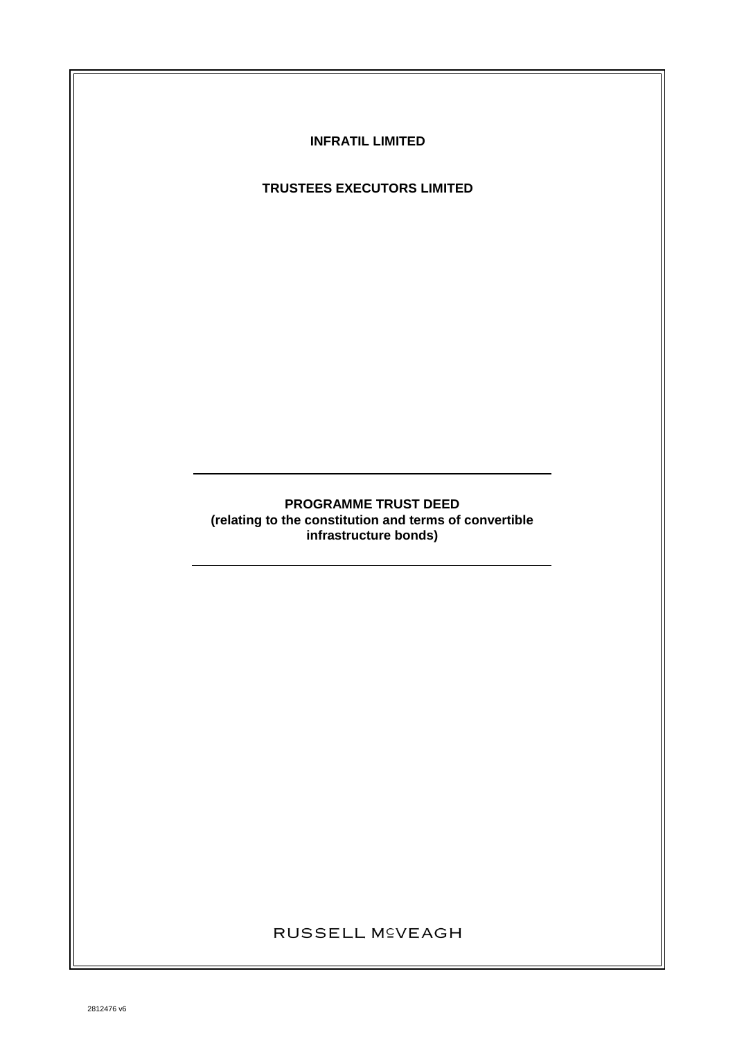

# **TRUSTEES EXECUTORS LIMITED**

# **PROGRAMME TRUST DEED (relating to the constitution and terms of convertible infrastructure bonds)**

# RUSSELL M<sup>C</sup>VEAGH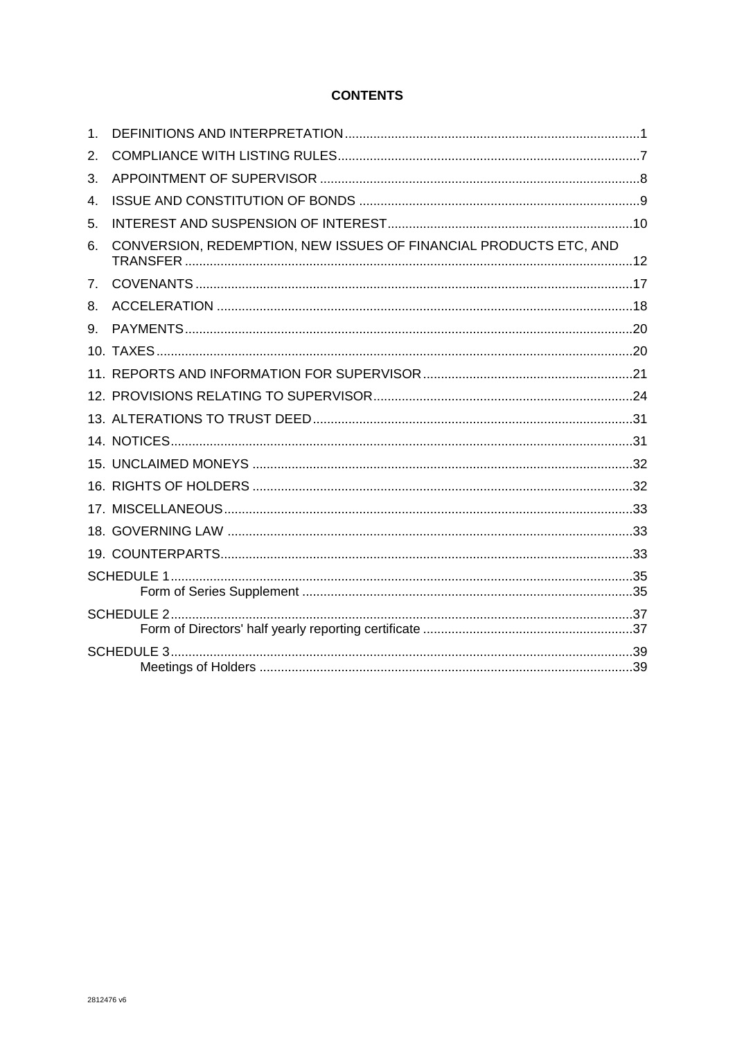# **CONTENTS**

| $\mathbf 1$ |                                                                   |  |  |
|-------------|-------------------------------------------------------------------|--|--|
| 2.          |                                                                   |  |  |
| 3.          |                                                                   |  |  |
| 4.          |                                                                   |  |  |
| 5.          |                                                                   |  |  |
| 6.          | CONVERSION, REDEMPTION, NEW ISSUES OF FINANCIAL PRODUCTS ETC, AND |  |  |
| 7.          |                                                                   |  |  |
| 8.          |                                                                   |  |  |
| 9.          |                                                                   |  |  |
|             |                                                                   |  |  |
|             |                                                                   |  |  |
|             |                                                                   |  |  |
|             |                                                                   |  |  |
|             |                                                                   |  |  |
|             |                                                                   |  |  |
|             |                                                                   |  |  |
|             |                                                                   |  |  |
|             |                                                                   |  |  |
|             |                                                                   |  |  |
|             |                                                                   |  |  |
|             |                                                                   |  |  |
|             |                                                                   |  |  |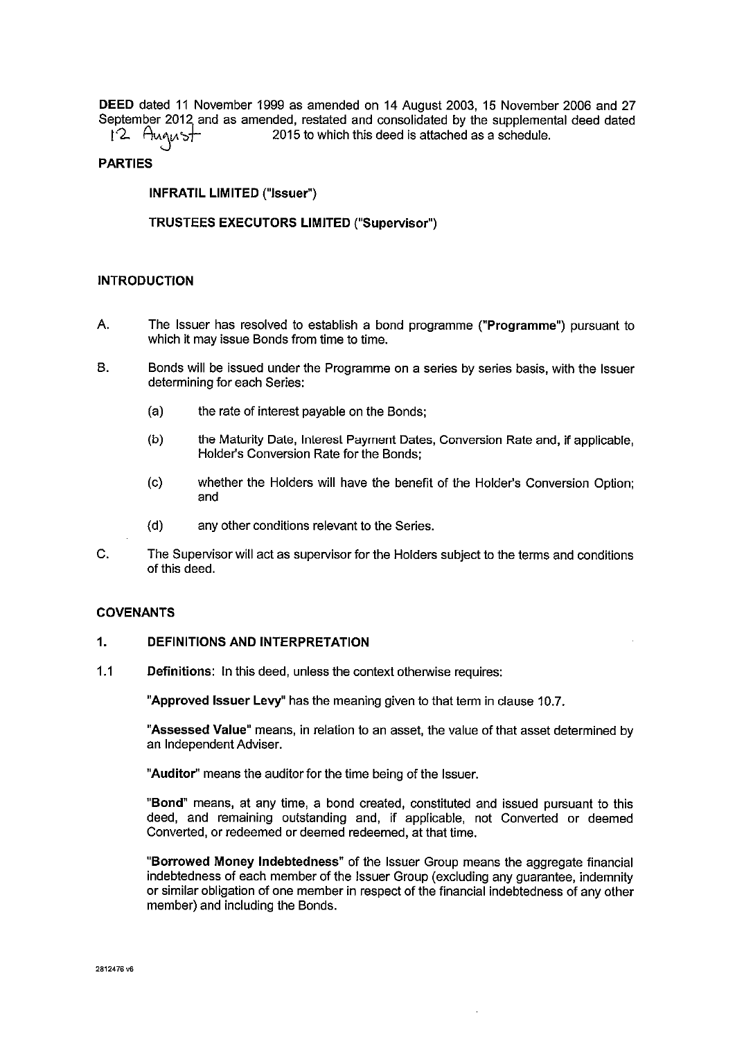**DEED** dated 11 November 1999 as amended on 14 August 2003, 15 November 2006 and 27 September 2012 and as amended, restated and consolidated by the supplemental deed dated  $12$ . August 2015 to which this deed is attached as a schedule.

# 2015 to which this deed is attached as a schedule.

# **PARTIES**

**INFRATIL LIMITED ("Issuer")** 

**TRUSTEES EXECUTORS LIMITED ("Supervisor")** 

# **INTRODUCTION**

- A. The Issuer has resolved to establish a bond programme **("Programme")** pursuant to which it may issue Bonds from time to time.
- B. Bonds will be issued under the Programme on a series by series basis, with the Issuer determining for each Series:
	- (a) the rate of interest payable on the Bonds;
	- (b) the Maturity Date, Interest Payment Dates, Conversion Rate and, if applicable, Holder's Conversion Rate for the Bonds;
	- (c) whether the Holders will have the benefit of the Holder's Conversion Option; and
	- (d) any other conditions relevant to the Series.
- C. The Supervisor will act as supervisor for the Holders subject to the terms and conditions of this deed.

### **COVENANTS**

## **1. DEFINITIONS AND INTERPRETATION**

1.1 **Definitions:** In this deed, unless the context otherwise requires:

**"Approved Issuer Levy"** has the meaning given to that term in clause 10.7.

**"Assessed Value"** means, in relation to an asset, the value of that asset determined by an Independent Adviser.

**"Auditor"** means the auditor for the time being of the Issuer.

**"Bond"** means, at any time, a bond created, constituted and issued pursuant to this deed, and remaining outstanding and, if applicable, not Converted or deemed Converted, or redeemed or deemed redeemed, at that time.

**"Borrowed Money Indebtedness"** of the Issuer Group means the aggregate financial indebtedness of each member of the Issuer Group (excluding any guarantee, indemnity or similar obligation of one member in respect of the financial indebtedness of any other member) and including the Bonds.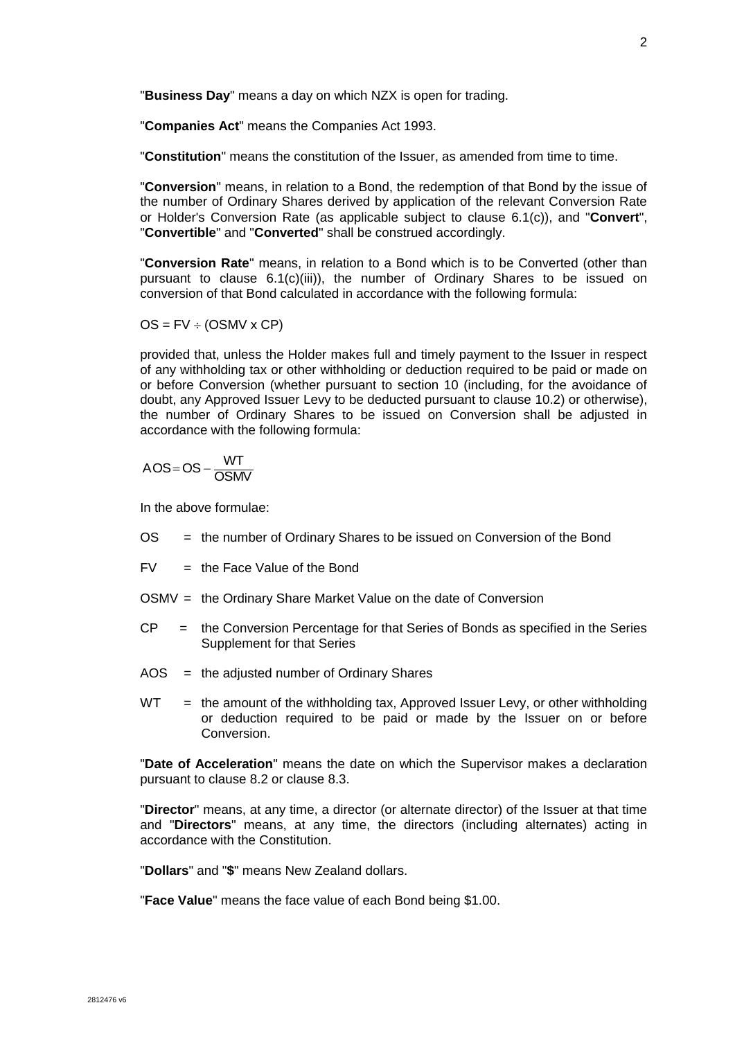"**Business Day**" means a day on which NZX is open for trading.

"**Companies Act**" means the Companies Act 1993.

"**Constitution**" means the constitution of the Issuer, as amended from time to time.

"**Conversion**" means, in relation to a Bond, the redemption of that Bond by the issue of the number of Ordinary Shares derived by application of the relevant Conversion Rate or Holder's Conversion Rate (as applicable subject to clause [6.1\(c\)\)](#page-19-0), and "**Convert**", "**Convertible**" and "**Converted**" shall be construed accordingly.

"**Conversion Rate**" means, in relation to a Bond which is to be Converted (other than pursuant to clause [6.1\(c\)\(iii\)\)](#page-20-0), the number of Ordinary Shares to be issued on conversion of that Bond calculated in accordance with the following formula:

 $OS = FV \div (OSMV \times CP)$ 

provided that, unless the Holder makes full and timely payment to the Issuer in respect of any withholding tax or other withholding or deduction required to be paid or made on or before Conversion (whether pursuant to section 10 (including, for the avoidance of doubt, any Approved Issuer Levy to be deducted pursuant to clause [10.2\)](#page-27-0) or otherwise), the number of Ordinary Shares to be issued on Conversion shall be adjusted in accordance with the following formula:

$$
AOS = OS - \frac{WT}{OSMV}
$$

In the above formulae:

- OS = the number of Ordinary Shares to be issued on Conversion of the Bond
- $FV =$  the Face Value of the Bond
- OSMV = the Ordinary Share Market Value on the date of Conversion
- $CP =$  the Conversion Percentage for that Series of Bonds as specified in the Series Supplement for that Series
- AOS = the adjusted number of Ordinary Shares
- $WT$  = the amount of the withholding tax, Approved Issuer Levy, or other withholding or deduction required to be paid or made by the Issuer on or before Conversion.

"**Date of Acceleration**" means the date on which the Supervisor makes a declaration pursuant to clause [8.2](#page-26-0) or clause [8.3.](#page-26-1)

"**Director**" means, at any time, a director (or alternate director) of the Issuer at that time and "**Directors**" means, at any time, the directors (including alternates) acting in accordance with the Constitution.

"**Dollars**" and "**\$**" means New Zealand dollars.

"**Face Value**" means the face value of each Bond being \$1.00.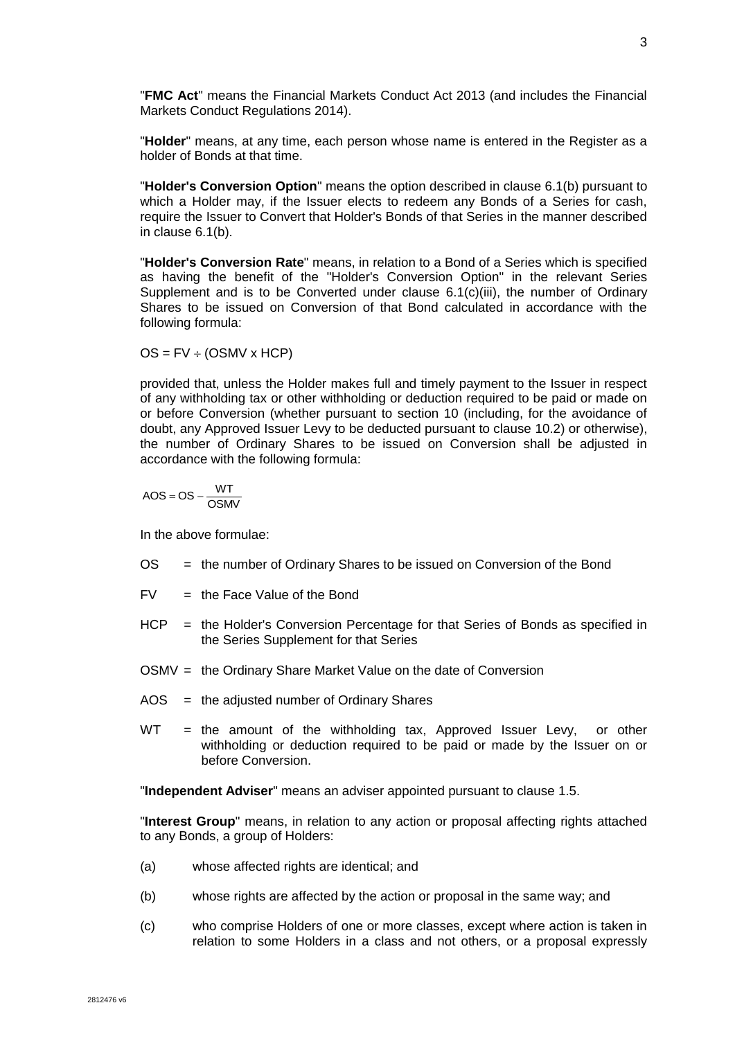"**FMC Act**" means the Financial Markets Conduct Act 2013 (and includes the Financial Markets Conduct Regulations 2014).

"**Holder**" means, at any time, each person whose name is entered in the Register as a holder of Bonds at that time.

"**Holder's Conversion Option**" means the option described in clause [6.1\(b\)](#page-19-1) pursuant to which a Holder may, if the Issuer elects to redeem any Bonds of a Series for cash, require the Issuer to Convert that Holder's Bonds of that Series in the manner described in clause [6.1\(b\).](#page-19-1)

"**Holder's Conversion Rate**" means, in relation to a Bond of a Series which is specified as having the benefit of the "Holder's Conversion Option" in the relevant Series Supplement and is to be Converted under clause [6.1\(c\)\(iii\),](#page-20-0) the number of Ordinary Shares to be issued on Conversion of that Bond calculated in accordance with the following formula:

 $OS = FV \div (OSMV \times HCP)$ 

provided that, unless the Holder makes full and timely payment to the Issuer in respect of any withholding tax or other withholding or deduction required to be paid or made on or before Conversion (whether pursuant to section 10 (including, for the avoidance of doubt, any Approved Issuer Levy to be deducted pursuant to clause [10.2\)](#page-27-0) or otherwise), the number of Ordinary Shares to be issued on Conversion shall be adjusted in accordance with the following formula:

$$
AOS=OS-\frac{WT}{OSMV}
$$

In the above formulae:

- OS = the number of Ordinary Shares to be issued on Conversion of the Bond
- $FV =$  the Face Value of the Bond
- HCP = the Holder's Conversion Percentage for that Series of Bonds as specified in the Series Supplement for that Series
- OSMV = the Ordinary Share Market Value on the date of Conversion
- AOS = the adjusted number of Ordinary Shares
- WT = the amount of the withholding tax, Approved Issuer Levy, or other withholding or deduction required to be paid or made by the Issuer on or before Conversion.

"**Independent Adviser**" means an adviser appointed pursuant to clause [1.5.](#page-14-0)

"**Interest Group**" means, in relation to any action or proposal affecting rights attached to any Bonds, a group of Holders:

- (a) whose affected rights are identical; and
- (b) whose rights are affected by the action or proposal in the same way; and
- (c) who comprise Holders of one or more classes, except where action is taken in relation to some Holders in a class and not others, or a proposal expressly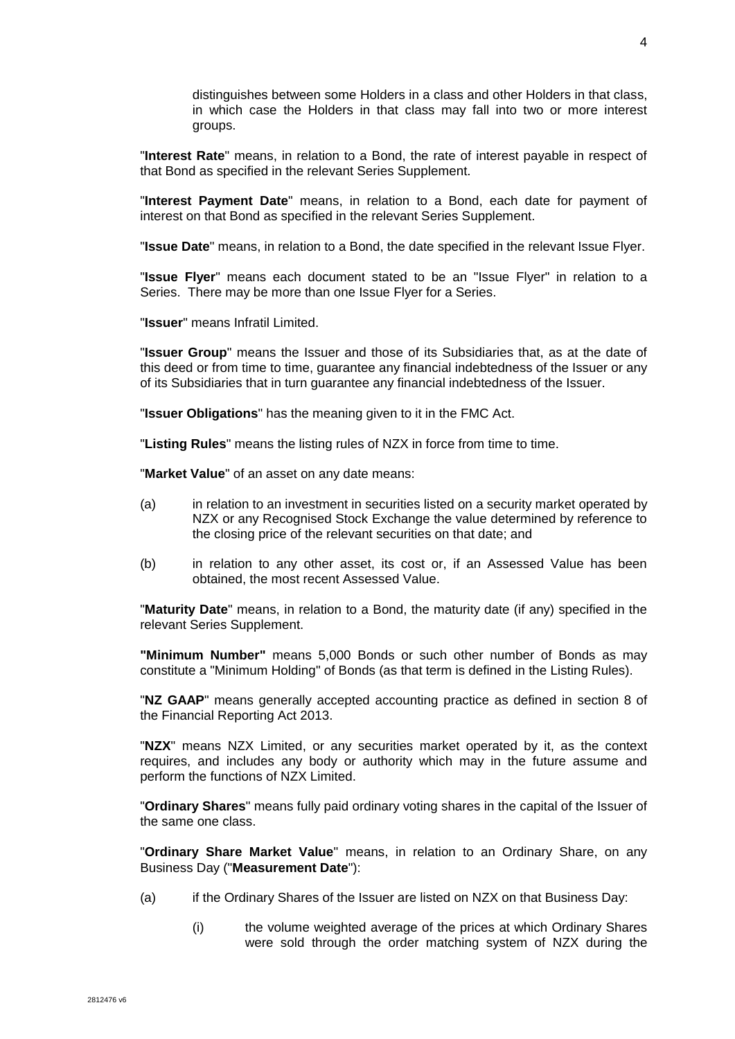distinguishes between some Holders in a class and other Holders in that class, in which case the Holders in that class may fall into two or more interest groups.

"**Interest Rate**" means, in relation to a Bond, the rate of interest payable in respect of that Bond as specified in the relevant Series Supplement.

"**Interest Payment Date**" means, in relation to a Bond, each date for payment of interest on that Bond as specified in the relevant Series Supplement.

"**Issue Date**" means, in relation to a Bond, the date specified in the relevant Issue Flyer.

"**Issue Flyer**" means each document stated to be an "Issue Flyer" in relation to a Series. There may be more than one Issue Flyer for a Series.

"**Issuer**" means Infratil Limited.

"**Issuer Group**" means the Issuer and those of its Subsidiaries that, as at the date of this deed or from time to time, guarantee any financial indebtedness of the Issuer or any of its Subsidiaries that in turn guarantee any financial indebtedness of the Issuer.

"**Issuer Obligations**" has the meaning given to it in the FMC Act.

"**Listing Rules**" means the listing rules of NZX in force from time to time.

"**Market Value**" of an asset on any date means:

- (a) in relation to an investment in securities listed on a security market operated by NZX or any Recognised Stock Exchange the value determined by reference to the closing price of the relevant securities on that date; and
- (b) in relation to any other asset, its cost or, if an Assessed Value has been obtained, the most recent Assessed Value.

"**Maturity Date**" means, in relation to a Bond, the maturity date (if any) specified in the relevant Series Supplement.

**"Minimum Number"** means 5,000 Bonds or such other number of Bonds as may constitute a "Minimum Holding" of Bonds (as that term is defined in the Listing Rules).

"**NZ GAAP**" means generally accepted accounting practice as defined in section 8 of the Financial Reporting Act 2013.

"**NZX**" means NZX Limited, or any securities market operated by it, as the context requires, and includes any body or authority which may in the future assume and perform the functions of NZX Limited.

"**Ordinary Shares**" means fully paid ordinary voting shares in the capital of the Issuer of the same one class.

"**Ordinary Share Market Value**" means, in relation to an Ordinary Share, on any Business Day ("**Measurement Date**"):

- (a) if the Ordinary Shares of the Issuer are listed on NZX on that Business Day:
	- (i) the volume weighted average of the prices at which Ordinary Shares were sold through the order matching system of NZX during the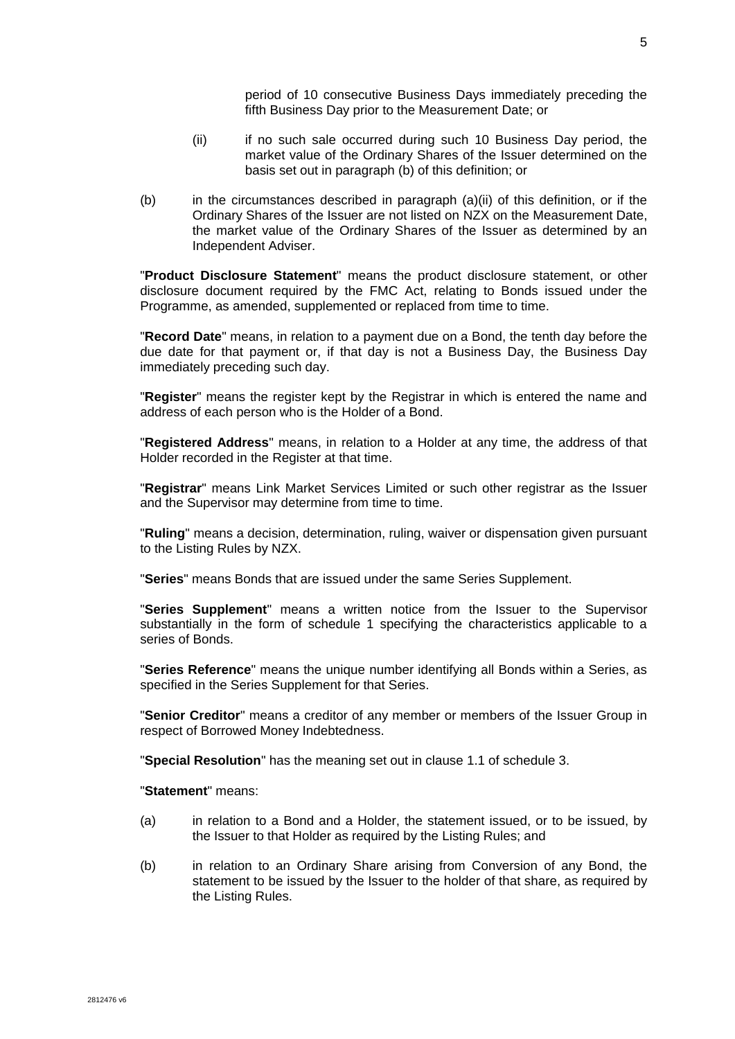5

period of 10 consecutive Business Days immediately preceding the fifth Business Day prior to the Measurement Date; or

- (ii) if no such sale occurred during such 10 Business Day period, the market value of the Ordinary Shares of the Issuer determined on the basis set out in paragraph (b) of this definition; or
- (b) in the circumstances described in paragraph (a)(ii) of this definition, or if the Ordinary Shares of the Issuer are not listed on NZX on the Measurement Date, the market value of the Ordinary Shares of the Issuer as determined by an Independent Adviser.

"**Product Disclosure Statement**" means the product disclosure statement, or other disclosure document required by the FMC Act, relating to Bonds issued under the Programme, as amended, supplemented or replaced from time to time.

"**Record Date**" means, in relation to a payment due on a Bond, the tenth day before the due date for that payment or, if that day is not a Business Day, the Business Day immediately preceding such day.

"**Register**" means the register kept by the Registrar in which is entered the name and address of each person who is the Holder of a Bond.

"**Registered Address**" means, in relation to a Holder at any time, the address of that Holder recorded in the Register at that time.

"**Registrar**" means Link Market Services Limited or such other registrar as the Issuer and the Supervisor may determine from time to time.

"**Ruling**" means a decision, determination, ruling, waiver or dispensation given pursuant to the Listing Rules by NZX.

"**Series**" means Bonds that are issued under the same Series Supplement.

"**Series Supplement**" means a written notice from the Issuer to the Supervisor substantially in the form of schedule 1 specifying the characteristics applicable to a series of Bonds.

"**Series Reference**" means the unique number identifying all Bonds within a Series, as specified in the Series Supplement for that Series.

"**Senior Creditor**" means a creditor of any member or members of the Issuer Group in respect of Borrowed Money Indebtedness.

"**Special Resolution**" has the meaning set out in clause 1.1 of schedule 3.

"**Statement**" means:

- (a) in relation to a Bond and a Holder, the statement issued, or to be issued, by the Issuer to that Holder as required by the Listing Rules; and
- (b) in relation to an Ordinary Share arising from Conversion of any Bond, the statement to be issued by the Issuer to the holder of that share, as required by the Listing Rules.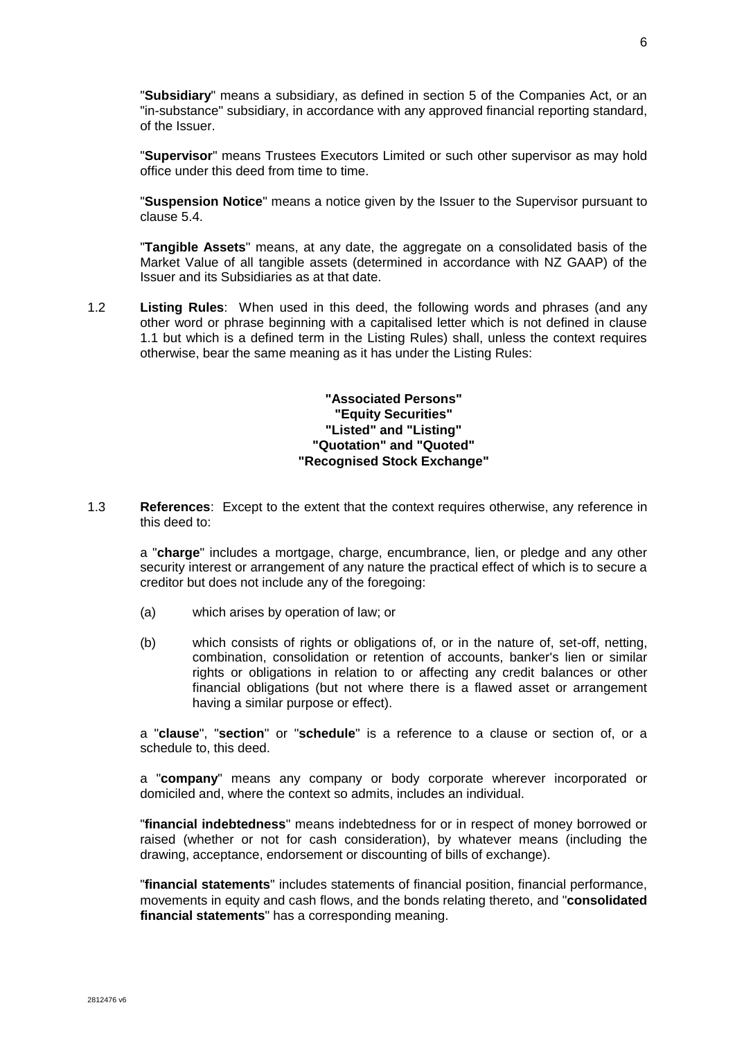"**Subsidiary**" means a subsidiary, as defined in section 5 of the Companies Act, or an "in-substance" subsidiary, in accordance with any approved financial reporting standard, of the Issuer.

"**Supervisor**" means Trustees Executors Limited or such other supervisor as may hold office under this deed from time to time.

"**Suspension Notice**" means a notice given by the Issuer to the Supervisor pursuant to clause [5.4.](#page-18-0)

"**Tangible Assets**" means, at any date, the aggregate on a consolidated basis of the Market Value of all tangible assets (determined in accordance with NZ GAAP) of the Issuer and its Subsidiaries as at that date.

1.2 **Listing Rules**: When used in this deed, the following words and phrases (and any other word or phrase beginning with a capitalised letter which is not defined in clause 1.1 but which is a defined term in the Listing Rules) shall, unless the context requires otherwise, bear the same meaning as it has under the Listing Rules:

> **"Associated Persons" "Equity Securities" "Listed" and "Listing" "Quotation" and "Quoted" "Recognised Stock Exchange"**

1.3 **References**: Except to the extent that the context requires otherwise, any reference in this deed to:

a "**charge**" includes a mortgage, charge, encumbrance, lien, or pledge and any other security interest or arrangement of any nature the practical effect of which is to secure a creditor but does not include any of the foregoing:

- (a) which arises by operation of law; or
- (b) which consists of rights or obligations of, or in the nature of, set-off, netting, combination, consolidation or retention of accounts, banker's lien or similar rights or obligations in relation to or affecting any credit balances or other financial obligations (but not where there is a flawed asset or arrangement having a similar purpose or effect).

a "**clause**", "**section**" or "**schedule**" is a reference to a clause or section of, or a schedule to, this deed.

a "**company**" means any company or body corporate wherever incorporated or domiciled and, where the context so admits, includes an individual.

"**financial indebtedness**" means indebtedness for or in respect of money borrowed or raised (whether or not for cash consideration), by whatever means (including the drawing, acceptance, endorsement or discounting of bills of exchange).

"**financial statements**" includes statements of financial position, financial performance, movements in equity and cash flows, and the bonds relating thereto, and "**consolidated financial statements**" has a corresponding meaning.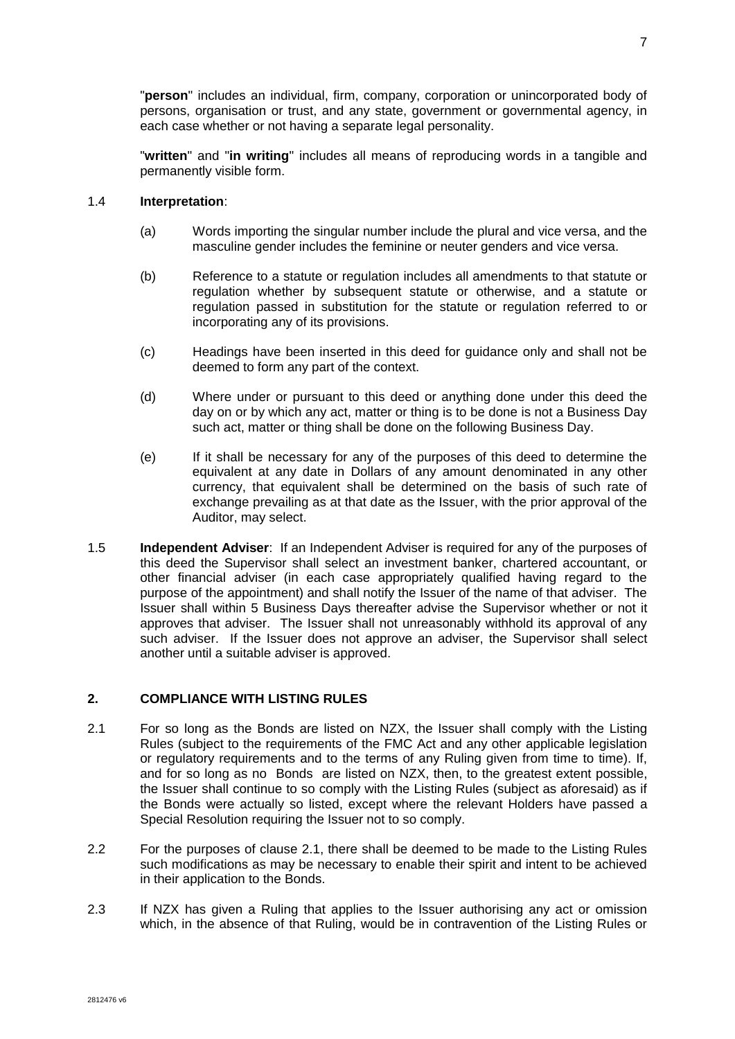"**person**" includes an individual, firm, company, corporation or unincorporated body of persons, organisation or trust, and any state, government or governmental agency, in each case whether or not having a separate legal personality.

"**written**" and "**in writing**" includes all means of reproducing words in a tangible and permanently visible form.

### 1.4 **Interpretation**:

- (a) Words importing the singular number include the plural and vice versa, and the masculine gender includes the feminine or neuter genders and vice versa.
- (b) Reference to a statute or regulation includes all amendments to that statute or regulation whether by subsequent statute or otherwise, and a statute or regulation passed in substitution for the statute or regulation referred to or incorporating any of its provisions.
- (c) Headings have been inserted in this deed for guidance only and shall not be deemed to form any part of the context.
- (d) Where under or pursuant to this deed or anything done under this deed the day on or by which any act, matter or thing is to be done is not a Business Day such act, matter or thing shall be done on the following Business Day.
- (e) If it shall be necessary for any of the purposes of this deed to determine the equivalent at any date in Dollars of any amount denominated in any other currency, that equivalent shall be determined on the basis of such rate of exchange prevailing as at that date as the Issuer, with the prior approval of the Auditor, may select.
- <span id="page-14-0"></span>1.5 **Independent Adviser**: If an Independent Adviser is required for any of the purposes of this deed the Supervisor shall select an investment banker, chartered accountant, or other financial adviser (in each case appropriately qualified having regard to the purpose of the appointment) and shall notify the Issuer of the name of that adviser. The Issuer shall within 5 Business Days thereafter advise the Supervisor whether or not it approves that adviser. The Issuer shall not unreasonably withhold its approval of any such adviser. If the Issuer does not approve an adviser, the Supervisor shall select another until a suitable adviser is approved.

# **2. COMPLIANCE WITH LISTING RULES**

- <span id="page-14-1"></span>2.1 For so long as the Bonds are listed on NZX, the Issuer shall comply with the Listing Rules (subject to the requirements of the FMC Act and any other applicable legislation or regulatory requirements and to the terms of any Ruling given from time to time). If, and for so long as no Bonds are listed on NZX, then, to the greatest extent possible, the Issuer shall continue to so comply with the Listing Rules (subject as aforesaid) as if the Bonds were actually so listed, except where the relevant Holders have passed a Special Resolution requiring the Issuer not to so comply.
- 2.2 For the purposes of clause [2.1,](#page-14-1) there shall be deemed to be made to the Listing Rules such modifications as may be necessary to enable their spirit and intent to be achieved in their application to the Bonds.
- 2.3 If NZX has given a Ruling that applies to the Issuer authorising any act or omission which, in the absence of that Ruling, would be in contravention of the Listing Rules or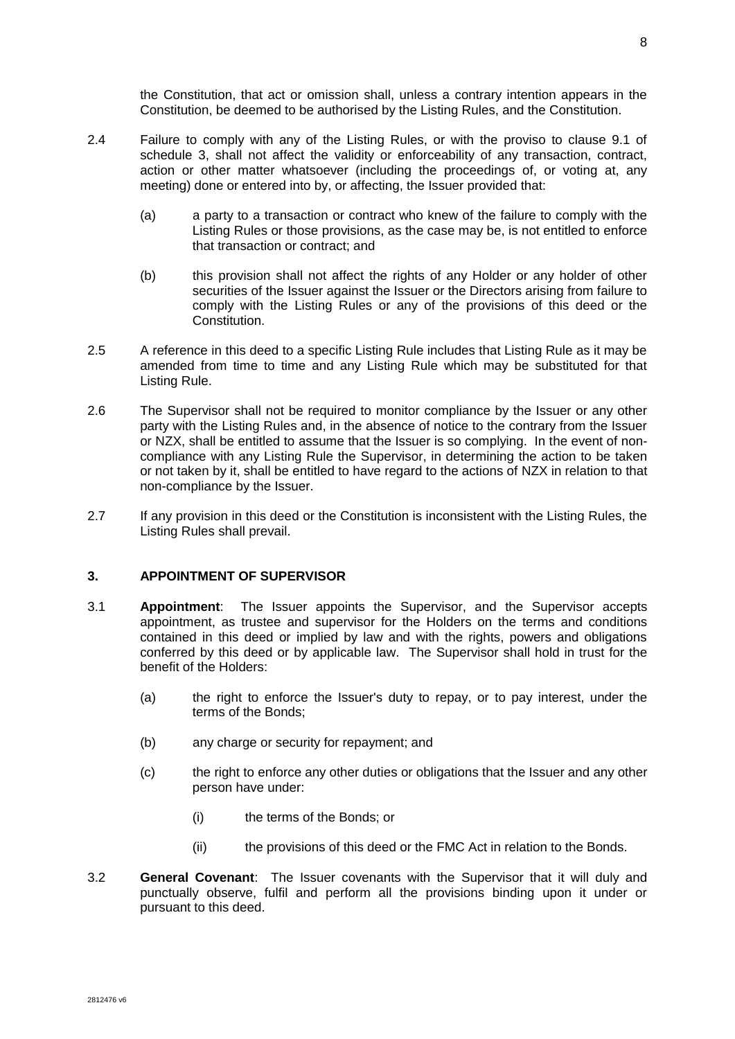the Constitution, that act or omission shall, unless a contrary intention appears in the Constitution, be deemed to be authorised by the Listing Rules, and the Constitution.

- 2.4 Failure to comply with any of the Listing Rules, or with the proviso to clause 9.1 of schedule 3, shall not affect the validity or enforceability of any transaction, contract, action or other matter whatsoever (including the proceedings of, or voting at, any meeting) done or entered into by, or affecting, the Issuer provided that:
	- (a) a party to a transaction or contract who knew of the failure to comply with the Listing Rules or those provisions, as the case may be, is not entitled to enforce that transaction or contract; and
	- (b) this provision shall not affect the rights of any Holder or any holder of other securities of the Issuer against the Issuer or the Directors arising from failure to comply with the Listing Rules or any of the provisions of this deed or the Constitution.
- 2.5 A reference in this deed to a specific Listing Rule includes that Listing Rule as it may be amended from time to time and any Listing Rule which may be substituted for that Listing Rule.
- <span id="page-15-0"></span>2.6 The Supervisor shall not be required to monitor compliance by the Issuer or any other party with the Listing Rules and, in the absence of notice to the contrary from the Issuer or NZX, shall be entitled to assume that the Issuer is so complying. In the event of noncompliance with any Listing Rule the Supervisor, in determining the action to be taken or not taken by it, shall be entitled to have regard to the actions of NZX in relation to that non-compliance by the Issuer.
- 2.7 If any provision in this deed or the Constitution is inconsistent with the Listing Rules, the Listing Rules shall prevail.

## **3. APPOINTMENT OF SUPERVISOR**

- 3.1 **Appointment**: The Issuer appoints the Supervisor, and the Supervisor accepts appointment, as trustee and supervisor for the Holders on the terms and conditions contained in this deed or implied by law and with the rights, powers and obligations conferred by this deed or by applicable law. The Supervisor shall hold in trust for the benefit of the Holders:
	- (a) the right to enforce the Issuer's duty to repay, or to pay interest, under the terms of the Bonds;
	- (b) any charge or security for repayment; and
	- (c) the right to enforce any other duties or obligations that the Issuer and any other person have under:
		- (i) the terms of the Bonds; or
		- (ii) the provisions of this deed or the FMC Act in relation to the Bonds.
- 3.2 **General Covenant**: The Issuer covenants with the Supervisor that it will duly and punctually observe, fulfil and perform all the provisions binding upon it under or pursuant to this deed.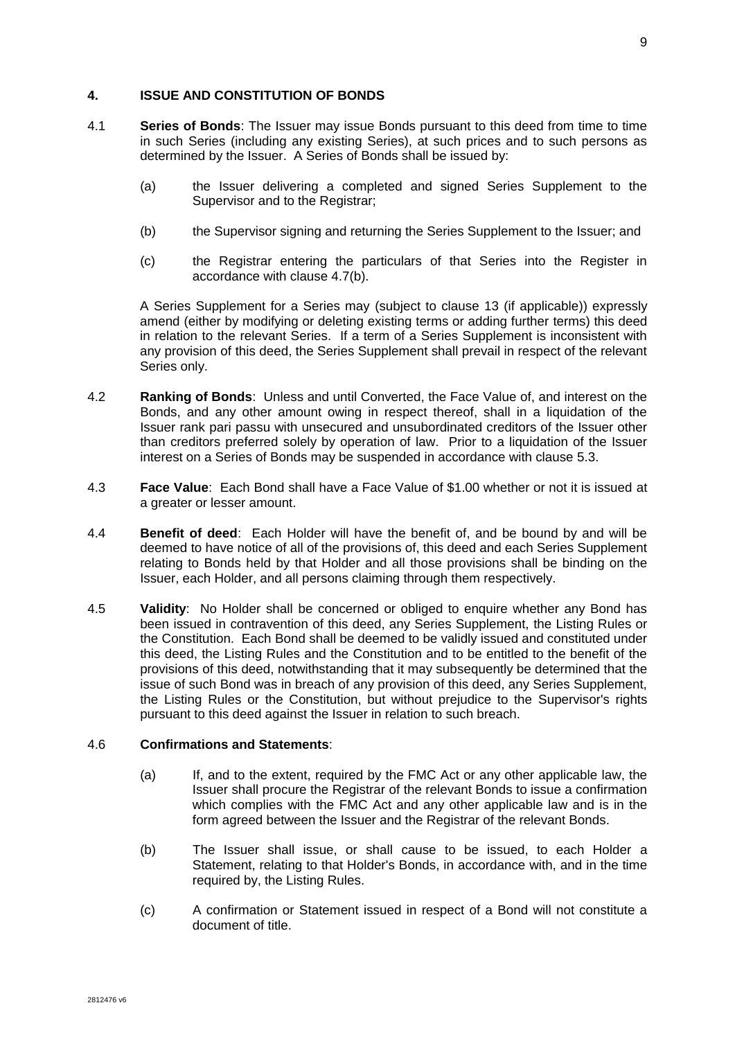#### **4. ISSUE AND CONSTITUTION OF BONDS**

- 4.1 **Series of Bonds**: The Issuer may issue Bonds pursuant to this deed from time to time in such Series (including any existing Series), at such prices and to such persons as determined by the Issuer. A Series of Bonds shall be issued by:
	- (a) the Issuer delivering a completed and signed Series Supplement to the Supervisor and to the Registrar:
	- (b) the Supervisor signing and returning the Series Supplement to the Issuer; and
	- (c) the Registrar entering the particulars of that Series into the Register in accordance with clause [4.7\(b\).](#page-17-0)

A Series Supplement for a Series may (subject to clause [13](#page-38-0) (if applicable)) expressly amend (either by modifying or deleting existing terms or adding further terms) this deed in relation to the relevant Series. If a term of a Series Supplement is inconsistent with any provision of this deed, the Series Supplement shall prevail in respect of the relevant Series only.

- 4.2 **Ranking of Bonds**: Unless and until Converted, the Face Value of, and interest on the Bonds, and any other amount owing in respect thereof, shall in a liquidation of the Issuer rank pari passu with unsecured and unsubordinated creditors of the Issuer other than creditors preferred solely by operation of law. Prior to a liquidation of the Issuer interest on a Series of Bonds may be suspended in accordance with clause [5.3.](#page-18-1)
- 4.3 **Face Value**: Each Bond shall have a Face Value of \$1.00 whether or not it is issued at a greater or lesser amount.
- 4.4 **Benefit of deed**: Each Holder will have the benefit of, and be bound by and will be deemed to have notice of all of the provisions of, this deed and each Series Supplement relating to Bonds held by that Holder and all those provisions shall be binding on the Issuer, each Holder, and all persons claiming through them respectively.
- 4.5 **Validity**: No Holder shall be concerned or obliged to enquire whether any Bond has been issued in contravention of this deed, any Series Supplement, the Listing Rules or the Constitution. Each Bond shall be deemed to be validly issued and constituted under this deed, the Listing Rules and the Constitution and to be entitled to the benefit of the provisions of this deed, notwithstanding that it may subsequently be determined that the issue of such Bond was in breach of any provision of this deed, any Series Supplement, the Listing Rules or the Constitution, but without prejudice to the Supervisor's rights pursuant to this deed against the Issuer in relation to such breach.

#### 4.6 **Confirmations and Statements**:

- (a) If, and to the extent, required by the FMC Act or any other applicable law, the Issuer shall procure the Registrar of the relevant Bonds to issue a confirmation which complies with the FMC Act and any other applicable law and is in the form agreed between the Issuer and the Registrar of the relevant Bonds.
- (b) The Issuer shall issue, or shall cause to be issued, to each Holder a Statement, relating to that Holder's Bonds, in accordance with, and in the time required by, the Listing Rules.
- (c) A confirmation or Statement issued in respect of a Bond will not constitute a document of title.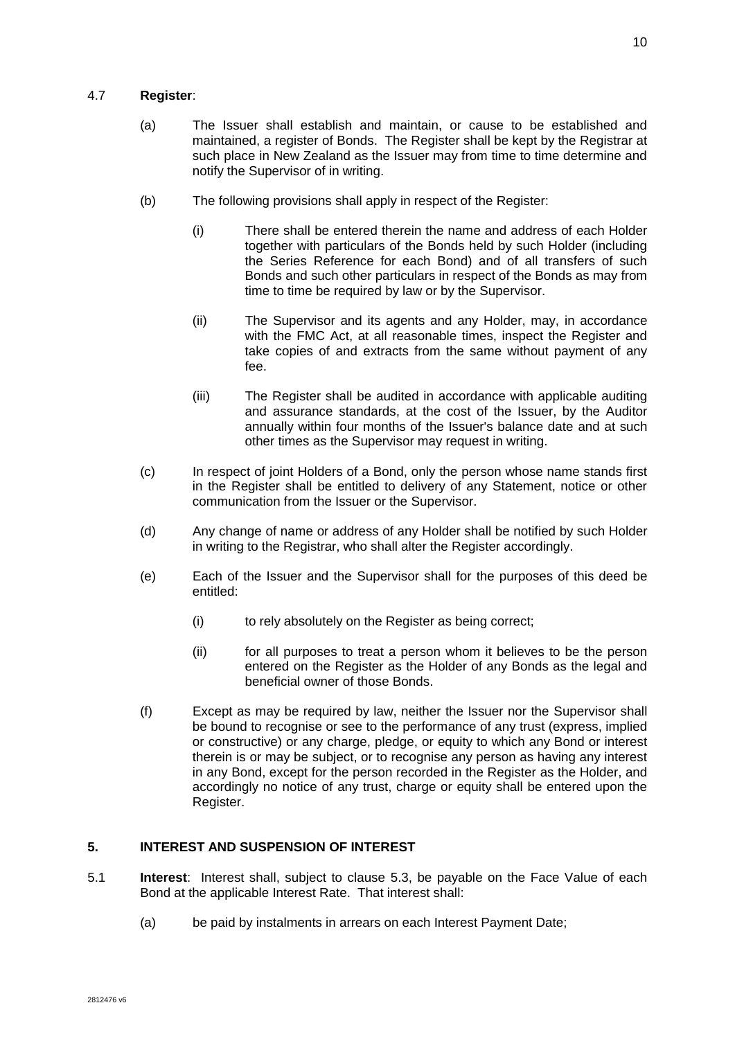- (a) The Issuer shall establish and maintain, or cause to be established and maintained, a register of Bonds. The Register shall be kept by the Registrar at such place in New Zealand as the Issuer may from time to time determine and notify the Supervisor of in writing.
- <span id="page-17-0"></span>(b) The following provisions shall apply in respect of the Register:
	- (i) There shall be entered therein the name and address of each Holder together with particulars of the Bonds held by such Holder (including the Series Reference for each Bond) and of all transfers of such Bonds and such other particulars in respect of the Bonds as may from time to time be required by law or by the Supervisor.
	- (ii) The Supervisor and its agents and any Holder, may, in accordance with the FMC Act, at all reasonable times, inspect the Register and take copies of and extracts from the same without payment of any fee.
	- (iii) The Register shall be audited in accordance with applicable auditing and assurance standards, at the cost of the Issuer, by the Auditor annually within four months of the Issuer's balance date and at such other times as the Supervisor may request in writing.
- <span id="page-17-2"></span>(c) In respect of joint Holders of a Bond, only the person whose name stands first in the Register shall be entitled to delivery of any Statement, notice or other communication from the Issuer or the Supervisor.
- (d) Any change of name or address of any Holder shall be notified by such Holder in writing to the Registrar, who shall alter the Register accordingly.
- (e) Each of the Issuer and the Supervisor shall for the purposes of this deed be entitled:
	- (i) to rely absolutely on the Register as being correct;
	- (ii) for all purposes to treat a person whom it believes to be the person entered on the Register as the Holder of any Bonds as the legal and beneficial owner of those Bonds.
- (f) Except as may be required by law, neither the Issuer nor the Supervisor shall be bound to recognise or see to the performance of any trust (express, implied or constructive) or any charge, pledge, or equity to which any Bond or interest therein is or may be subject, or to recognise any person as having any interest in any Bond, except for the person recorded in the Register as the Holder, and accordingly no notice of any trust, charge or equity shall be entered upon the Register.

# <span id="page-17-1"></span>**5. INTEREST AND SUSPENSION OF INTEREST**

- 5.1 **Interest**: Interest shall, subject to clause [5.3,](#page-18-1) be payable on the Face Value of each Bond at the applicable Interest Rate. That interest shall:
	- (a) be paid by instalments in arrears on each Interest Payment Date;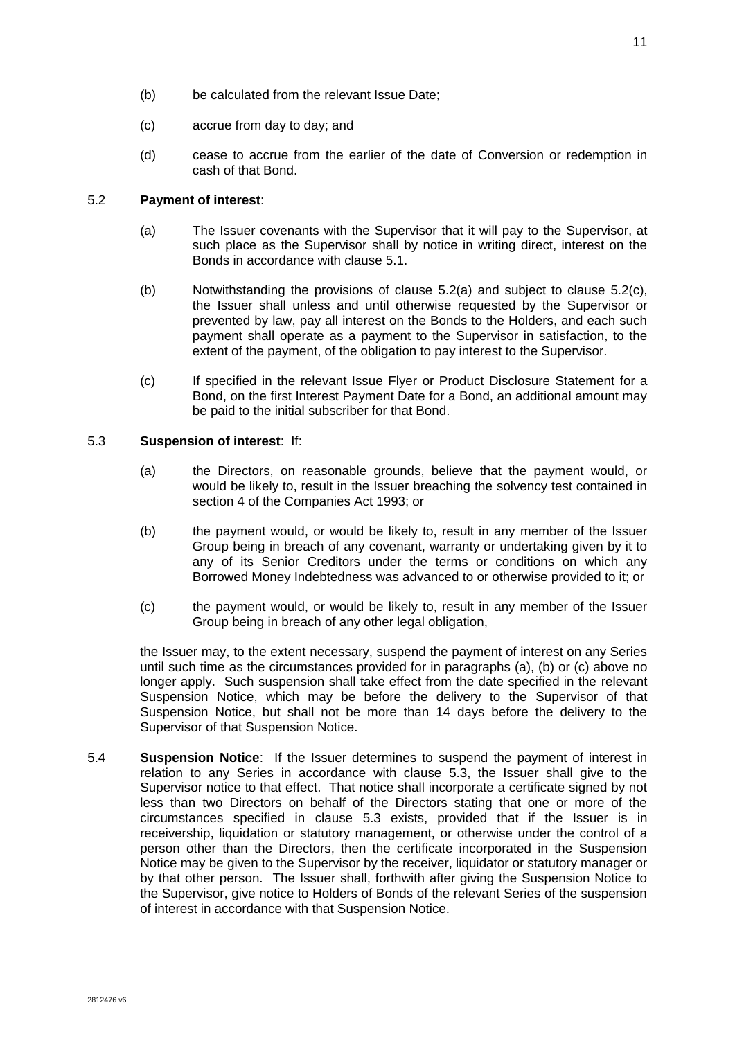- (b) be calculated from the relevant Issue Date;
- (c) accrue from day to day; and
- (d) cease to accrue from the earlier of the date of Conversion or redemption in cash of that Bond.

# <span id="page-18-2"></span>5.2 **Payment of interest**:

- (a) The Issuer covenants with the Supervisor that it will pay to the Supervisor, at such place as the Supervisor shall by notice in writing direct, interest on the Bonds in accordance with clause [5.1.](#page-17-1)
- (b) Notwithstanding the provisions of clause [5.2\(a\)](#page-18-2) and subject to clause [5.2\(c\),](#page-18-3) the Issuer shall unless and until otherwise requested by the Supervisor or prevented by law, pay all interest on the Bonds to the Holders, and each such payment shall operate as a payment to the Supervisor in satisfaction, to the extent of the payment, of the obligation to pay interest to the Supervisor.
- <span id="page-18-3"></span>(c) If specified in the relevant Issue Flyer or Product Disclosure Statement for a Bond, on the first Interest Payment Date for a Bond, an additional amount may be paid to the initial subscriber for that Bond.

# <span id="page-18-4"></span><span id="page-18-1"></span>5.3 **Suspension of interest**: If:

- (a) the Directors, on reasonable grounds, believe that the payment would, or would be likely to, result in the Issuer breaching the solvency test contained in section 4 of the Companies Act 1993; or
- <span id="page-18-5"></span>(b) the payment would, or would be likely to, result in any member of the Issuer Group being in breach of any covenant, warranty or undertaking given by it to any of its Senior Creditors under the terms or conditions on which any Borrowed Money Indebtedness was advanced to or otherwise provided to it; or
- <span id="page-18-6"></span>(c) the payment would, or would be likely to, result in any member of the Issuer Group being in breach of any other legal obligation,

the Issuer may, to the extent necessary, suspend the payment of interest on any Series until such time as the circumstances provided for in paragraphs [\(a\),](#page-18-4) [\(b\)](#page-18-5) or [\(c\)](#page-18-6) above no longer apply. Such suspension shall take effect from the date specified in the relevant Suspension Notice, which may be before the delivery to the Supervisor of that Suspension Notice, but shall not be more than 14 days before the delivery to the Supervisor of that Suspension Notice.

<span id="page-18-0"></span>5.4 **Suspension Notice**: If the Issuer determines to suspend the payment of interest in relation to any Series in accordance with clause [5.3,](#page-18-1) the Issuer shall give to the Supervisor notice to that effect. That notice shall incorporate a certificate signed by not less than two Directors on behalf of the Directors stating that one or more of the circumstances specified in clause [5.3](#page-18-1) exists, provided that if the Issuer is in receivership, liquidation or statutory management, or otherwise under the control of a person other than the Directors, then the certificate incorporated in the Suspension Notice may be given to the Supervisor by the receiver, liquidator or statutory manager or by that other person. The Issuer shall, forthwith after giving the Suspension Notice to the Supervisor, give notice to Holders of Bonds of the relevant Series of the suspension of interest in accordance with that Suspension Notice.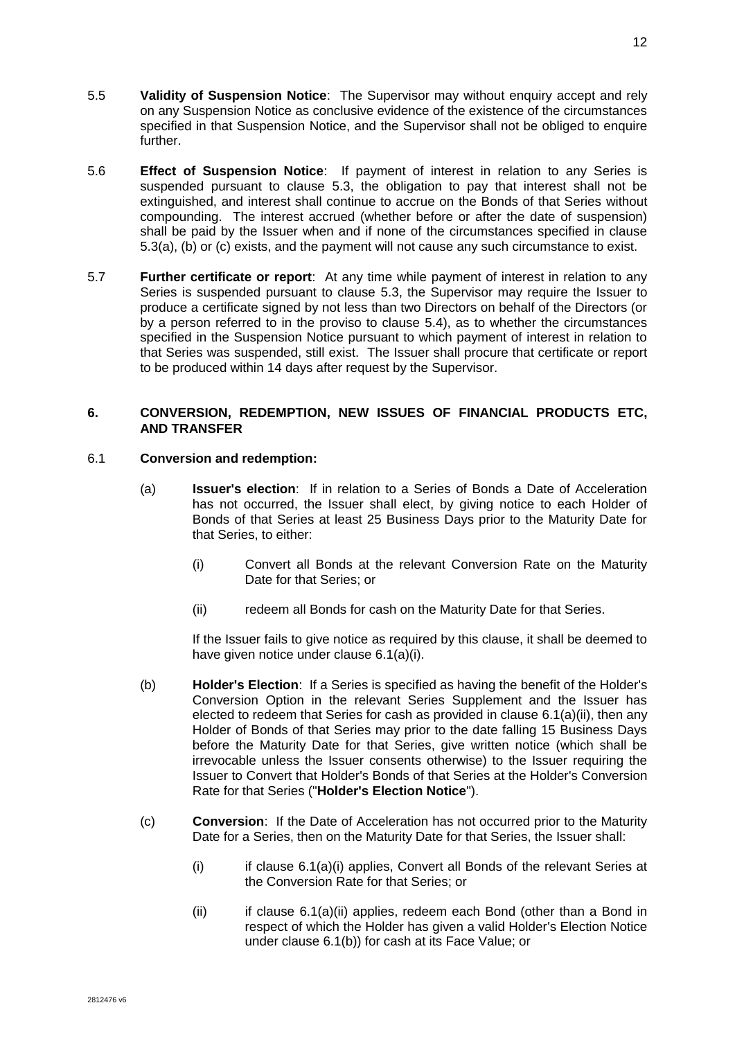- 5.5 **Validity of Suspension Notice**: The Supervisor may without enquiry accept and rely on any Suspension Notice as conclusive evidence of the existence of the circumstances specified in that Suspension Notice, and the Supervisor shall not be obliged to enquire further.
- 5.6 **Effect of Suspension Notice**: If payment of interest in relation to any Series is suspended pursuant to clause [5.3,](#page-18-1) the obligation to pay that interest shall not be extinguished, and interest shall continue to accrue on the Bonds of that Series without compounding. The interest accrued (whether before or after the date of suspension) shall be paid by the Issuer when and if none of the circumstances specified in clause [5.3\(a\),](#page-18-4) [\(b\)](#page-18-5) or [\(c\)](#page-18-6) exists, and the payment will not cause any such circumstance to exist.
- 5.7 **Further certificate or report**: At any time while payment of interest in relation to any Series is suspended pursuant to clause [5.3,](#page-18-1) the Supervisor may require the Issuer to produce a certificate signed by not less than two Directors on behalf of the Directors (or by a person referred to in the proviso to clause [5.4\)](#page-18-0), as to whether the circumstances specified in the Suspension Notice pursuant to which payment of interest in relation to that Series was suspended, still exist. The Issuer shall procure that certificate or report to be produced within 14 days after request by the Supervisor.

# **6. CONVERSION, REDEMPTION, NEW ISSUES OF FINANCIAL PRODUCTS ETC, AND TRANSFER**

# <span id="page-19-4"></span>6.1 **Conversion and redemption:**

- <span id="page-19-2"></span>(a) **Issuer's election**: If in relation to a Series of Bonds a Date of Acceleration has not occurred, the Issuer shall elect, by giving notice to each Holder of Bonds of that Series at least 25 Business Days prior to the Maturity Date for that Series, to either:
	- (i) Convert all Bonds at the relevant Conversion Rate on the Maturity Date for that Series; or
	- (ii) redeem all Bonds for cash on the Maturity Date for that Series.

If the Issuer fails to give notice as required by this clause, it shall be deemed to have given notice under clause [6.1\(a\)\(i\).](#page-19-2)

- <span id="page-19-3"></span><span id="page-19-1"></span>(b) **Holder's Election**: If a Series is specified as having the benefit of the Holder's Conversion Option in the relevant Series Supplement and the Issuer has elected to redeem that Series for cash as provided in clause [6.1\(a\)\(ii\),](#page-19-3) then any Holder of Bonds of that Series may prior to the date falling 15 Business Days before the Maturity Date for that Series, give written notice (which shall be irrevocable unless the Issuer consents otherwise) to the Issuer requiring the Issuer to Convert that Holder's Bonds of that Series at the Holder's Conversion Rate for that Series ("**Holder's Election Notice**").
- <span id="page-19-0"></span>(c) **Conversion**: If the Date of Acceleration has not occurred prior to the Maturity Date for a Series, then on the Maturity Date for that Series, the Issuer shall:
	- (i) if clause [6.1\(a\)\(i\)](#page-19-2) applies, Convert all Bonds of the relevant Series at the Conversion Rate for that Series; or
	- (ii) if clause [6.1\(a\)\(ii\)](#page-19-3) applies, redeem each Bond (other than a Bond in respect of which the Holder has given a valid Holder's Election Notice under clause [6.1\(b\)\)](#page-19-1) for cash at its Face Value; or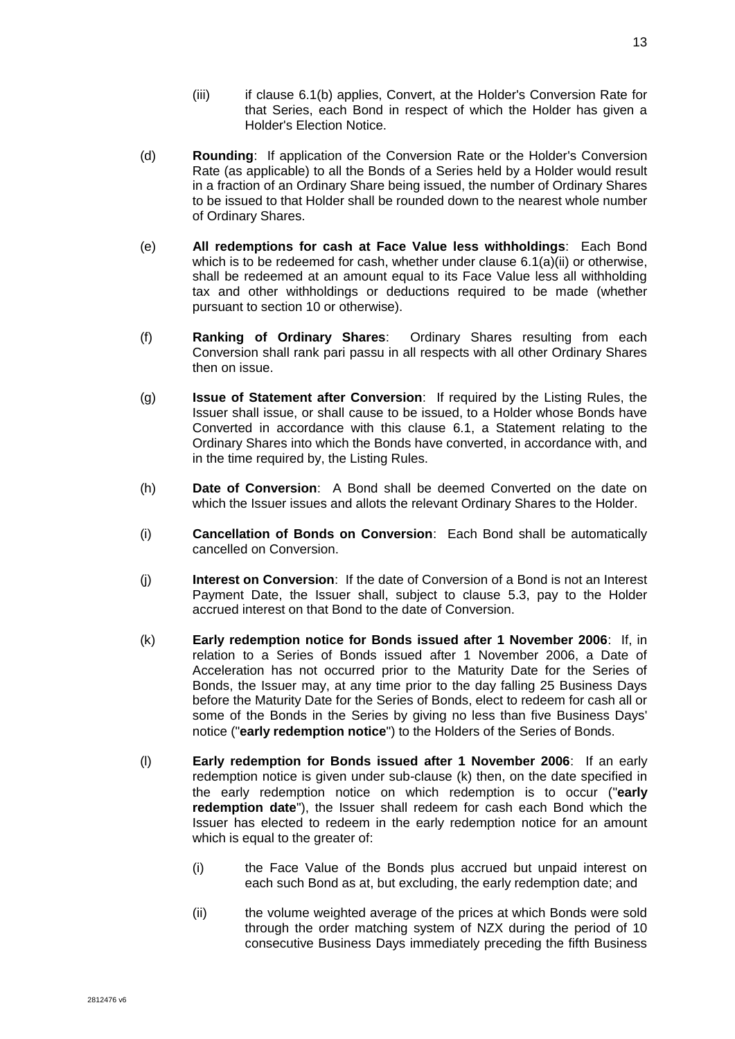- (iii) if clause [6.1\(b\)](#page-19-1) applies, Convert, at the Holder's Conversion Rate for that Series, each Bond in respect of which the Holder has given a Holder's Election Notice.
- <span id="page-20-0"></span>(d) **Rounding**: If application of the Conversion Rate or the Holder's Conversion Rate (as applicable) to all the Bonds of a Series held by a Holder would result in a fraction of an Ordinary Share being issued, the number of Ordinary Shares to be issued to that Holder shall be rounded down to the nearest whole number of Ordinary Shares.
- (e) **All redemptions for cash at Face Value less withholdings**: Each Bond which is to be redeemed for cash, whether under clause [6.1\(a\)\(ii\)](#page-19-3) or otherwise, shall be redeemed at an amount equal to its Face Value less all withholding tax and other withholdings or deductions required to be made (whether pursuant to section 10 or otherwise).
- (f) **Ranking of Ordinary Shares**: Ordinary Shares resulting from each Conversion shall rank pari passu in all respects with all other Ordinary Shares then on issue.
- (g) **Issue of Statement after Conversion**: If required by the Listing Rules, the Issuer shall issue, or shall cause to be issued, to a Holder whose Bonds have Converted in accordance with this clause [6.1,](#page-19-4) a Statement relating to the Ordinary Shares into which the Bonds have converted, in accordance with, and in the time required by, the Listing Rules.
- (h) **Date of Conversion**: A Bond shall be deemed Converted on the date on which the Issuer issues and allots the relevant Ordinary Shares to the Holder.
- (i) **Cancellation of Bonds on Conversion**: Each Bond shall be automatically cancelled on Conversion.
- (j) **Interest on Conversion**: If the date of Conversion of a Bond is not an Interest Payment Date, the Issuer shall, subject to clause [5.3,](#page-18-1) pay to the Holder accrued interest on that Bond to the date of Conversion.
- <span id="page-20-1"></span>(k) **Early redemption notice for Bonds issued after 1 November 2006**: If, in relation to a Series of Bonds issued after 1 November 2006, a Date of Acceleration has not occurred prior to the Maturity Date for the Series of Bonds, the Issuer may, at any time prior to the day falling 25 Business Days before the Maturity Date for the Series of Bonds, elect to redeem for cash all or some of the Bonds in the Series by giving no less than five Business Days' notice ("**early redemption notice**") to the Holders of the Series of Bonds.
- <span id="page-20-2"></span>(l) **Early redemption for Bonds issued after 1 November 2006**: If an early redemption notice is given under sub-clause [\(k\)](#page-20-1) then, on the date specified in the early redemption notice on which redemption is to occur ("**early redemption date**"), the Issuer shall redeem for cash each Bond which the Issuer has elected to redeem in the early redemption notice for an amount which is equal to the greater of:
	- (i) the Face Value of the Bonds plus accrued but unpaid interest on each such Bond as at, but excluding, the early redemption date; and
	- (ii) the volume weighted average of the prices at which Bonds were sold through the order matching system of NZX during the period of 10 consecutive Business Days immediately preceding the fifth Business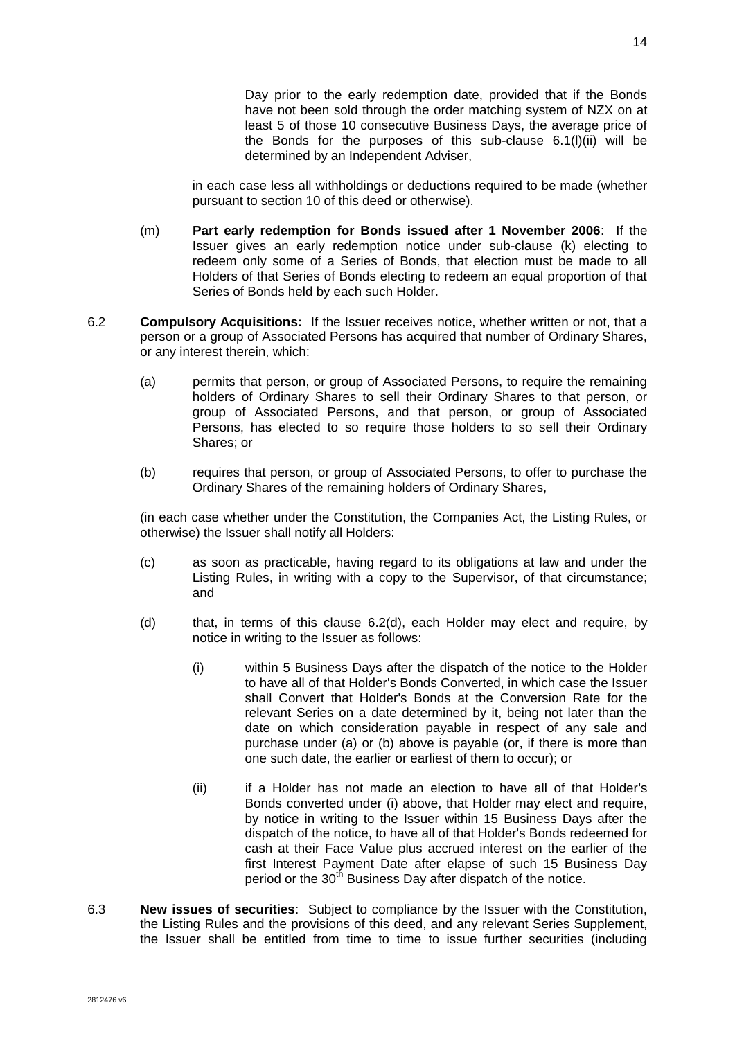Day prior to the early redemption date, provided that if the Bonds have not been sold through the order matching system of NZX on at least 5 of those 10 consecutive Business Days, the average price of the Bonds for the purposes of this sub-clause [6.1\(l\)\(ii\)](#page-20-2) will be determined by an Independent Adviser,

in each case less all withholdings or deductions required to be made (whether pursuant to section 10 of this deed or otherwise).

- (m) **Part early redemption for Bonds issued after 1 November 2006**: If the Issuer gives an early redemption notice under sub-clause [\(k\)](#page-20-1) electing to redeem only some of a Series of Bonds, that election must be made to all Holders of that Series of Bonds electing to redeem an equal proportion of that Series of Bonds held by each such Holder.
- <span id="page-21-1"></span>6.2 **Compulsory Acquisitions:** If the Issuer receives notice, whether written or not, that a person or a group of Associated Persons has acquired that number of Ordinary Shares, or any interest therein, which:
	- (a) permits that person, or group of Associated Persons, to require the remaining holders of Ordinary Shares to sell their Ordinary Shares to that person, or group of Associated Persons, and that person, or group of Associated Persons, has elected to so require those holders to so sell their Ordinary Shares; or
	- (b) requires that person, or group of Associated Persons, to offer to purchase the Ordinary Shares of the remaining holders of Ordinary Shares,

<span id="page-21-2"></span>(in each case whether under the Constitution, the Companies Act, the Listing Rules, or otherwise) the Issuer shall notify all Holders:

- (c) as soon as practicable, having regard to its obligations at law and under the Listing Rules, in writing with a copy to the Supervisor, of that circumstance; and
- <span id="page-21-3"></span><span id="page-21-0"></span>(d) that, in terms of this clause [6.2\(d\),](#page-21-0) each Holder may elect and require, by notice in writing to the Issuer as follows:
	- (i) within 5 Business Days after the dispatch of the notice to the Holder to have all of that Holder's Bonds Converted, in which case the Issuer shall Convert that Holder's Bonds at the Conversion Rate for the relevant Series on a date determined by it, being not later than the date on which consideration payable in respect of any sale and purchase under [\(a\)](#page-21-1) or [\(b\)](#page-21-2) above is payable (or, if there is more than one such date, the earlier or earliest of them to occur); or
	- (ii) if a Holder has not made an election to have all of that Holder's Bonds converted under [\(i\)](#page-21-3) above, that Holder may elect and require, by notice in writing to the Issuer within 15 Business Days after the dispatch of the notice, to have all of that Holder's Bonds redeemed for cash at their Face Value plus accrued interest on the earlier of the first Interest Payment Date after elapse of such 15 Business Day period or the 30<sup>th</sup> Business Day after dispatch of the notice.
- 6.3 **New issues of securities**: Subject to compliance by the Issuer with the Constitution, the Listing Rules and the provisions of this deed, and any relevant Series Supplement, the Issuer shall be entitled from time to time to issue further securities (including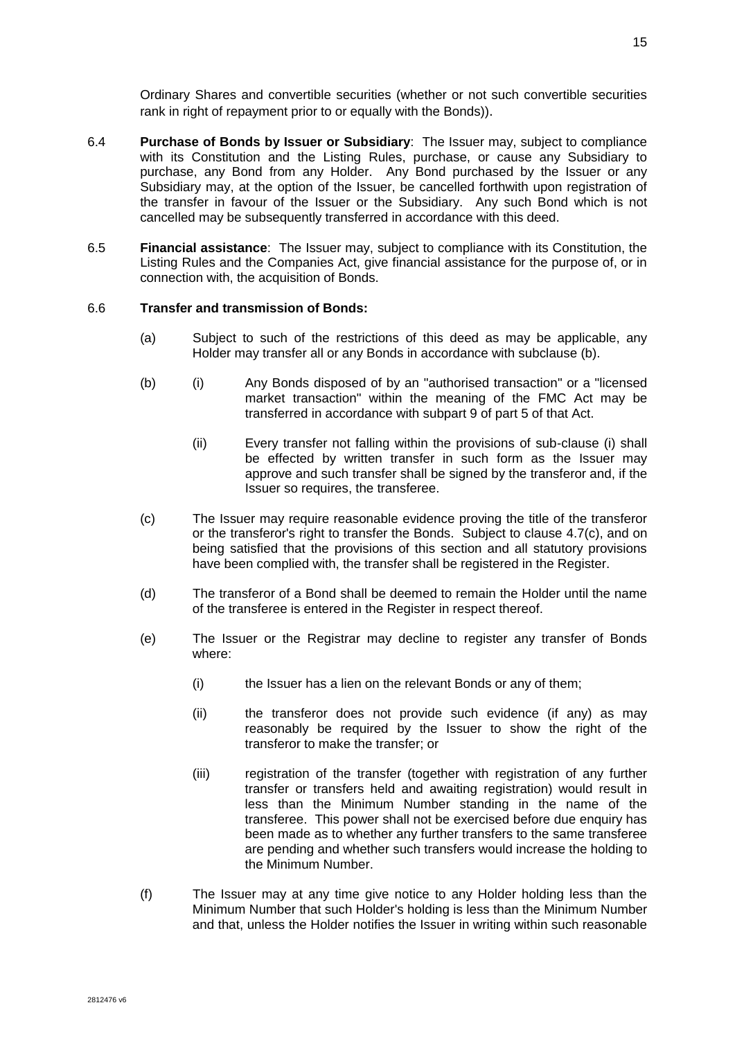Ordinary Shares and convertible securities (whether or not such convertible securities rank in right of repayment prior to or equally with the Bonds)).

- <span id="page-22-1"></span>6.4 **Purchase of Bonds by Issuer or Subsidiary**: The Issuer may, subject to compliance with its Constitution and the Listing Rules, purchase, or cause any Subsidiary to purchase, any Bond from any Holder. Any Bond purchased by the Issuer or any Subsidiary may, at the option of the Issuer, be cancelled forthwith upon registration of the transfer in favour of the Issuer or the Subsidiary.Any such Bond which is not cancelled may be subsequently transferred in accordance with this deed.
- 6.5 **Financial assistance**: The Issuer may, subject to compliance with its Constitution, the Listing Rules and the Companies Act, give financial assistance for the purpose of, or in connection with, the acquisition of Bonds.

### 6.6 **Transfer and transmission of Bonds:**

- (a) Subject to such of the restrictions of this deed as may be applicable, any Holder may transfer all or any Bonds in accordance with subclause (b).
- (b) (i) Any Bonds disposed of by an "authorised transaction" or a "licensed market transaction" within the meaning of the FMC Act may be transferred in accordance with subpart 9 of part 5 of that Act.
	- (ii) Every transfer not falling within the provisions of sub-clause (i) shall be effected by written transfer in such form as the Issuer may approve and such transfer shall be signed by the transferor and, if the Issuer so requires, the transferee.
- (c) The Issuer may require reasonable evidence proving the title of the transferor or the transferor's right to transfer the Bonds. Subject to clause [4.7\(c\),](#page-17-2) and on being satisfied that the provisions of this section and all statutory provisions have been complied with, the transfer shall be registered in the Register.
- (d) The transferor of a Bond shall be deemed to remain the Holder until the name of the transferee is entered in the Register in respect thereof.
- (e) The Issuer or the Registrar may decline to register any transfer of Bonds where:
	- (i) the Issuer has a lien on the relevant Bonds or any of them;
	- (ii) the transferor does not provide such evidence (if any) as may reasonably be required by the Issuer to show the right of the transferor to make the transfer; or
	- (iii) registration of the transfer (together with registration of any further transfer or transfers held and awaiting registration) would result in less than the Minimum Number standing in the name of the transferee. This power shall not be exercised before due enquiry has been made as to whether any further transfers to the same transferee are pending and whether such transfers would increase the holding to the Minimum Number.
- <span id="page-22-0"></span>(f) The Issuer may at any time give notice to any Holder holding less than the Minimum Number that such Holder's holding is less than the Minimum Number and that, unless the Holder notifies the Issuer in writing within such reasonable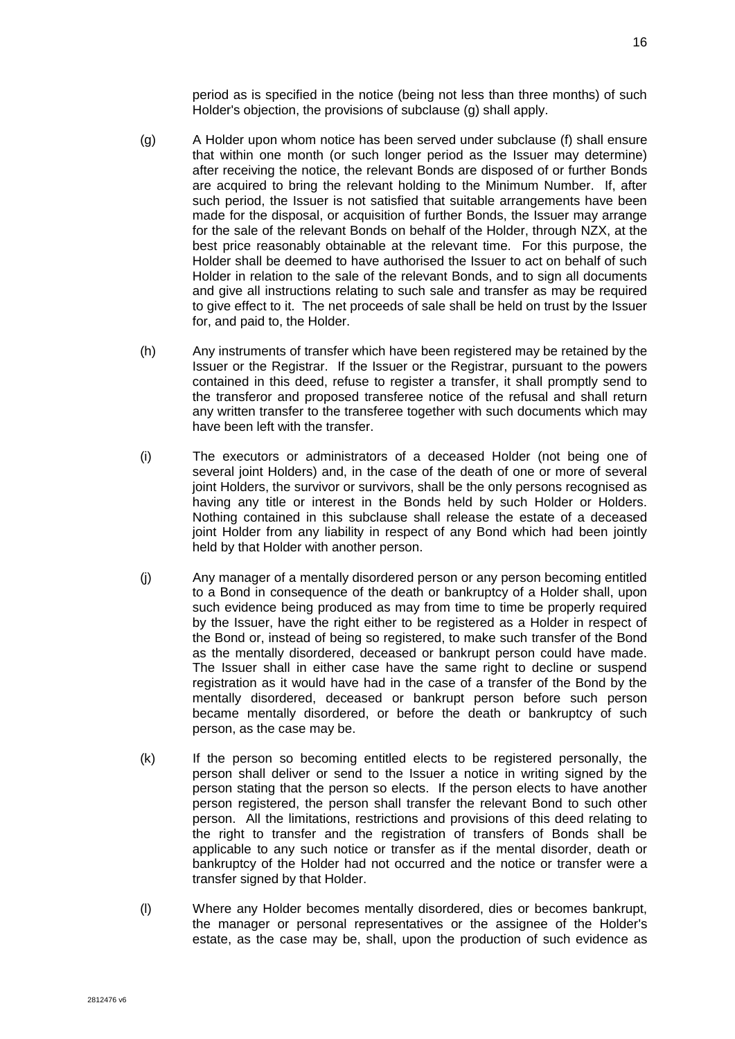period as is specified in the notice (being not less than three months) of such Holder's objection, the provisions of subclause [\(g\)](#page-23-0) shall apply.

- <span id="page-23-0"></span>(g) A Holder upon whom notice has been served under subclause [\(f\)](#page-22-0) shall ensure that within one month (or such longer period as the Issuer may determine) after receiving the notice, the relevant Bonds are disposed of or further Bonds are acquired to bring the relevant holding to the Minimum Number. If, after such period, the Issuer is not satisfied that suitable arrangements have been made for the disposal, or acquisition of further Bonds, the Issuer may arrange for the sale of the relevant Bonds on behalf of the Holder, through NZX, at the best price reasonably obtainable at the relevant time. For this purpose, the Holder shall be deemed to have authorised the Issuer to act on behalf of such Holder in relation to the sale of the relevant Bonds, and to sign all documents and give all instructions relating to such sale and transfer as may be required to give effect to it. The net proceeds of sale shall be held on trust by the Issuer for, and paid to, the Holder.
- (h) Any instruments of transfer which have been registered may be retained by the Issuer or the Registrar. If the Issuer or the Registrar, pursuant to the powers contained in this deed, refuse to register a transfer, it shall promptly send to the transferor and proposed transferee notice of the refusal and shall return any written transfer to the transferee together with such documents which may have been left with the transfer.
- (i) The executors or administrators of a deceased Holder (not being one of several joint Holders) and, in the case of the death of one or more of several joint Holders, the survivor or survivors, shall be the only persons recognised as having any title or interest in the Bonds held by such Holder or Holders. Nothing contained in this subclause shall release the estate of a deceased joint Holder from any liability in respect of any Bond which had been jointly held by that Holder with another person.
- (j) Any manager of a mentally disordered person or any person becoming entitled to a Bond in consequence of the death or bankruptcy of a Holder shall, upon such evidence being produced as may from time to time be properly required by the Issuer, have the right either to be registered as a Holder in respect of the Bond or, instead of being so registered, to make such transfer of the Bond as the mentally disordered, deceased or bankrupt person could have made. The Issuer shall in either case have the same right to decline or suspend registration as it would have had in the case of a transfer of the Bond by the mentally disordered, deceased or bankrupt person before such person became mentally disordered, or before the death or bankruptcy of such person, as the case may be.
- (k) If the person so becoming entitled elects to be registered personally, the person shall deliver or send to the Issuer a notice in writing signed by the person stating that the person so elects. If the person elects to have another person registered, the person shall transfer the relevant Bond to such other person. All the limitations, restrictions and provisions of this deed relating to the right to transfer and the registration of transfers of Bonds shall be applicable to any such notice or transfer as if the mental disorder, death or bankruptcy of the Holder had not occurred and the notice or transfer were a transfer signed by that Holder.
- (l) Where any Holder becomes mentally disordered, dies or becomes bankrupt, the manager or personal representatives or the assignee of the Holder's estate, as the case may be, shall, upon the production of such evidence as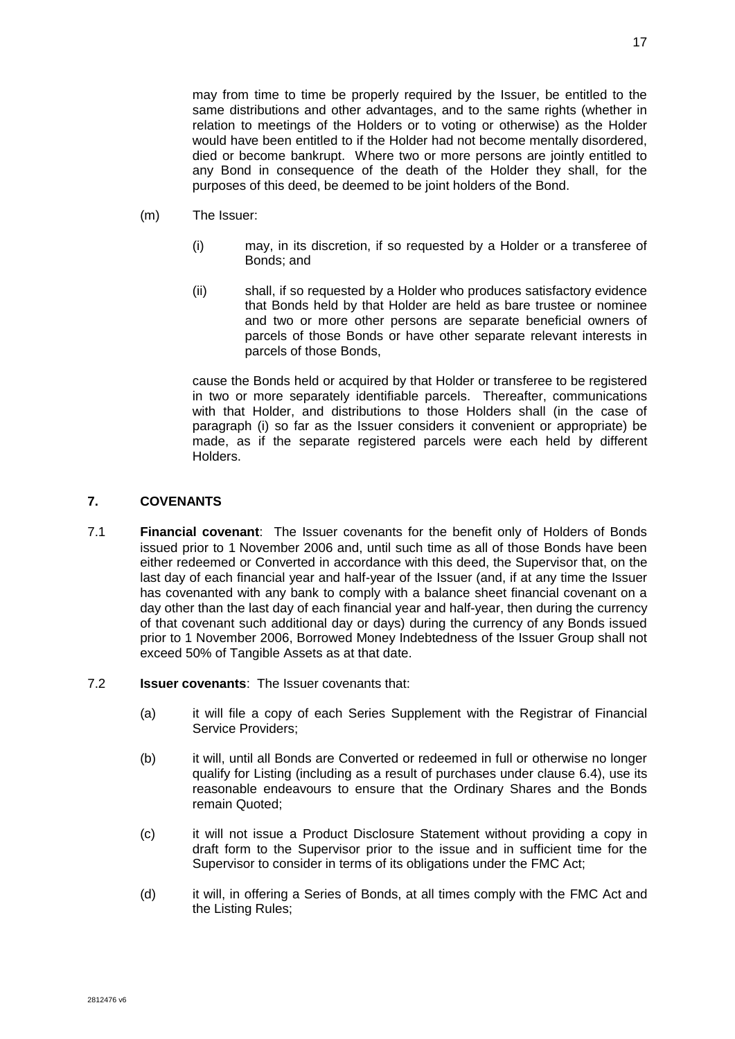may from time to time be properly required by the Issuer, be entitled to the same distributions and other advantages, and to the same rights (whether in relation to meetings of the Holders or to voting or otherwise) as the Holder would have been entitled to if the Holder had not become mentally disordered, died or become bankrupt. Where two or more persons are jointly entitled to any Bond in consequence of the death of the Holder they shall, for the purposes of this deed, be deemed to be joint holders of the Bond.

- (m) The Issuer:
	- (i) may, in its discretion, if so requested by a Holder or a transferee of Bonds; and
	- (ii) shall, if so requested by a Holder who produces satisfactory evidence that Bonds held by that Holder are held as bare trustee or nominee and two or more other persons are separate beneficial owners of parcels of those Bonds or have other separate relevant interests in parcels of those Bonds,

cause the Bonds held or acquired by that Holder or transferee to be registered in two or more separately identifiable parcels. Thereafter, communications with that Holder, and distributions to those Holders shall (in the case of paragraph (i) so far as the Issuer considers it convenient or appropriate) be made, as if the separate registered parcels were each held by different Holders.

# **7. COVENANTS**

- <span id="page-24-0"></span>7.1 **Financial covenant**: The Issuer covenants for the benefit only of Holders of Bonds issued prior to 1 November 2006 and, until such time as all of those Bonds have been either redeemed or Converted in accordance with this deed, the Supervisor that, on the last day of each financial year and half-year of the Issuer (and, if at any time the Issuer has covenanted with any bank to comply with a balance sheet financial covenant on a day other than the last day of each financial year and half-year, then during the currency of that covenant such additional day or days) during the currency of any Bonds issued prior to 1 November 2006, Borrowed Money Indebtedness of the Issuer Group shall not exceed 50% of Tangible Assets as at that date.
- 7.2 **Issuer covenants**: The Issuer covenants that:
	- (a) it will file a copy of each Series Supplement with the Registrar of Financial Service Providers;
	- (b) it will, until all Bonds are Converted or redeemed in full or otherwise no longer qualify for Listing (including as a result of purchases under clause [6.4\)](#page-22-1), use its reasonable endeavours to ensure that the Ordinary Shares and the Bonds remain Quoted;
	- (c) it will not issue a Product Disclosure Statement without providing a copy in draft form to the Supervisor prior to the issue and in sufficient time for the Supervisor to consider in terms of its obligations under the FMC Act;
	- (d) it will, in offering a Series of Bonds, at all times comply with the FMC Act and the Listing Rules;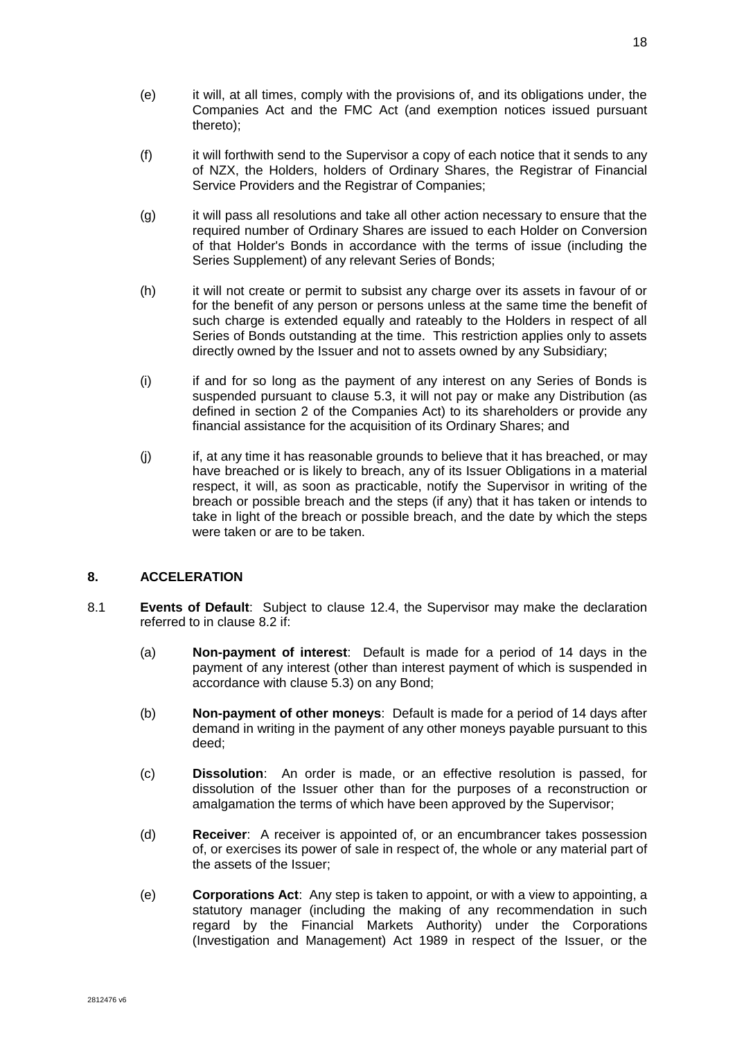- (e) it will, at all times, comply with the provisions of, and its obligations under, the Companies Act and the FMC Act (and exemption notices issued pursuant thereto);
- (f) it will forthwith send to the Supervisor a copy of each notice that it sends to any of NZX, the Holders, holders of Ordinary Shares, the Registrar of Financial Service Providers and the Registrar of Companies;
- (g) it will pass all resolutions and take all other action necessary to ensure that the required number of Ordinary Shares are issued to each Holder on Conversion of that Holder's Bonds in accordance with the terms of issue (including the Series Supplement) of any relevant Series of Bonds;
- (h) it will not create or permit to subsist any charge over its assets in favour of or for the benefit of any person or persons unless at the same time the benefit of such charge is extended equally and rateably to the Holders in respect of all Series of Bonds outstanding at the time. This restriction applies only to assets directly owned by the Issuer and not to assets owned by any Subsidiary;
- (i) if and for so long as the payment of any interest on any Series of Bonds is suspended pursuant to clause [5.3,](#page-18-1) it will not pay or make any Distribution (as defined in section 2 of the Companies Act) to its shareholders or provide any financial assistance for the acquisition of its Ordinary Shares; and
- (j) if, at any time it has reasonable grounds to believe that it has breached, or may have breached or is likely to breach, any of its Issuer Obligations in a material respect, it will, as soon as practicable, notify the Supervisor in writing of the breach or possible breach and the steps (if any) that it has taken or intends to take in light of the breach or possible breach, and the date by which the steps were taken or are to be taken.

### **8. ACCELERATION**

- <span id="page-25-0"></span>8.1 **Events of Default**: Subject to clause [12.4,](#page-32-0) the Supervisor may make the declaration referred to in clause [8.2](#page-26-0) if:
	- (a) **Non-payment of interest**: Default is made for a period of 14 days in the payment of any interest (other than interest payment of which is suspended in accordance with clause [5.3\)](#page-18-1) on any Bond;
	- (b) **Non-payment of other moneys**: Default is made for a period of 14 days after demand in writing in the payment of any other moneys payable pursuant to this deed;
	- (c) **Dissolution**: An order is made, or an effective resolution is passed, for dissolution of the Issuer other than for the purposes of a reconstruction or amalgamation the terms of which have been approved by the Supervisor;
	- (d) **Receiver**: A receiver is appointed of, or an encumbrancer takes possession of, or exercises its power of sale in respect of, the whole or any material part of the assets of the Issuer;
	- (e) **Corporations Act**: Any step is taken to appoint, or with a view to appointing, a statutory manager (including the making of any recommendation in such regard by the Financial Markets Authority) under the Corporations (Investigation and Management) Act 1989 in respect of the Issuer, or the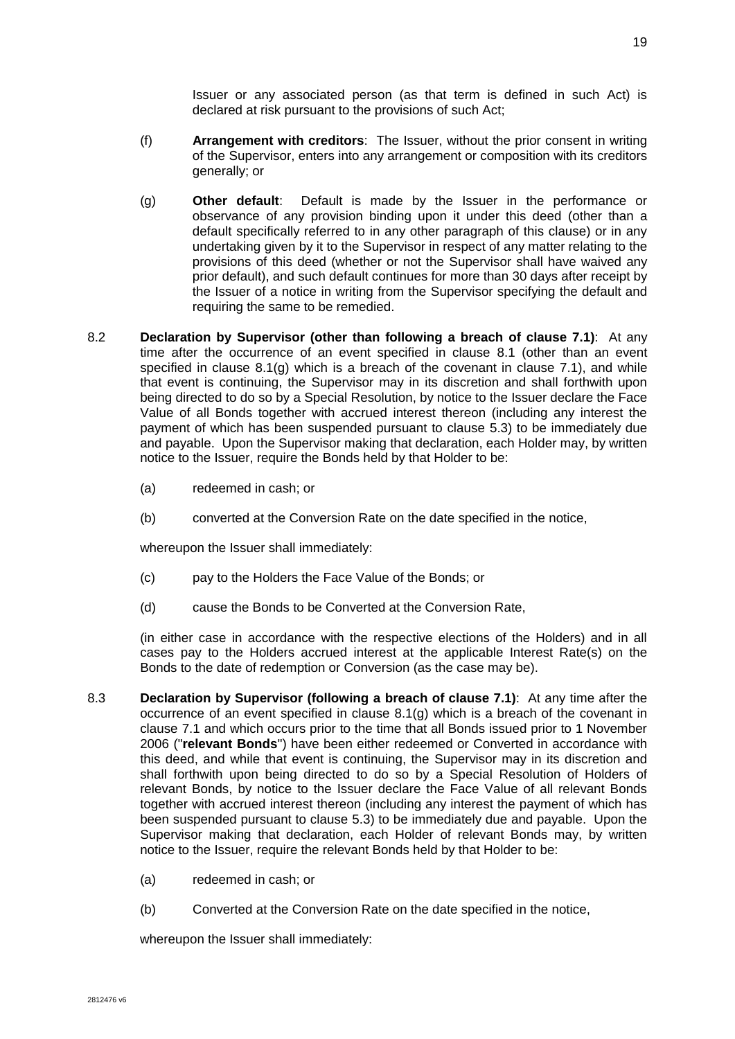Issuer or any associated person (as that term is defined in such Act) is declared at risk pursuant to the provisions of such Act;

- (f) **Arrangement with creditors**: The Issuer, without the prior consent in writing of the Supervisor, enters into any arrangement or composition with its creditors generally; or
- <span id="page-26-2"></span>(g) **Other default**: Default is made by the Issuer in the performance or observance of any provision binding upon it under this deed (other than a default specifically referred to in any other paragraph of this clause) or in any undertaking given by it to the Supervisor in respect of any matter relating to the provisions of this deed (whether or not the Supervisor shall have waived any prior default), and such default continues for more than 30 days after receipt by the Issuer of a notice in writing from the Supervisor specifying the default and requiring the same to be remedied.
- <span id="page-26-0"></span>8.2 **Declaration by Supervisor (other than following a breach of clause [7.1\)](#page-24-0)**: At any time after the occurrence of an event specified in clause [8.1](#page-25-0) (other than an event specified in clause [8.1\(g\)](#page-26-2) which is a breach of the covenant in clause [7.1\)](#page-24-0), and while that event is continuing, the Supervisor may in its discretion and shall forthwith upon being directed to do so by a Special Resolution, by notice to the Issuer declare the Face Value of all Bonds together with accrued interest thereon (including any interest the payment of which has been suspended pursuant to clause [5.3\)](#page-18-1) to be immediately due and payable. Upon the Supervisor making that declaration, each Holder may, by written notice to the Issuer, require the Bonds held by that Holder to be:
	- (a) redeemed in cash; or
	- (b) converted at the Conversion Rate on the date specified in the notice,

whereupon the Issuer shall immediately:

- (c) pay to the Holders the Face Value of the Bonds; or
- (d) cause the Bonds to be Converted at the Conversion Rate,

(in either case in accordance with the respective elections of the Holders) and in all cases pay to the Holders accrued interest at the applicable Interest Rate(s) on the Bonds to the date of redemption or Conversion (as the case may be).

- <span id="page-26-1"></span>8.3 **Declaration by Supervisor (following a breach of clause [7.1\)](#page-24-0)**: At any time after the occurrence of an event specified in clause [8.1\(g\)](#page-26-2) which is a breach of the covenant in clause [7.1](#page-24-0) and which occurs prior to the time that all Bonds issued prior to 1 November 2006 ("**relevant Bonds**") have been either redeemed or Converted in accordance with this deed, and while that event is continuing, the Supervisor may in its discretion and shall forthwith upon being directed to do so by a Special Resolution of Holders of relevant Bonds, by notice to the Issuer declare the Face Value of all relevant Bonds together with accrued interest thereon (including any interest the payment of which has been suspended pursuant to clause [5.3\)](#page-18-1) to be immediately due and payable. Upon the Supervisor making that declaration, each Holder of relevant Bonds may, by written notice to the Issuer, require the relevant Bonds held by that Holder to be:
	- (a) redeemed in cash; or
	- (b) Converted at the Conversion Rate on the date specified in the notice,

whereupon the Issuer shall immediately: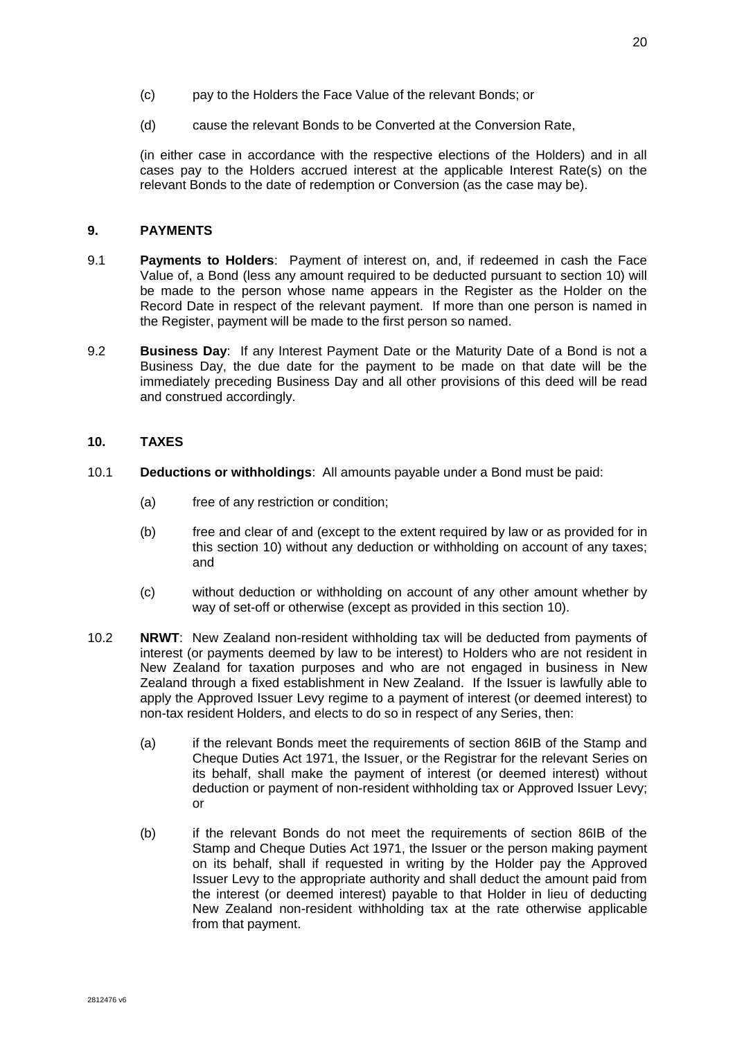- (c) pay to the Holders the Face Value of the relevant Bonds; or
- (d) cause the relevant Bonds to be Converted at the Conversion Rate,

(in either case in accordance with the respective elections of the Holders) and in all cases pay to the Holders accrued interest at the applicable Interest Rate(s) on the relevant Bonds to the date of redemption or Conversion (as the case may be).

# **9. PAYMENTS**

- 9.1 **Payments to Holders**: Payment of interest on, and, if redeemed in cash the Face Value of, a Bond (less any amount required to be deducted pursuant to section 10) will be made to the person whose name appears in the Register as the Holder on the Record Date in respect of the relevant payment. If more than one person is named in the Register, payment will be made to the first person so named.
- 9.2 **Business Day**: If any Interest Payment Date or the Maturity Date of a Bond is not a Business Day, the due date for the payment to be made on that date will be the immediately preceding Business Day and all other provisions of this deed will be read and construed accordingly.

# <span id="page-27-1"></span>**10. TAXES**

- 10.1 **Deductions or withholdings**: All amounts payable under a Bond must be paid:
	- (a) free of any restriction or condition;
	- (b) free and clear of and (except to the extent required by law or as provided for in this section 10) without any deduction or withholding on account of any taxes; and
	- (c) without deduction or withholding on account of any other amount whether by way of set-off or otherwise (except as provided in this section [10\)](#page-27-1).
- <span id="page-27-0"></span>10.2 **NRWT**: New Zealand non-resident withholding tax will be deducted from payments of interest (or payments deemed by law to be interest) to Holders who are not resident in New Zealand for taxation purposes and who are not engaged in business in New Zealand through a fixed establishment in New Zealand. If the Issuer is lawfully able to apply the Approved Issuer Levy regime to a payment of interest (or deemed interest) to non-tax resident Holders, and elects to do so in respect of any Series, then:
	- (a) if the relevant Bonds meet the requirements of section 86IB of the Stamp and Cheque Duties Act 1971, the Issuer, or the Registrar for the relevant Series on its behalf, shall make the payment of interest (or deemed interest) without deduction or payment of non-resident withholding tax or Approved Issuer Levy; or
	- (b) if the relevant Bonds do not meet the requirements of section 86IB of the Stamp and Cheque Duties Act 1971, the Issuer or the person making payment on its behalf, shall if requested in writing by the Holder pay the Approved Issuer Levy to the appropriate authority and shall deduct the amount paid from the interest (or deemed interest) payable to that Holder in lieu of deducting New Zealand non-resident withholding tax at the rate otherwise applicable from that payment.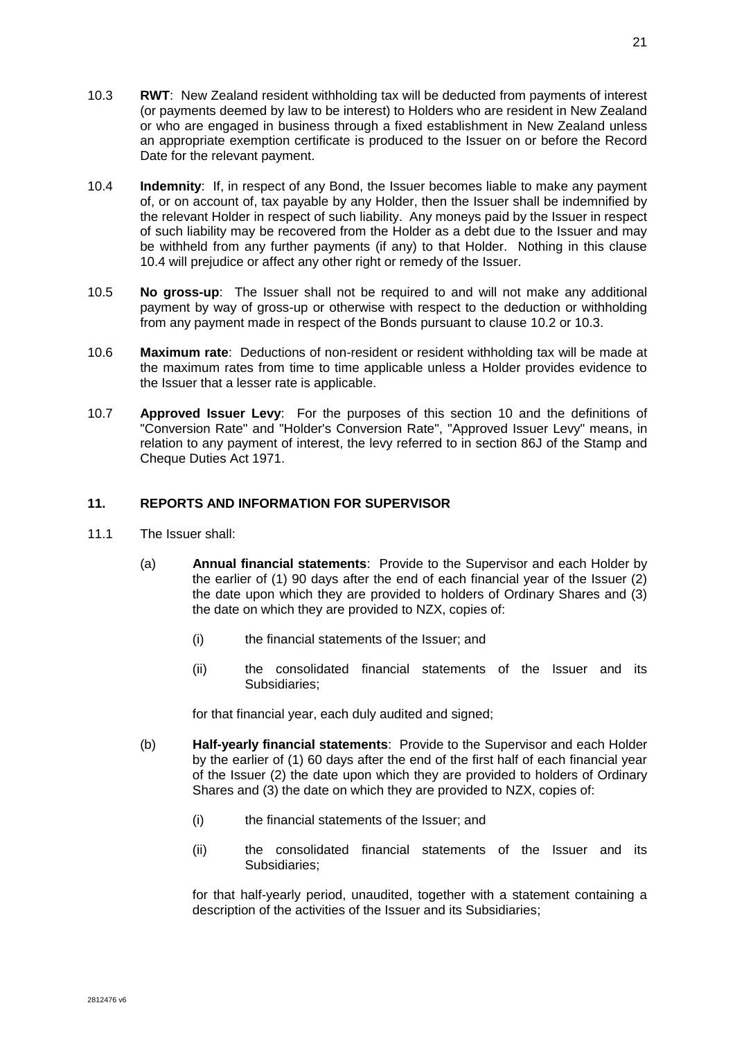- <span id="page-28-1"></span>10.3 **RWT**: New Zealand resident withholding tax will be deducted from payments of interest (or payments deemed by law to be interest) to Holders who are resident in New Zealand or who are engaged in business through a fixed establishment in New Zealand unless an appropriate exemption certificate is produced to the Issuer on or before the Record Date for the relevant payment.
- <span id="page-28-0"></span>10.4 **Indemnity**: If, in respect of any Bond, the Issuer becomes liable to make any payment of, or on account of, tax payable by any Holder, then the Issuer shall be indemnified by the relevant Holder in respect of such liability. Any moneys paid by the Issuer in respect of such liability may be recovered from the Holder as a debt due to the Issuer and may be withheld from any further payments (if any) to that Holder. Nothing in this clause [10.4](#page-28-0) will prejudice or affect any other right or remedy of the Issuer.
- 10.5 **No gross-up**: The Issuer shall not be required to and will not make any additional payment by way of gross-up or otherwise with respect to the deduction or withholding from any payment made in respect of the Bonds pursuant to clause [10.2](#page-27-0) or [10.3.](#page-28-1)
- 10.6 **Maximum rate**: Deductions of non-resident or resident withholding tax will be made at the maximum rates from time to time applicable unless a Holder provides evidence to the Issuer that a lesser rate is applicable.
- 10.7 **Approved Issuer Levy**: For the purposes of this section [10](#page-27-1) and the definitions of "Conversion Rate" and "Holder's Conversion Rate", "Approved Issuer Levy" means, in relation to any payment of interest, the levy referred to in section 86J of the Stamp and Cheque Duties Act 1971.

# **11. REPORTS AND INFORMATION FOR SUPERVISOR**

- <span id="page-28-2"></span>11.1 The Issuer shall:
	- (a) **Annual financial statements**: Provide to the Supervisor and each Holder by the earlier of (1) 90 days after the end of each financial year of the Issuer (2) the date upon which they are provided to holders of Ordinary Shares and (3) the date on which they are provided to NZX, copies of:
		- (i) the financial statements of the Issuer; and
		- (ii) the consolidated financial statements of the Issuer and its Subsidiaries;

for that financial year, each duly audited and signed;

- (b) **Half-yearly financial statements**: Provide to the Supervisor and each Holder by the earlier of (1) 60 days after the end of the first half of each financial year of the Issuer (2) the date upon which they are provided to holders of Ordinary Shares and (3) the date on which they are provided to NZX, copies of:
	- (i) the financial statements of the Issuer; and
	- (ii) the consolidated financial statements of the Issuer and its Subsidiaries;

for that half-yearly period, unaudited, together with a statement containing a description of the activities of the Issuer and its Subsidiaries;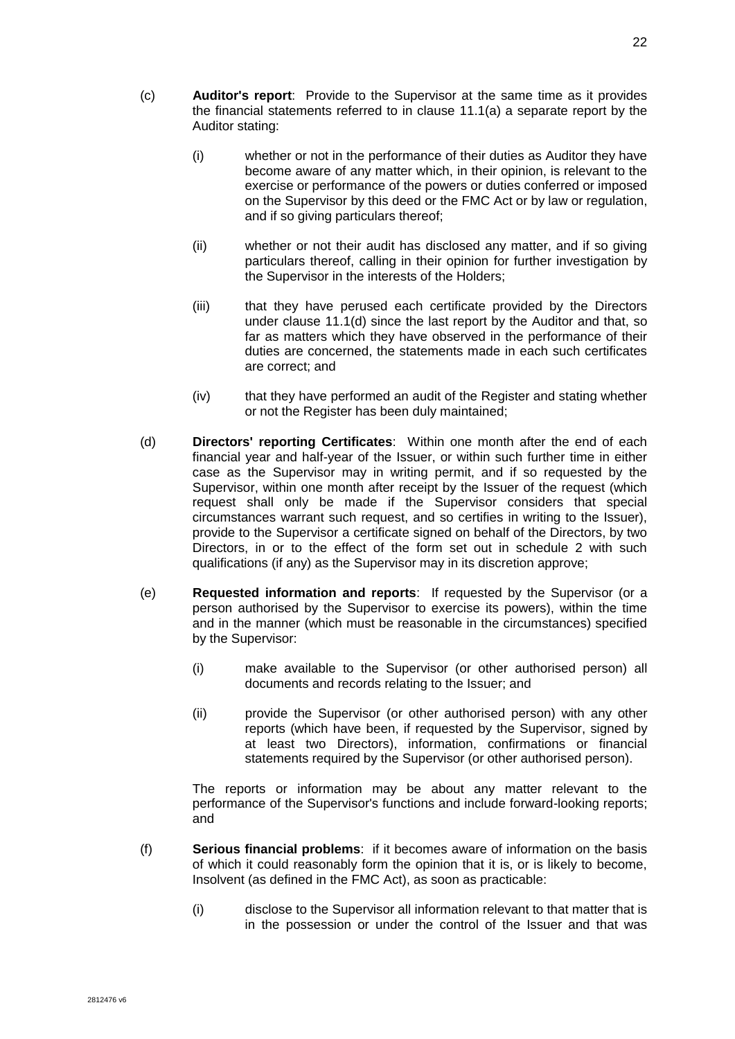- (c) **Auditor's report**: Provide to the Supervisor at the same time as it provides the financial statements referred to in clause [11.1\(a\)](#page-28-2) a separate report by the Auditor stating:
	- (i) whether or not in the performance of their duties as Auditor they have become aware of any matter which, in their opinion, is relevant to the exercise or performance of the powers or duties conferred or imposed on the Supervisor by this deed or the FMC Act or by law or regulation, and if so giving particulars thereof;
	- (ii) whether or not their audit has disclosed any matter, and if so giving particulars thereof, calling in their opinion for further investigation by the Supervisor in the interests of the Holders;
	- (iii) that they have perused each certificate provided by the Directors under clause [11.1\(d\)](#page-29-0) since the last report by the Auditor and that, so far as matters which they have observed in the performance of their duties are concerned, the statements made in each such certificates are correct; and
	- (iv) that they have performed an audit of the Register and stating whether or not the Register has been duly maintained;
- <span id="page-29-0"></span>(d) **Directors' reporting Certificates**: Within one month after the end of each financial year and half-year of the Issuer, or within such further time in either case as the Supervisor may in writing permit, and if so requested by the Supervisor, within one month after receipt by the Issuer of the request (which request shall only be made if the Supervisor considers that special circumstances warrant such request, and so certifies in writing to the Issuer), provide to the Supervisor a certificate signed on behalf of the Directors, by two Directors, in or to the effect of the form set out in schedule 2 with such qualifications (if any) as the Supervisor may in its discretion approve;
- (e) **Requested information and reports**: If requested by the Supervisor (or a person authorised by the Supervisor to exercise its powers), within the time and in the manner (which must be reasonable in the circumstances) specified by the Supervisor:
	- (i) make available to the Supervisor (or other authorised person) all documents and records relating to the Issuer; and
	- (ii) provide the Supervisor (or other authorised person) with any other reports (which have been, if requested by the Supervisor, signed by at least two Directors), information, confirmations or financial statements required by the Supervisor (or other authorised person).

The reports or information may be about any matter relevant to the performance of the Supervisor's functions and include forward-looking reports; and

- (f) **Serious financial problems**: if it becomes aware of information on the basis of which it could reasonably form the opinion that it is, or is likely to become, Insolvent (as defined in the FMC Act), as soon as practicable:
	- (i) disclose to the Supervisor all information relevant to that matter that is in the possession or under the control of the Issuer and that was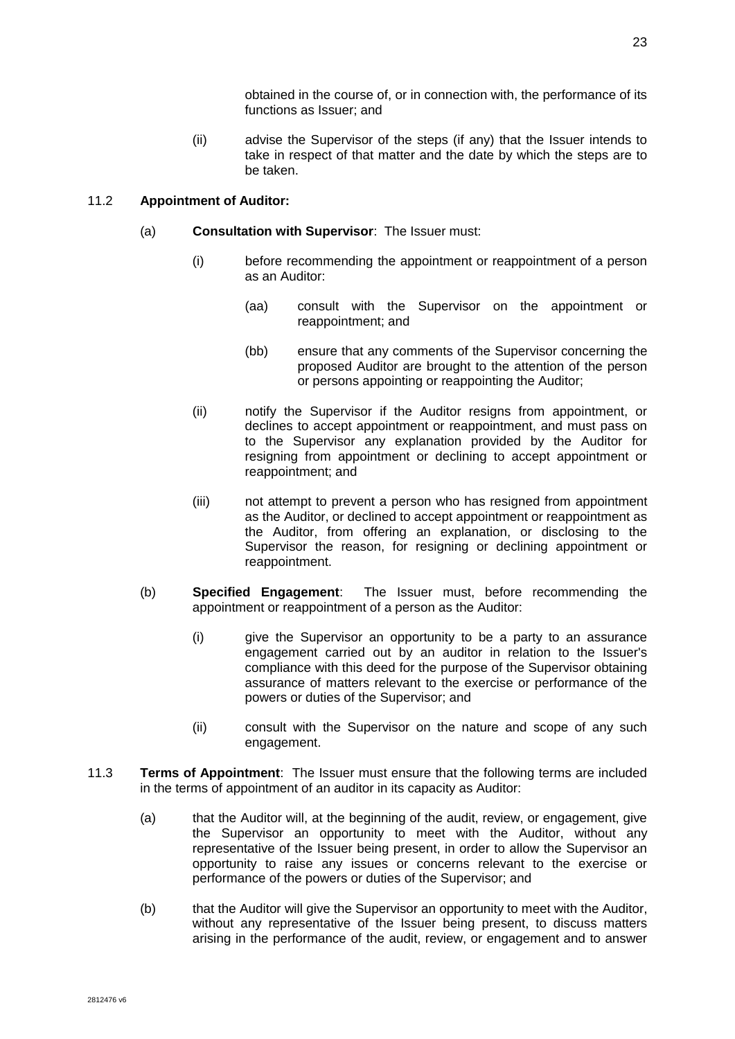obtained in the course of, or in connection with, the performance of its functions as Issuer; and

(ii) advise the Supervisor of the steps (if any) that the Issuer intends to take in respect of that matter and the date by which the steps are to be taken.

# 11.2 **Appointment of Auditor:**

- (a) **Consultation with Supervisor**: The Issuer must:
	- (i) before recommending the appointment or reappointment of a person as an Auditor:
		- (aa) consult with the Supervisor on the appointment or reappointment; and
		- (bb) ensure that any comments of the Supervisor concerning the proposed Auditor are brought to the attention of the person or persons appointing or reappointing the Auditor;
	- (ii) notify the Supervisor if the Auditor resigns from appointment, or declines to accept appointment or reappointment, and must pass on to the Supervisor any explanation provided by the Auditor for resigning from appointment or declining to accept appointment or reappointment; and
	- (iii) not attempt to prevent a person who has resigned from appointment as the Auditor, or declined to accept appointment or reappointment as the Auditor, from offering an explanation, or disclosing to the Supervisor the reason, for resigning or declining appointment or reappointment.
- (b) **Specified Engagement**: The Issuer must, before recommending the appointment or reappointment of a person as the Auditor:
	- (i) give the Supervisor an opportunity to be a party to an assurance engagement carried out by an auditor in relation to the Issuer's compliance with this deed for the purpose of the Supervisor obtaining assurance of matters relevant to the exercise or performance of the powers or duties of the Supervisor; and
	- (ii) consult with the Supervisor on the nature and scope of any such engagement.
- 11.3 **Terms of Appointment**: The Issuer must ensure that the following terms are included in the terms of appointment of an auditor in its capacity as Auditor:
	- (a) that the Auditor will, at the beginning of the audit, review, or engagement, give the Supervisor an opportunity to meet with the Auditor, without any representative of the Issuer being present, in order to allow the Supervisor an opportunity to raise any issues or concerns relevant to the exercise or performance of the powers or duties of the Supervisor; and
	- (b) that the Auditor will give the Supervisor an opportunity to meet with the Auditor, without any representative of the Issuer being present, to discuss matters arising in the performance of the audit, review, or engagement and to answer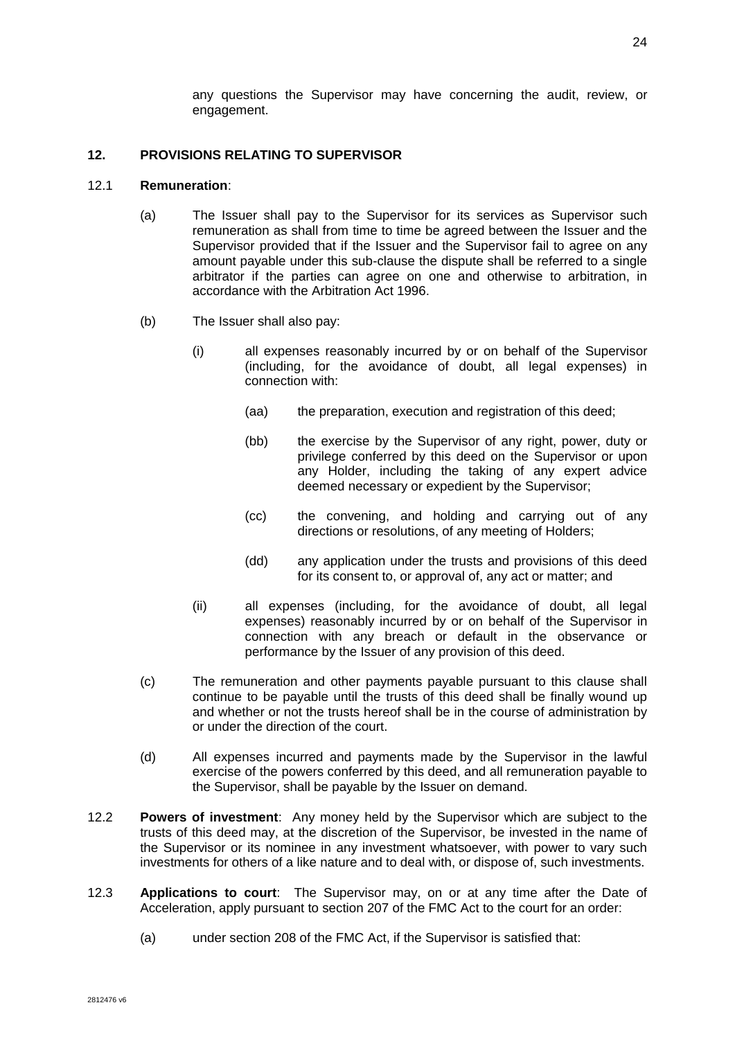# **12. PROVISIONS RELATING TO SUPERVISOR**

# 12.1 **Remuneration**:

- (a) The Issuer shall pay to the Supervisor for its services as Supervisor such remuneration as shall from time to time be agreed between the Issuer and the Supervisor provided that if the Issuer and the Supervisor fail to agree on any amount payable under this sub-clause the dispute shall be referred to a single arbitrator if the parties can agree on one and otherwise to arbitration, in accordance with the Arbitration Act 1996.
- <span id="page-31-0"></span>(b) The Issuer shall also pay:
	- (i) all expenses reasonably incurred by or on behalf of the Supervisor (including, for the avoidance of doubt, all legal expenses) in connection with:
		- (aa) the preparation, execution and registration of this deed;
		- (bb) the exercise by the Supervisor of any right, power, duty or privilege conferred by this deed on the Supervisor or upon any Holder, including the taking of any expert advice deemed necessary or expedient by the Supervisor;
		- (cc) the convening, and holding and carrying out of any directions or resolutions, of any meeting of Holders;
		- (dd) any application under the trusts and provisions of this deed for its consent to, or approval of, any act or matter; and
	- (ii) all expenses (including, for the avoidance of doubt, all legal expenses) reasonably incurred by or on behalf of the Supervisor in connection with any breach or default in the observance or performance by the Issuer of any provision of this deed.
- (c) The remuneration and other payments payable pursuant to this clause shall continue to be payable until the trusts of this deed shall be finally wound up and whether or not the trusts hereof shall be in the course of administration by or under the direction of the court.
- (d) All expenses incurred and payments made by the Supervisor in the lawful exercise of the powers conferred by this deed, and all remuneration payable to the Supervisor, shall be payable by the Issuer on demand.
- 12.2 **Powers of investment**: Any money held by the Supervisor which are subject to the trusts of this deed may, at the discretion of the Supervisor, be invested in the name of the Supervisor or its nominee in any investment whatsoever, with power to vary such investments for others of a like nature and to deal with, or dispose of, such investments.
- 12.3 **Applications to court**: The Supervisor may, on or at any time after the Date of Acceleration, apply pursuant to section 207 of the FMC Act to the court for an order:
	- (a) under section 208 of the FMC Act, if the Supervisor is satisfied that: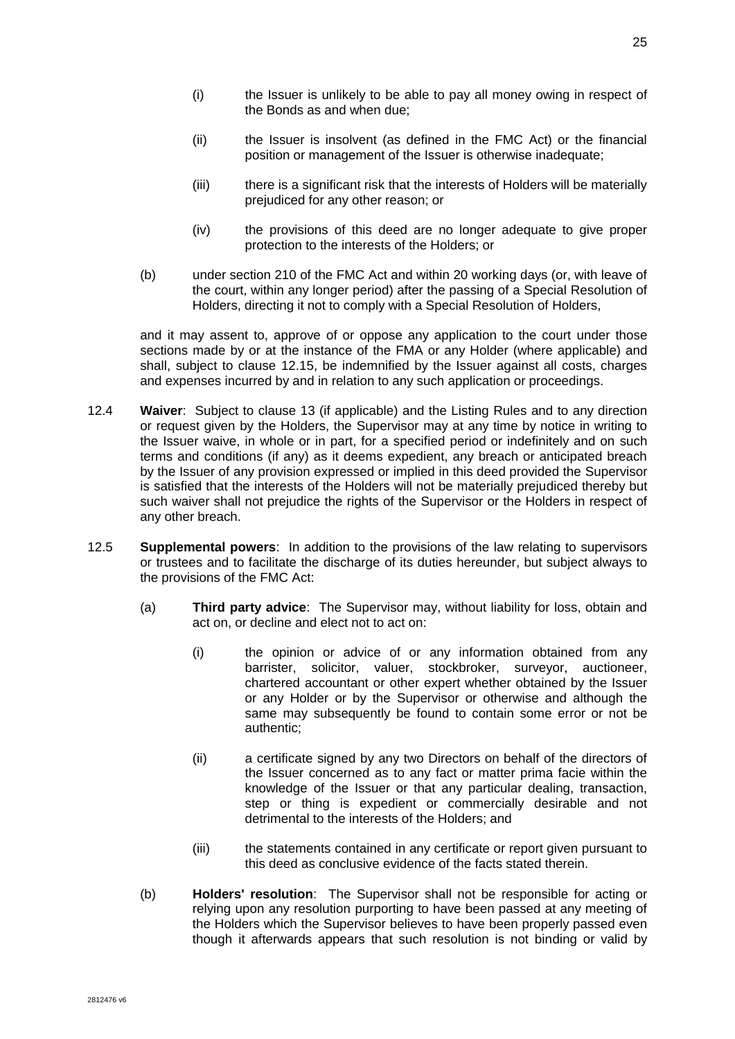- (i) the Issuer is unlikely to be able to pay all money owing in respect of the Bonds as and when due;
- (ii) the Issuer is insolvent (as defined in the FMC Act) or the financial position or management of the Issuer is otherwise inadequate;
- (iii) there is a significant risk that the interests of Holders will be materially prejudiced for any other reason; or
- (iv) the provisions of this deed are no longer adequate to give proper protection to the interests of the Holders; or
- (b) under section 210 of the FMC Act and within 20 working days (or, with leave of the court, within any longer period) after the passing of a Special Resolution of Holders, directing it not to comply with a Special Resolution of Holders,

and it may assent to, approve of or oppose any application to the court under those sections made by or at the instance of the FMA or any Holder (where applicable) and shall, subject to clause [12.15,](#page-37-0) be indemnified by the Issuer against all costs, charges and expenses incurred by and in relation to any such application or proceedings.

- <span id="page-32-0"></span>12.4 **Waiver**: Subject to clause [13](#page-38-0) (if applicable) and the Listing Rules and to any direction or request given by the Holders, the Supervisor may at any time by notice in writing to the Issuer waive, in whole or in part, for a specified period or indefinitely and on such terms and conditions (if any) as it deems expedient, any breach or anticipated breach by the Issuer of any provision expressed or implied in this deed provided the Supervisor is satisfied that the interests of the Holders will not be materially prejudiced thereby but such waiver shall not prejudice the rights of the Supervisor or the Holders in respect of any other breach.
- 12.5 **Supplemental powers**: In addition to the provisions of the law relating to supervisors or trustees and to facilitate the discharge of its duties hereunder, but subject always to the provisions of the FMC Act:
	- (a) **Third party advice**: The Supervisor may, without liability for loss, obtain and act on, or decline and elect not to act on:
		- (i) the opinion or advice of or any information obtained from any barrister, solicitor, valuer, stockbroker, surveyor, auctioneer, chartered accountant or other expert whether obtained by the Issuer or any Holder or by the Supervisor or otherwise and although the same may subsequently be found to contain some error or not be authentic;
		- (ii) a certificate signed by any two Directors on behalf of the directors of the Issuer concerned as to any fact or matter prima facie within the knowledge of the Issuer or that any particular dealing, transaction, step or thing is expedient or commercially desirable and not detrimental to the interests of the Holders; and
		- (iii) the statements contained in any certificate or report given pursuant to this deed as conclusive evidence of the facts stated therein.
	- (b) **Holders' resolution**: The Supervisor shall not be responsible for acting or relying upon any resolution purporting to have been passed at any meeting of the Holders which the Supervisor believes to have been properly passed even though it afterwards appears that such resolution is not binding or valid by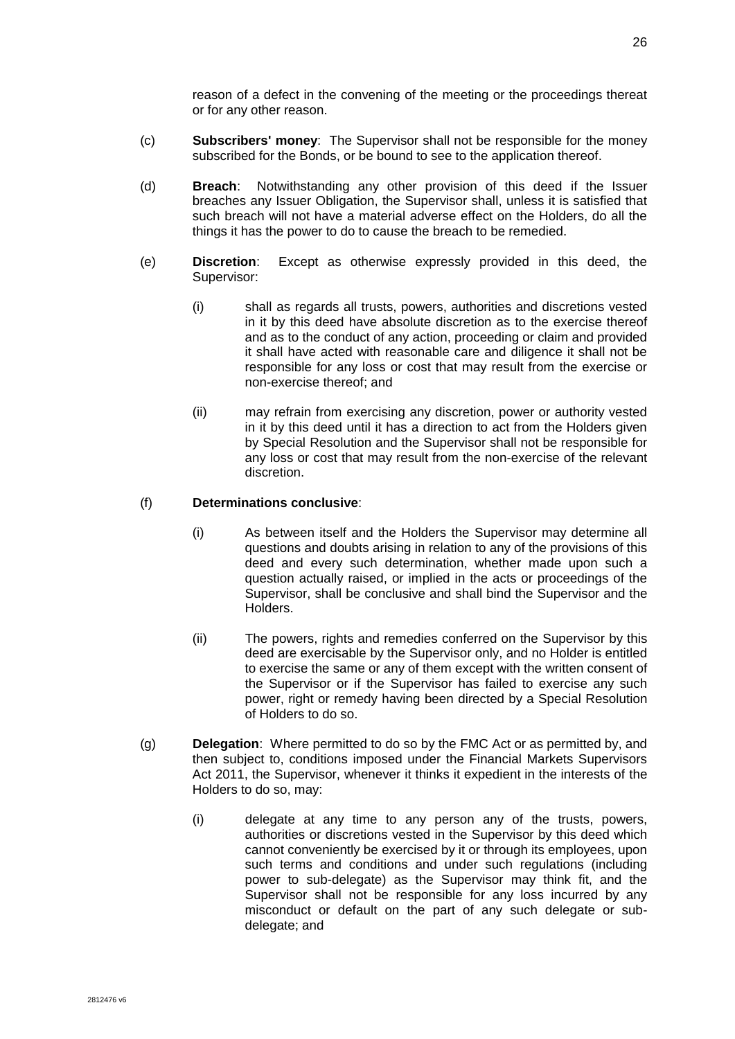reason of a defect in the convening of the meeting or the proceedings thereat or for any other reason.

- (c) **Subscribers' money**: The Supervisor shall not be responsible for the money subscribed for the Bonds, or be bound to see to the application thereof.
- (d) **Breach**: Notwithstanding any other provision of this deed if the Issuer breaches any Issuer Obligation, the Supervisor shall, unless it is satisfied that such breach will not have a material adverse effect on the Holders, do all the things it has the power to do to cause the breach to be remedied.
- (e) **Discretion**: Except as otherwise expressly provided in this deed, the Supervisor:
	- (i) shall as regards all trusts, powers, authorities and discretions vested in it by this deed have absolute discretion as to the exercise thereof and as to the conduct of any action, proceeding or claim and provided it shall have acted with reasonable care and diligence it shall not be responsible for any loss or cost that may result from the exercise or non-exercise thereof; and
	- (ii) may refrain from exercising any discretion, power or authority vested in it by this deed until it has a direction to act from the Holders given by Special Resolution and the Supervisor shall not be responsible for any loss or cost that may result from the non-exercise of the relevant discretion.

### (f) **Determinations conclusive**:

- (i) As between itself and the Holders the Supervisor may determine all questions and doubts arising in relation to any of the provisions of this deed and every such determination, whether made upon such a question actually raised, or implied in the acts or proceedings of the Supervisor, shall be conclusive and shall bind the Supervisor and the Holders.
- (ii) The powers, rights and remedies conferred on the Supervisor by this deed are exercisable by the Supervisor only, and no Holder is entitled to exercise the same or any of them except with the written consent of the Supervisor or if the Supervisor has failed to exercise any such power, right or remedy having been directed by a Special Resolution of Holders to do so.
- (g) **Delegation**: Where permitted to do so by the FMC Act or as permitted by, and then subject to, conditions imposed under the Financial Markets Supervisors Act 2011, the Supervisor, whenever it thinks it expedient in the interests of the Holders to do so, may:
	- (i) delegate at any time to any person any of the trusts, powers, authorities or discretions vested in the Supervisor by this deed which cannot conveniently be exercised by it or through its employees, upon such terms and conditions and under such regulations (including power to sub-delegate) as the Supervisor may think fit, and the Supervisor shall not be responsible for any loss incurred by any misconduct or default on the part of any such delegate or subdelegate; and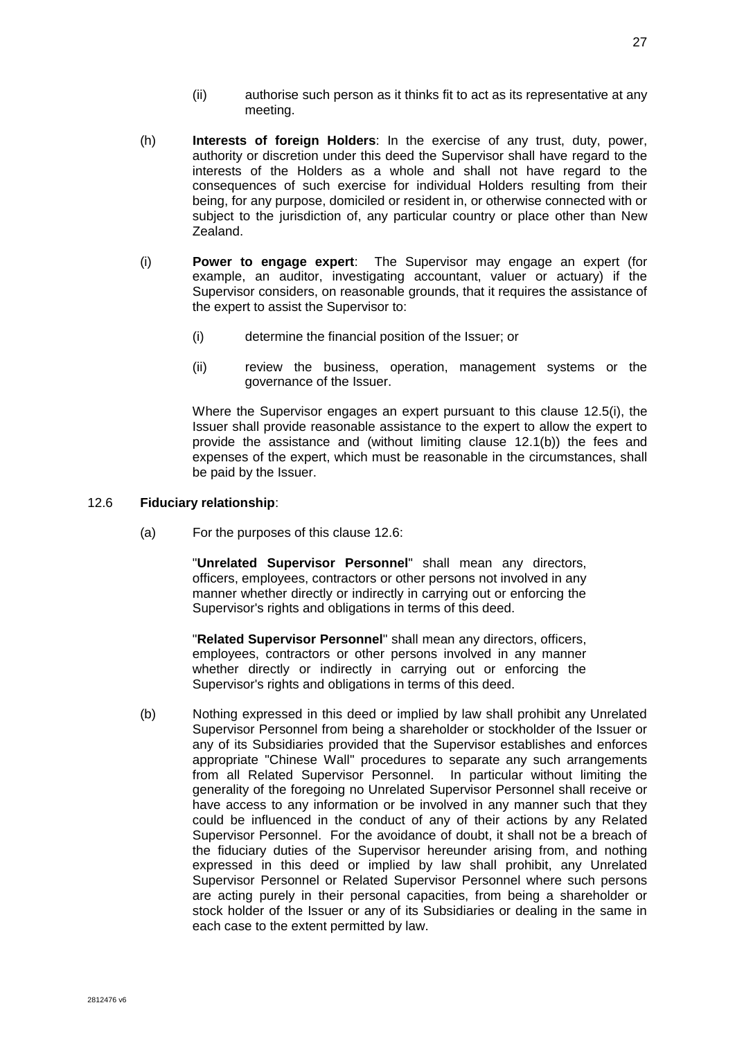- (ii) authorise such person as it thinks fit to act as its representative at any meeting.
- (h) **Interests of foreign Holders**: In the exercise of any trust, duty, power, authority or discretion under this deed the Supervisor shall have regard to the interests of the Holders as a whole and shall not have regard to the consequences of such exercise for individual Holders resulting from their being, for any purpose, domiciled or resident in, or otherwise connected with or subject to the jurisdiction of, any particular country or place other than New Zealand.
- <span id="page-34-0"></span>(i) **Power to engage expert**: The Supervisor may engage an expert (for example, an auditor, investigating accountant, valuer or actuary) if the Supervisor considers, on reasonable grounds, that it requires the assistance of the expert to assist the Supervisor to:
	- (i) determine the financial position of the Issuer; or
	- (ii) review the business, operation, management systems or the governance of the Issuer.

Where the Supervisor engages an expert pursuant to this clause [12.5\(i\),](#page-34-0) the Issuer shall provide reasonable assistance to the expert to allow the expert to provide the assistance and (without limiting clause [12.1\(b\)\)](#page-31-0) the fees and expenses of the expert, which must be reasonable in the circumstances, shall be paid by the Issuer.

#### <span id="page-34-1"></span>12.6 **Fiduciary relationship**:

(a) For the purposes of this clause [12.6:](#page-34-1)

"**Unrelated Supervisor Personnel**" shall mean any directors, officers, employees, contractors or other persons not involved in any manner whether directly or indirectly in carrying out or enforcing the Supervisor's rights and obligations in terms of this deed.

"**Related Supervisor Personnel**" shall mean any directors, officers, employees, contractors or other persons involved in any manner whether directly or indirectly in carrying out or enforcing the Supervisor's rights and obligations in terms of this deed.

(b) Nothing expressed in this deed or implied by law shall prohibit any Unrelated Supervisor Personnel from being a shareholder or stockholder of the Issuer or any of its Subsidiaries provided that the Supervisor establishes and enforces appropriate "Chinese Wall" procedures to separate any such arrangements from all Related Supervisor Personnel. In particular without limiting the generality of the foregoing no Unrelated Supervisor Personnel shall receive or have access to any information or be involved in any manner such that they could be influenced in the conduct of any of their actions by any Related Supervisor Personnel. For the avoidance of doubt, it shall not be a breach of the fiduciary duties of the Supervisor hereunder arising from, and nothing expressed in this deed or implied by law shall prohibit, any Unrelated Supervisor Personnel or Related Supervisor Personnel where such persons are acting purely in their personal capacities, from being a shareholder or stock holder of the Issuer or any of its Subsidiaries or dealing in the same in each case to the extent permitted by law.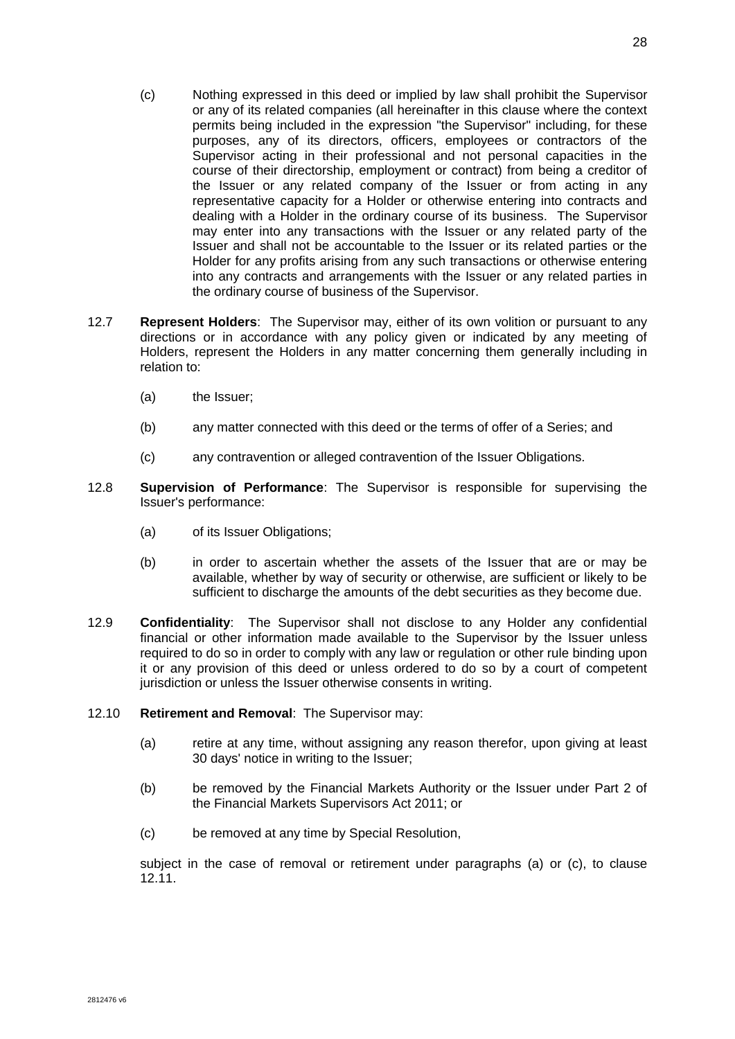- (c) Nothing expressed in this deed or implied by law shall prohibit the Supervisor or any of its related companies (all hereinafter in this clause where the context permits being included in the expression "the Supervisor" including, for these purposes, any of its directors, officers, employees or contractors of the Supervisor acting in their professional and not personal capacities in the course of their directorship, employment or contract) from being a creditor of the Issuer or any related company of the Issuer or from acting in any representative capacity for a Holder or otherwise entering into contracts and dealing with a Holder in the ordinary course of its business. The Supervisor may enter into any transactions with the Issuer or any related party of the Issuer and shall not be accountable to the Issuer or its related parties or the Holder for any profits arising from any such transactions or otherwise entering into any contracts and arrangements with the Issuer or any related parties in the ordinary course of business of the Supervisor.
- 12.7 **Represent Holders**: The Supervisor may, either of its own volition or pursuant to any directions or in accordance with any policy given or indicated by any meeting of Holders, represent the Holders in any matter concerning them generally including in relation to:
	- (a) the Issuer;
	- (b) any matter connected with this deed or the terms of offer of a Series; and
	- (c) any contravention or alleged contravention of the Issuer Obligations.
- 12.8 **Supervision of Performance**: The Supervisor is responsible for supervising the Issuer's performance:
	- (a) of its Issuer Obligations;
	- (b) in order to ascertain whether the assets of the Issuer that are or may be available, whether by way of security or otherwise, are sufficient or likely to be sufficient to discharge the amounts of the debt securities as they become due.
- 12.9 **Confidentiality**: The Supervisor shall not disclose to any Holder any confidential financial or other information made available to the Supervisor by the Issuer unless required to do so in order to comply with any law or regulation or other rule binding upon it or any provision of this deed or unless ordered to do so by a court of competent jurisdiction or unless the Issuer otherwise consents in writing.
- <span id="page-35-2"></span><span id="page-35-0"></span>12.10 **Retirement and Removal**: The Supervisor may:
	- (a) retire at any time, without assigning any reason therefor, upon giving at least 30 days' notice in writing to the Issuer;
	- (b) be removed by the Financial Markets Authority or the Issuer under Part 2 of the Financial Markets Supervisors Act 2011; or
	- (c) be removed at any time by Special Resolution,

<span id="page-35-1"></span>subject in the case of removal or retirement under paragraphs [\(a\)](#page-36-0) or [\(c\),](#page-36-1) to clause [12.11.](#page-36-2)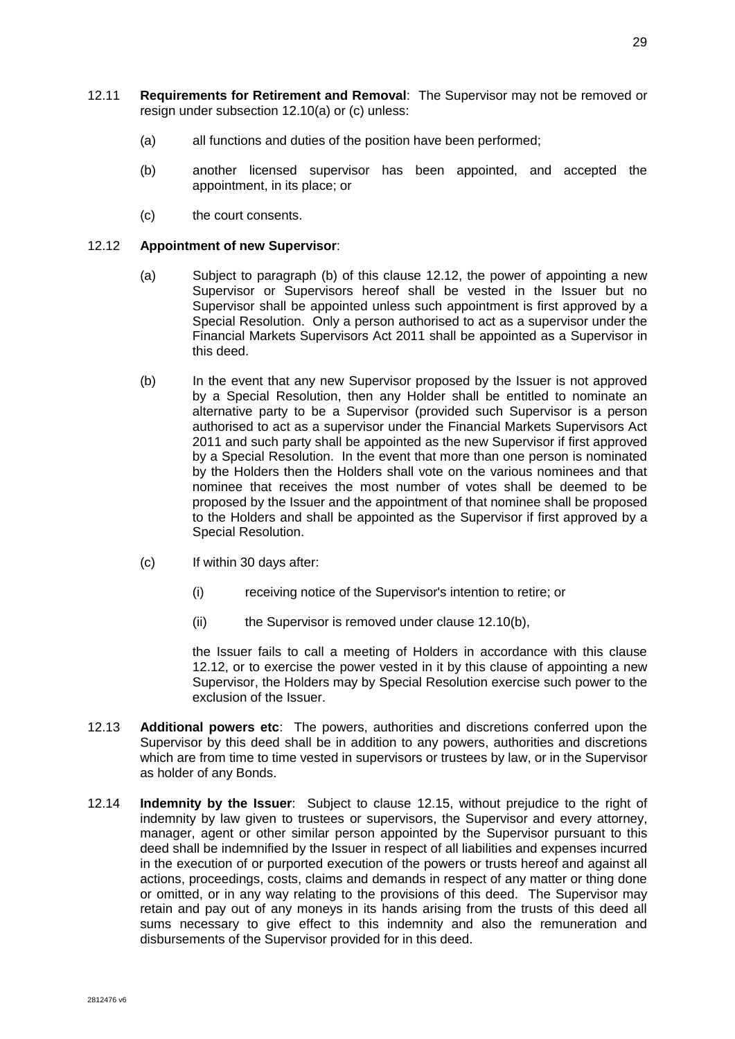- <span id="page-36-2"></span><span id="page-36-0"></span>12.11 **Requirements for Retirement and Removal**: The Supervisor may not be removed or resign under subsection [12.10\(a\)](#page-35-0) or [\(c\)](#page-35-1) unless:
	- (a) all functions and duties of the position have been performed;
	- (b) another licensed supervisor has been appointed, and accepted the appointment, in its place; or
	- (c) the court consents.

# <span id="page-36-4"></span><span id="page-36-1"></span>12.12 **Appointment of new Supervisor**:

- (a) Subject to paragraph [\(b\)](#page-36-3) of this clause [12.12,](#page-36-4) the power of appointing a new Supervisor or Supervisors hereof shall be vested in the Issuer but no Supervisor shall be appointed unless such appointment is first approved by a Special Resolution. Only a person authorised to act as a supervisor under the Financial Markets Supervisors Act 2011 shall be appointed as a Supervisor in this deed.
- <span id="page-36-3"></span>(b) In the event that any new Supervisor proposed by the Issuer is not approved by a Special Resolution, then any Holder shall be entitled to nominate an alternative party to be a Supervisor (provided such Supervisor is a person authorised to act as a supervisor under the Financial Markets Supervisors Act 2011 and such party shall be appointed as the new Supervisor if first approved by a Special Resolution. In the event that more than one person is nominated by the Holders then the Holders shall vote on the various nominees and that nominee that receives the most number of votes shall be deemed to be proposed by the Issuer and the appointment of that nominee shall be proposed to the Holders and shall be appointed as the Supervisor if first approved by a Special Resolution.
- (c) If within 30 days after:
	- (i) receiving notice of the Supervisor's intention to retire; or
	- (ii) the Supervisor is removed under clause [12.10\(b\),](#page-35-2)

the Issuer fails to call a meeting of Holders in accordance with this clause [12.12,](#page-36-4) or to exercise the power vested in it by this clause of appointing a new Supervisor, the Holders may by Special Resolution exercise such power to the exclusion of the Issuer.

- 12.13 **Additional powers etc**: The powers, authorities and discretions conferred upon the Supervisor by this deed shall be in addition to any powers, authorities and discretions which are from time to time vested in supervisors or trustees by law, or in the Supervisor as holder of any Bonds.
- 12.14 **Indemnity by the Issuer**: Subject to clause [12.15,](#page-37-0) without prejudice to the right of indemnity by law given to trustees or supervisors, the Supervisor and every attorney, manager, agent or other similar person appointed by the Supervisor pursuant to this deed shall be indemnified by the Issuer in respect of all liabilities and expenses incurred in the execution of or purported execution of the powers or trusts hereof and against all actions, proceedings, costs, claims and demands in respect of any matter or thing done or omitted, or in any way relating to the provisions of this deed. The Supervisor may retain and pay out of any moneys in its hands arising from the trusts of this deed all sums necessary to give effect to this indemnity and also the remuneration and disbursements of the Supervisor provided for in this deed.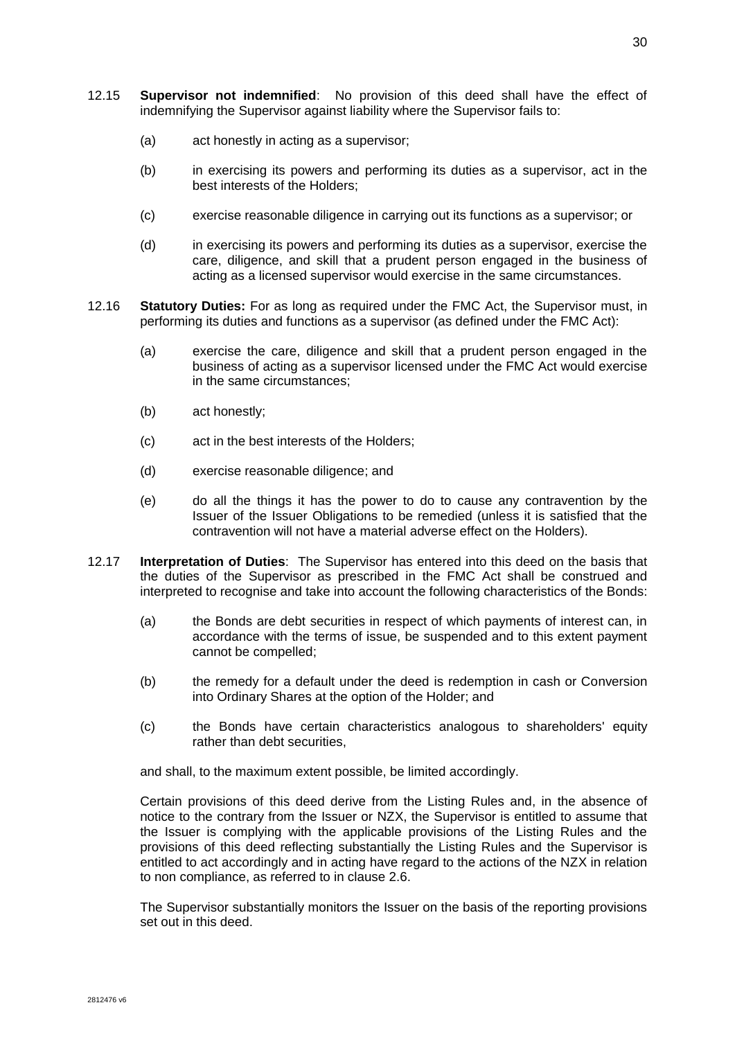- <span id="page-37-0"></span>12.15 **Supervisor not indemnified**: No provision of this deed shall have the effect of indemnifying the Supervisor against liability where the Supervisor fails to:
	- (a) act honestly in acting as a supervisor;
	- (b) in exercising its powers and performing its duties as a supervisor, act in the best interests of the Holders;
	- (c) exercise reasonable diligence in carrying out its functions as a supervisor; or
	- (d) in exercising its powers and performing its duties as a supervisor, exercise the care, diligence, and skill that a prudent person engaged in the business of acting as a licensed supervisor would exercise in the same circumstances.
- 12.16 **Statutory Duties:** For as long as required under the FMC Act, the Supervisor must, in performing its duties and functions as a supervisor (as defined under the FMC Act):
	- (a) exercise the care, diligence and skill that a prudent person engaged in the business of acting as a supervisor licensed under the FMC Act would exercise in the same circumstances;
	- (b) act honestly;
	- (c) act in the best interests of the Holders;
	- (d) exercise reasonable diligence; and
	- (e) do all the things it has the power to do to cause any contravention by the Issuer of the Issuer Obligations to be remedied (unless it is satisfied that the contravention will not have a material adverse effect on the Holders).
- 12.17 **Interpretation of Duties**: The Supervisor has entered into this deed on the basis that the duties of the Supervisor as prescribed in the FMC Act shall be construed and interpreted to recognise and take into account the following characteristics of the Bonds:
	- (a) the Bonds are debt securities in respect of which payments of interest can, in accordance with the terms of issue, be suspended and to this extent payment cannot be compelled;
	- (b) the remedy for a default under the deed is redemption in cash or Conversion into Ordinary Shares at the option of the Holder; and
	- (c) the Bonds have certain characteristics analogous to shareholders' equity rather than debt securities,

and shall, to the maximum extent possible, be limited accordingly.

Certain provisions of this deed derive from the Listing Rules and, in the absence of notice to the contrary from the Issuer or NZX, the Supervisor is entitled to assume that the Issuer is complying with the applicable provisions of the Listing Rules and the provisions of this deed reflecting substantially the Listing Rules and the Supervisor is entitled to act accordingly and in acting have regard to the actions of the NZX in relation to non compliance, as referred to in clause [2.6.](#page-15-0)

The Supervisor substantially monitors the Issuer on the basis of the reporting provisions set out in this deed.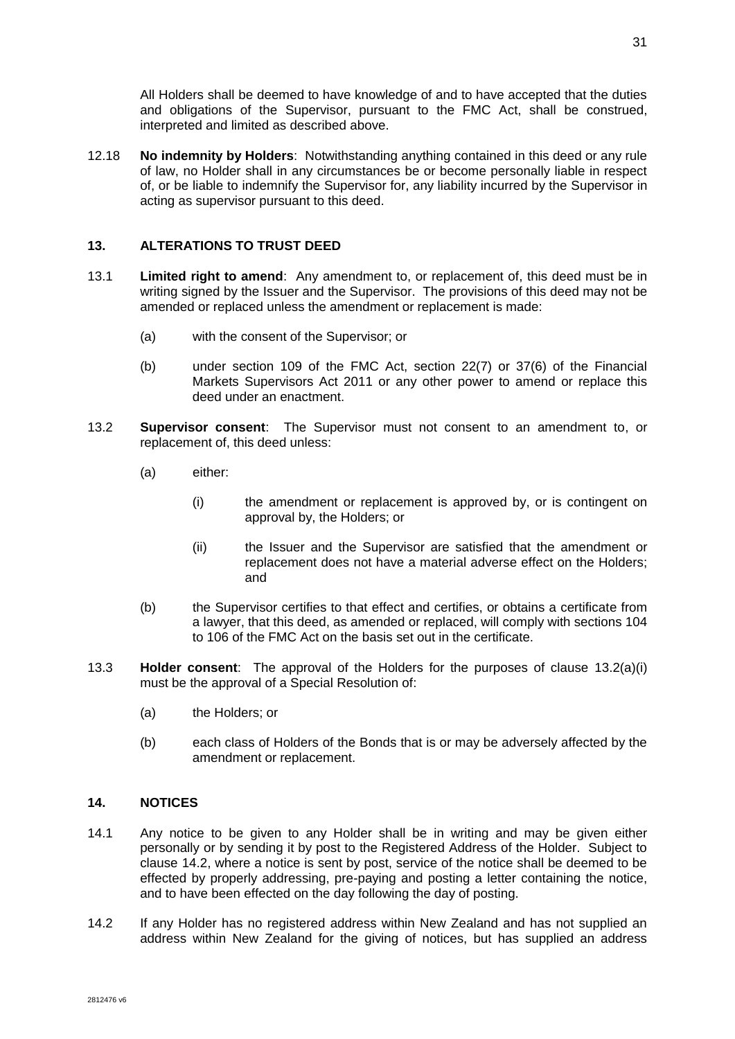All Holders shall be deemed to have knowledge of and to have accepted that the duties and obligations of the Supervisor, pursuant to the FMC Act, shall be construed, interpreted and limited as described above.

12.18 **No indemnity by Holders**: Notwithstanding anything contained in this deed or any rule of law, no Holder shall in any circumstances be or become personally liable in respect of, or be liable to indemnify the Supervisor for, any liability incurred by the Supervisor in acting as supervisor pursuant to this deed.

# <span id="page-38-0"></span>**13. ALTERATIONS TO TRUST DEED**

- 13.1 **Limited right to amend**: Any amendment to, or replacement of, this deed must be in writing signed by the Issuer and the Supervisor. The provisions of this deed may not be amended or replaced unless the amendment or replacement is made:
	- (a) with the consent of the Supervisor; or
	- (b) under section 109 of the FMC Act, section 22(7) or 37(6) of the Financial Markets Supervisors Act 2011 or any other power to amend or replace this deed under an enactment.
- <span id="page-38-1"></span>13.2 **Supervisor consent**: The Supervisor must not consent to an amendment to, or replacement of, this deed unless:
	- (a) either:
		- (i) the amendment or replacement is approved by, or is contingent on approval by, the Holders; or
		- (ii) the Issuer and the Supervisor are satisfied that the amendment or replacement does not have a material adverse effect on the Holders; and
	- (b) the Supervisor certifies to that effect and certifies, or obtains a certificate from a lawyer, that this deed, as amended or replaced, will comply with sections 104 to 106 of the FMC Act on the basis set out in the certificate.
- 13.3 **Holder consent**: The approval of the Holders for the purposes of clause [13.2\(a\)\(i\)](#page-38-1) must be the approval of a Special Resolution of:
	- (a) the Holders; or
	- (b) each class of Holders of the Bonds that is or may be adversely affected by the amendment or replacement.

# **14. NOTICES**

- 14.1 Any notice to be given to any Holder shall be in writing and may be given either personally or by sending it by post to the Registered Address of the Holder. Subject to clause [14.2,](#page-38-2) where a notice is sent by post, service of the notice shall be deemed to be effected by properly addressing, pre-paying and posting a letter containing the notice, and to have been effected on the day following the day of posting.
- <span id="page-38-2"></span>14.2 If any Holder has no registered address within New Zealand and has not supplied an address within New Zealand for the giving of notices, but has supplied an address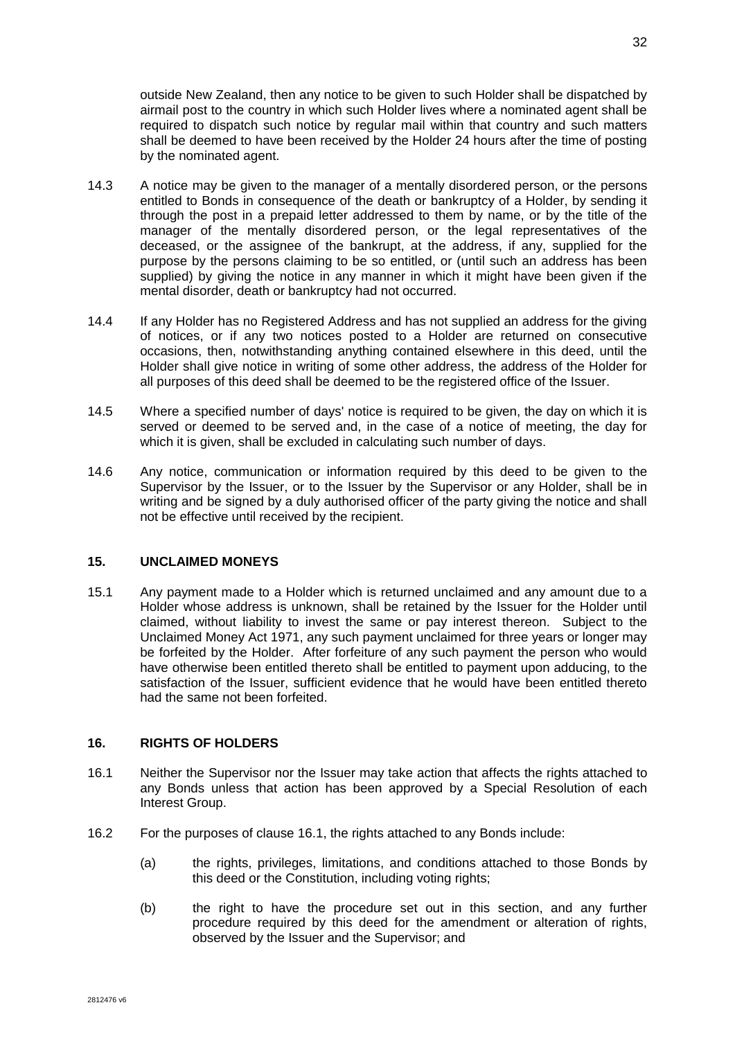outside New Zealand, then any notice to be given to such Holder shall be dispatched by airmail post to the country in which such Holder lives where a nominated agent shall be required to dispatch such notice by regular mail within that country and such matters shall be deemed to have been received by the Holder 24 hours after the time of posting by the nominated agent.

- 14.3 A notice may be given to the manager of a mentally disordered person, or the persons entitled to Bonds in consequence of the death or bankruptcy of a Holder, by sending it through the post in a prepaid letter addressed to them by name, or by the title of the manager of the mentally disordered person, or the legal representatives of the deceased, or the assignee of the bankrupt, at the address, if any, supplied for the purpose by the persons claiming to be so entitled, or (until such an address has been supplied) by giving the notice in any manner in which it might have been given if the mental disorder, death or bankruptcy had not occurred.
- 14.4 If any Holder has no Registered Address and has not supplied an address for the giving of notices, or if any two notices posted to a Holder are returned on consecutive occasions, then, notwithstanding anything contained elsewhere in this deed, until the Holder shall give notice in writing of some other address, the address of the Holder for all purposes of this deed shall be deemed to be the registered office of the Issuer.
- 14.5 Where a specified number of days' notice is required to be given, the day on which it is served or deemed to be served and, in the case of a notice of meeting, the day for which it is given, shall be excluded in calculating such number of days.
- 14.6 Any notice, communication or information required by this deed to be given to the Supervisor by the Issuer, or to the Issuer by the Supervisor or any Holder, shall be in writing and be signed by a duly authorised officer of the party giving the notice and shall not be effective until received by the recipient.

### **15. UNCLAIMED MONEYS**

15.1 Any payment made to a Holder which is returned unclaimed and any amount due to a Holder whose address is unknown, shall be retained by the Issuer for the Holder until claimed, without liability to invest the same or pay interest thereon. Subject to the Unclaimed Money Act 1971, any such payment unclaimed for three years or longer may be forfeited by the Holder. After forfeiture of any such payment the person who would have otherwise been entitled thereto shall be entitled to payment upon adducing, to the satisfaction of the Issuer, sufficient evidence that he would have been entitled thereto had the same not been forfeited.

## <span id="page-39-0"></span>**16. RIGHTS OF HOLDERS**

- 16.1 Neither the Supervisor nor the Issuer may take action that affects the rights attached to any Bonds unless that action has been approved by a Special Resolution of each Interest Group.
- 16.2 For the purposes of clause [16.1,](#page-39-0) the rights attached to any Bonds include:
	- (a) the rights, privileges, limitations, and conditions attached to those Bonds by this deed or the Constitution, including voting rights;
	- (b) the right to have the procedure set out in this section, and any further procedure required by this deed for the amendment or alteration of rights, observed by the Issuer and the Supervisor; and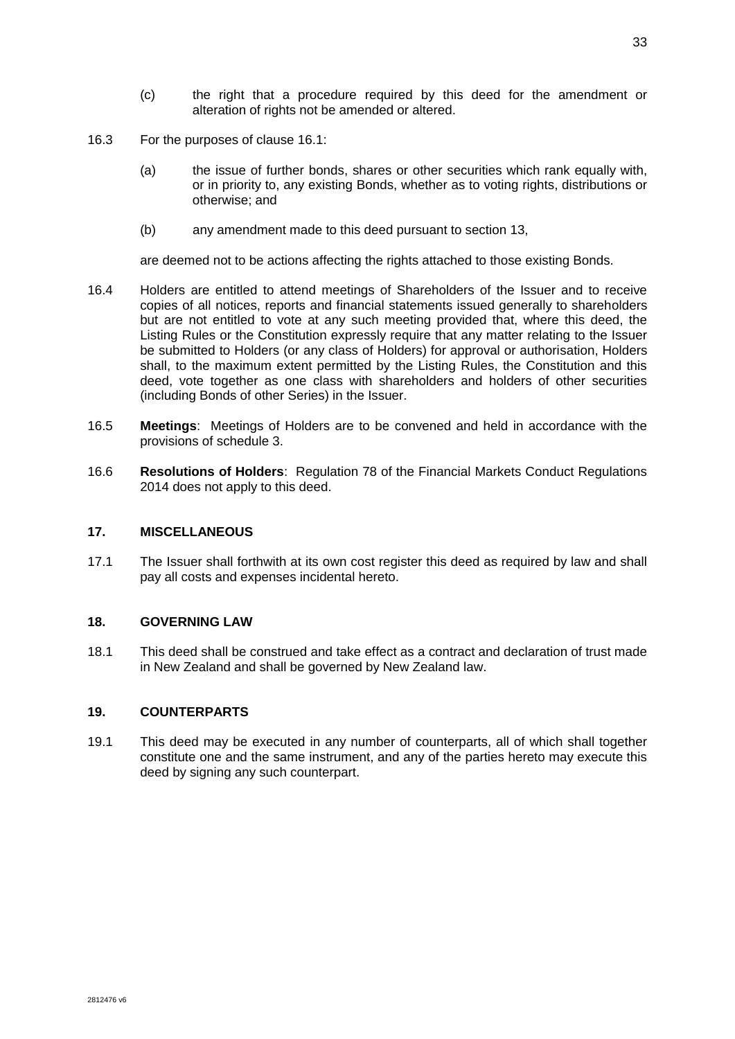- (c) the right that a procedure required by this deed for the amendment or alteration of rights not be amended or altered.
- 16.3 For the purposes of clause [16.1:](#page-39-0)
	- (a) the issue of further bonds, shares or other securities which rank equally with, or in priority to, any existing Bonds, whether as to voting rights, distributions or otherwise; and
	- (b) any amendment made to this deed pursuant to section [13,](#page-38-0)

are deemed not to be actions affecting the rights attached to those existing Bonds.

- 16.4 Holders are entitled to attend meetings of Shareholders of the Issuer and to receive copies of all notices, reports and financial statements issued generally to shareholders but are not entitled to vote at any such meeting provided that, where this deed, the Listing Rules or the Constitution expressly require that any matter relating to the Issuer be submitted to Holders (or any class of Holders) for approval or authorisation, Holders shall, to the maximum extent permitted by the Listing Rules, the Constitution and this deed, vote together as one class with shareholders and holders of other securities (including Bonds of other Series) in the Issuer.
- 16.5 **Meetings**: Meetings of Holders are to be convened and held in accordance with the provisions of schedule 3.
- 16.6 **Resolutions of Holders**: Regulation 78 of the Financial Markets Conduct Regulations 2014 does not apply to this deed.

### **17. MISCELLANEOUS**

17.1 The Issuer shall forthwith at its own cost register this deed as required by law and shall pay all costs and expenses incidental hereto.

### **18. GOVERNING LAW**

18.1 This deed shall be construed and take effect as a contract and declaration of trust made in New Zealand and shall be governed by New Zealand law.

# **19. COUNTERPARTS**

19.1 This deed may be executed in any number of counterparts, all of which shall together constitute one and the same instrument, and any of the parties hereto may execute this deed by signing any such counterpart.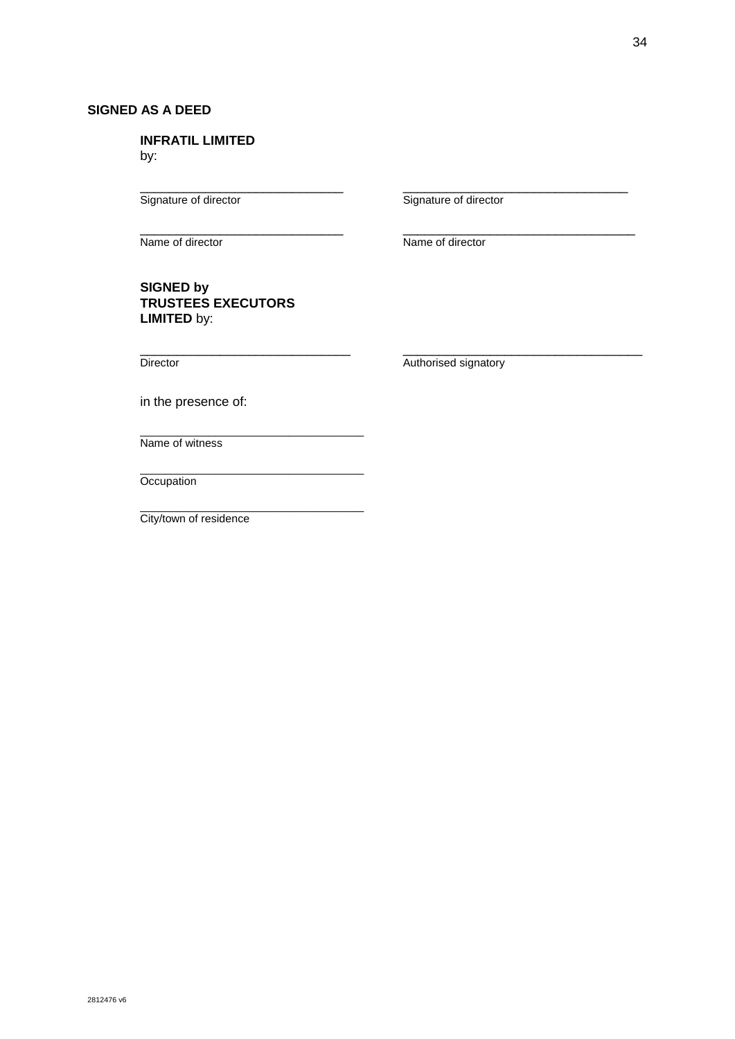# **SIGNED AS A DEED**

**INFRATIL LIMITED** by:

\_\_\_\_\_\_\_\_\_\_\_\_\_\_\_\_\_\_\_\_\_\_\_\_\_\_\_\_ \_\_\_\_\_\_\_\_\_\_\_\_\_\_\_\_\_\_\_\_\_\_\_\_\_\_\_\_\_\_\_

\_\_\_\_\_\_\_\_\_\_\_\_\_\_\_\_\_\_\_\_\_\_\_\_\_\_\_\_ \_\_\_\_\_\_\_\_\_\_\_\_\_\_\_\_\_\_\_\_\_\_\_\_\_\_\_\_\_\_\_\_ Name of director Name of director

Signature of director Signature of director

**SIGNED by TRUSTEES EXECUTORS LIMITED** by:

\_\_\_\_\_\_\_\_\_\_\_\_\_\_\_\_\_\_\_\_\_\_\_\_\_\_\_\_\_ \_\_\_\_\_\_\_\_\_\_\_\_\_\_\_\_\_\_\_\_\_\_\_\_\_\_\_\_\_\_\_\_\_

Director **Director Authorised signatory** 

in the presence of:

\_\_\_\_\_\_\_\_\_\_\_\_\_\_\_\_\_\_\_\_\_\_\_\_\_\_\_\_\_\_\_\_\_\_\_\_ Name of witness

\_\_\_\_\_\_\_\_\_\_\_\_\_\_\_\_\_\_\_\_\_\_\_\_\_\_\_\_\_\_\_\_\_\_\_\_ **Occupation** 

\_\_\_\_\_\_\_\_\_\_\_\_\_\_\_\_\_\_\_\_\_\_\_\_\_\_\_\_\_\_\_\_\_\_\_\_ City/town of residence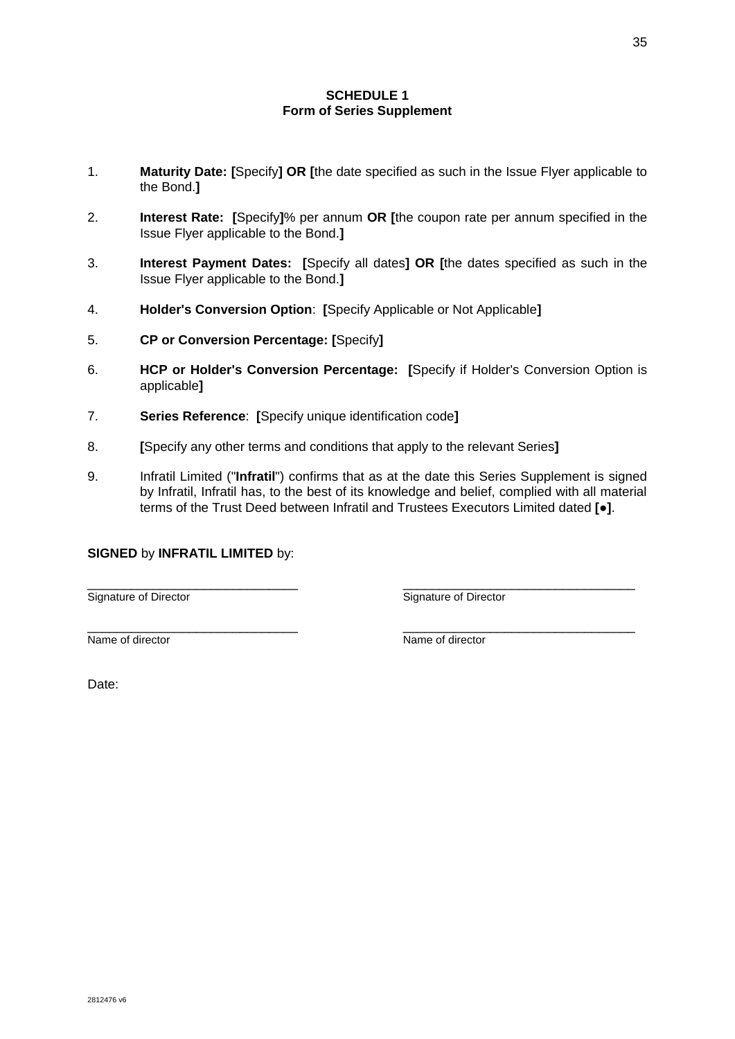# **SCHEDULE 1 Form of Series Supplement**

- 1. **Maturity Date: [**Specify**] OR [**the date specified as such in the Issue Flyer applicable to the Bond.**]**
- 2. **Interest Rate: [**Specify**]**% per annum **OR [**the coupon rate per annum specified in the Issue Flyer applicable to the Bond.**]**
- 3. **Interest Payment Dates: [**Specify all dates**] OR [**the dates specified as such in the Issue Flyer applicable to the Bond.**]**
- 4. **Holder's Conversion Option**: **[**Specify Applicable or Not Applicable**]**
- 5. **CP or Conversion Percentage: [**Specify**]**
- 6. **HCP or Holder's Conversion Percentage: [**Specify if Holder's Conversion Option is applicable**]**
- 7. **Series Reference**: **[**Specify unique identification code**]**
- 8. **[**Specify any other terms and conditions that apply to the relevant Series**]**
- 9. Infratil Limited ("**Infratil**") confirms that as at the date this Series Supplement is signed by Infratil, Infratil has, to the best of its knowledge and belief, complied with all material terms of the Trust Deed between Infratil and Trustees Executors Limited dated **[**●**]**.

\_\_\_\_\_\_\_\_\_\_\_\_\_\_\_\_\_\_\_\_\_\_\_\_\_\_\_\_\_ \_\_\_\_\_\_\_\_\_\_\_\_\_\_\_\_\_\_\_\_\_\_\_\_\_\_\_\_\_\_\_\_

### **SIGNED** by **INFRATIL LIMITED** by:

\_\_\_\_\_\_\_\_\_\_\_\_\_\_\_\_\_\_\_\_\_\_\_\_\_\_\_\_\_ \_\_\_\_\_\_\_\_\_\_\_\_\_\_\_\_\_\_\_\_\_\_\_\_\_\_\_\_\_\_\_\_ Signature of Director Signature of Director

Name of director Name of director

Date: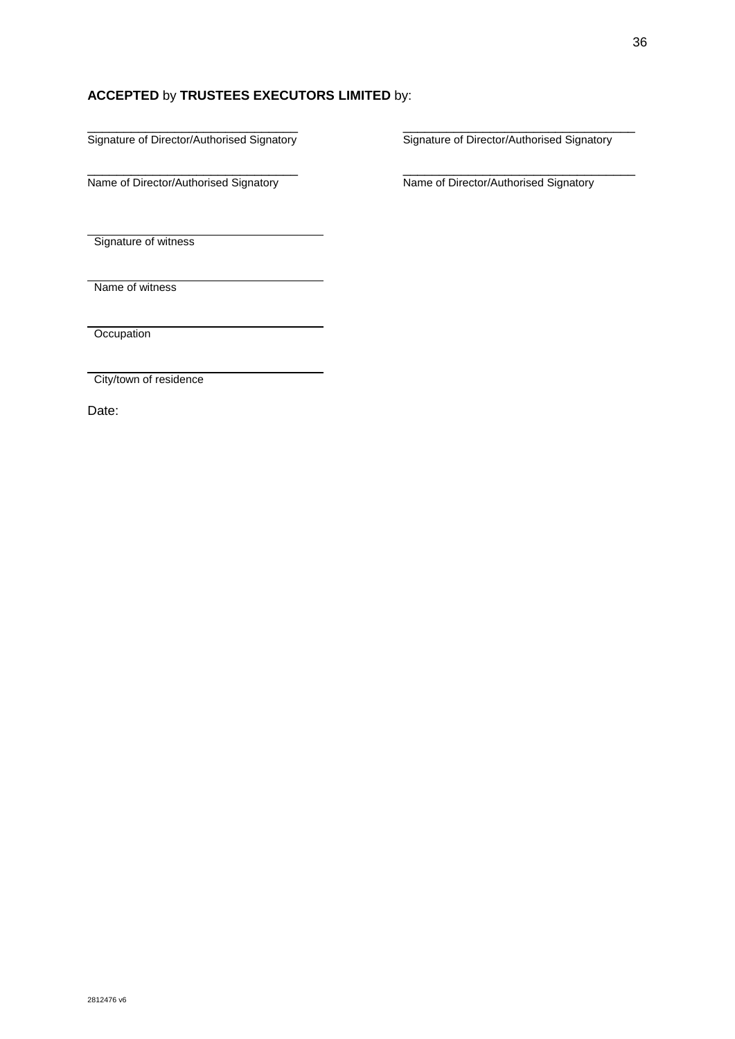# **ACCEPTED** by **TRUSTEES EXECUTORS LIMITED** by:

Signature of Director/Authorised Signatory

\_\_\_\_\_\_\_\_\_\_\_\_\_\_\_\_\_\_\_\_\_\_\_\_\_\_\_\_\_ \_\_\_\_\_\_\_\_\_\_\_\_\_\_\_\_\_\_\_\_\_\_\_\_\_\_\_\_\_\_\_\_ Name of Director/Authorised Signatory Name of Director/Authorised Signatory

Signature of Director/Authorised Signatory

Signature of witness

Name of witness

**Occupation** 

City/town of residence

Date: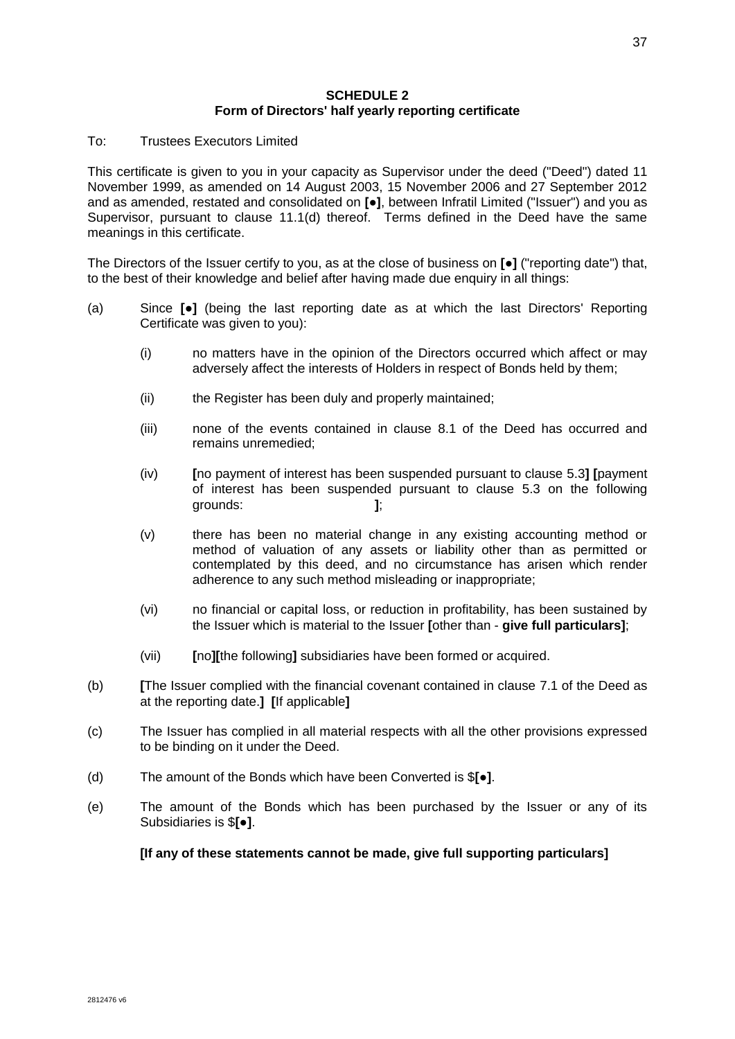# **SCHEDULE 2 Form of Directors' half yearly reporting certificate**

#### To: Trustees Executors Limited

This certificate is given to you in your capacity as Supervisor under the deed ("Deed") dated 11 November 1999, as amended on 14 August 2003, 15 November 2006 and 27 September 2012 and as amended, restated and consolidated on **[●]**, between Infratil Limited ("Issuer") and you as Supervisor, pursuant to clause [11.1\(d\)](#page-29-0) thereof. Terms defined in the Deed have the same meanings in this certificate.

The Directors of the Issuer certify to you, as at the close of business on **[**●**]** ("reporting date") that, to the best of their knowledge and belief after having made due enquiry in all things:

- (a) Since **[**●**]** (being the last reporting date as at which the last Directors' Reporting Certificate was given to you):
	- (i) no matters have in the opinion of the Directors occurred which affect or may adversely affect the interests of Holders in respect of Bonds held by them;
	- (ii) the Register has been duly and properly maintained;
	- (iii) none of the events contained in clause [8.1](#page-25-0) of the Deed has occurred and remains unremedied;
	- (iv) **[**no payment of interest has been suspended pursuant to clause [5.3](#page-18-1)**] [**payment of interest has been suspended pursuant to clause [5.3](#page-18-1) on the following grounds: **]**;
	- (v) there has been no material change in any existing accounting method or method of valuation of any assets or liability other than as permitted or contemplated by this deed, and no circumstance has arisen which render adherence to any such method misleading or inappropriate;
	- (vi) no financial or capital loss, or reduction in profitability, has been sustained by the Issuer which is material to the Issuer **[**other than - **give full particulars]**;
	- (vii) **[**no**][**the following**]** subsidiaries have been formed or acquired.
- (b) **[**The Issuer complied with the financial covenant contained in clause [7.1](#page-24-0) of the Deed as at the reporting date.**] [**If applicable**]**
- (c) The Issuer has complied in all material respects with all the other provisions expressed to be binding on it under the Deed.
- (d) The amount of the Bonds which have been Converted is \$**[**●**]**.
- (e) The amount of the Bonds which has been purchased by the Issuer or any of its Subsidiaries is \$**[**●**]**.

### **[If any of these statements cannot be made, give full supporting particulars]**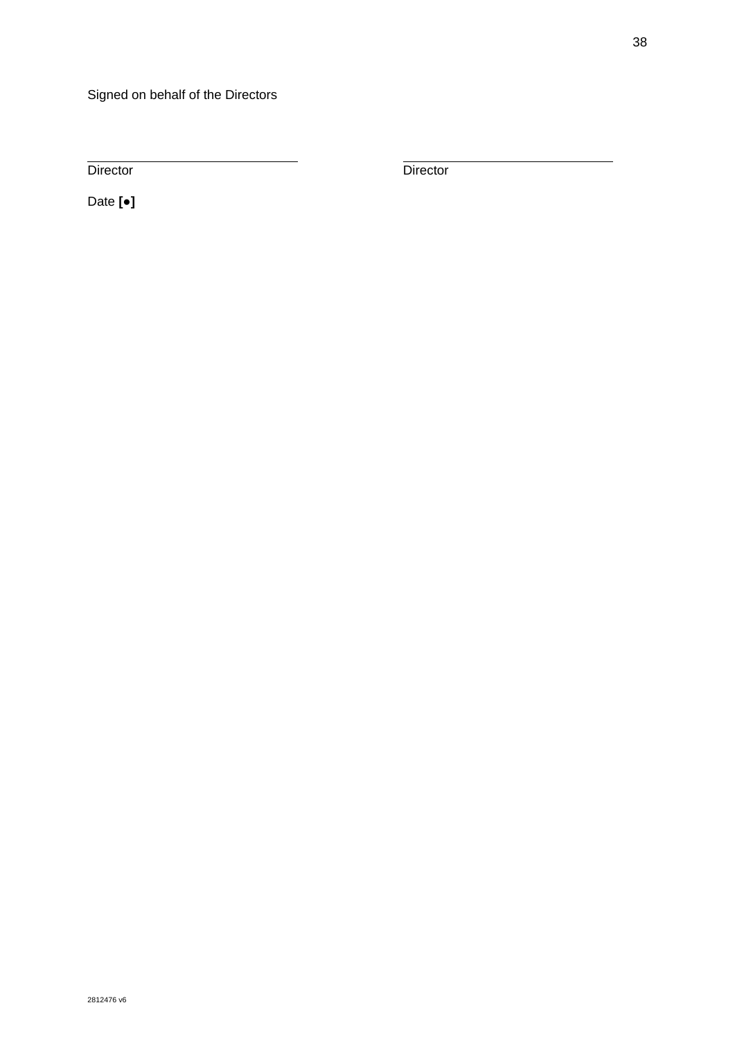Director Director Director

Date **[**●**]**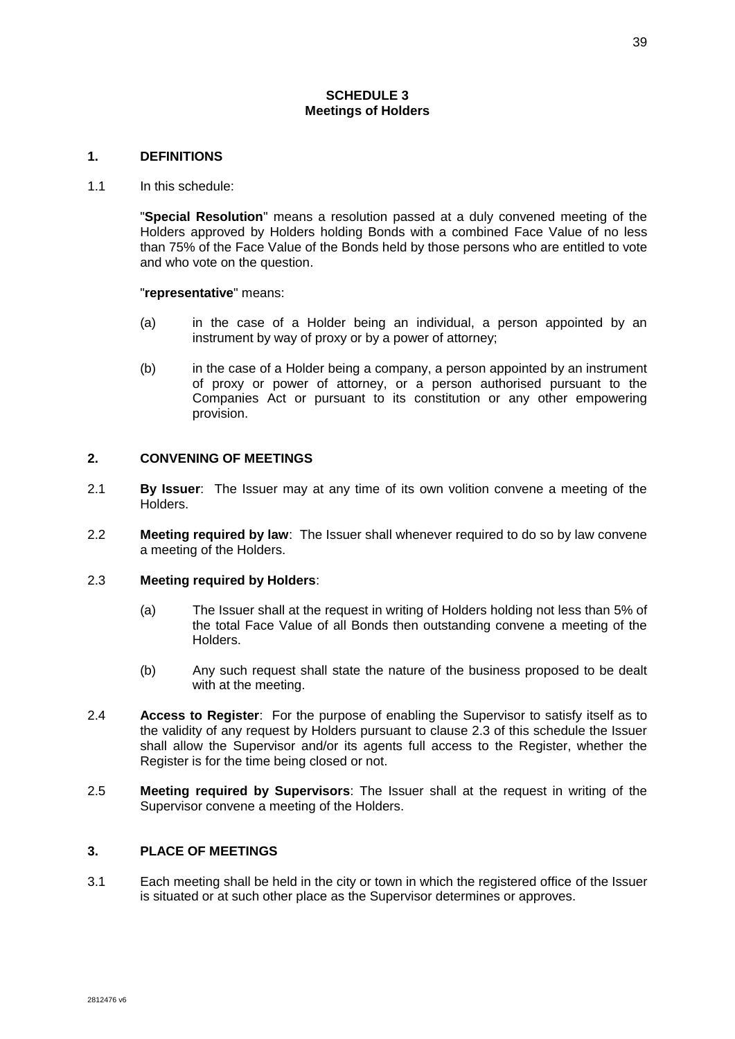## **SCHEDULE 3 Meetings of Holders**

#### **1. DEFINITIONS**

#### 1.1 In this schedule:

"**Special Resolution**" means a resolution passed at a duly convened meeting of the Holders approved by Holders holding Bonds with a combined Face Value of no less than 75% of the Face Value of the Bonds held by those persons who are entitled to vote and who vote on the question.

"**representative**" means:

- (a) in the case of a Holder being an individual, a person appointed by an instrument by way of proxy or by a power of attorney;
- (b) in the case of a Holder being a company, a person appointed by an instrument of proxy or power of attorney, or a person authorised pursuant to the Companies Act or pursuant to its constitution or any other empowering provision.

#### **2. CONVENING OF MEETINGS**

- 2.1 **By Issuer**: The Issuer may at any time of its own volition convene a meeting of the Holders.
- 2.2 **Meeting required by law**: The Issuer shall whenever required to do so by law convene a meeting of the Holders.

#### 2.3 **Meeting required by Holders**:

- (a) The Issuer shall at the request in writing of Holders holding not less than 5% of the total Face Value of all Bonds then outstanding convene a meeting of the Holders.
- (b) Any such request shall state the nature of the business proposed to be dealt with at the meeting.
- 2.4 **Access to Register**: For the purpose of enabling the Supervisor to satisfy itself as to the validity of any request by Holders pursuant to clause 2.3 of this schedule the Issuer shall allow the Supervisor and/or its agents full access to the Register, whether the Register is for the time being closed or not.
- 2.5 **Meeting required by Supervisors**: The Issuer shall at the request in writing of the Supervisor convene a meeting of the Holders.

# **3. PLACE OF MEETINGS**

3.1 Each meeting shall be held in the city or town in which the registered office of the Issuer is situated or at such other place as the Supervisor determines or approves.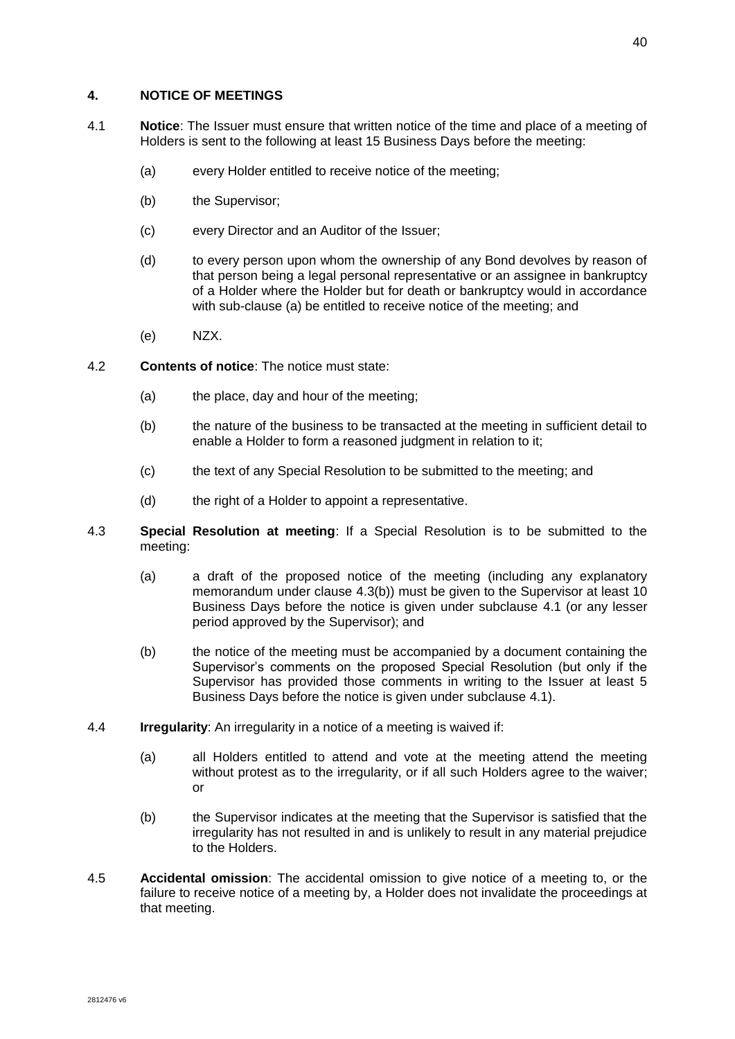#### **4. NOTICE OF MEETINGS**

- <span id="page-47-1"></span>4.1 **Notice**: The Issuer must ensure that written notice of the time and place of a meeting of Holders is sent to the following at least 15 Business Days before the meeting:
	- (a) every Holder entitled to receive notice of the meeting;
	- (b) the Supervisor;
	- (c) every Director and an Auditor of the Issuer;
	- (d) to every person upon whom the ownership of any Bond devolves by reason of that person being a legal personal representative or an assignee in bankruptcy of a Holder where the Holder but for death or bankruptcy would in accordance with sub-clause (a) be entitled to receive notice of the meeting; and
	- (e) NZX.
- <span id="page-47-2"></span>4.2 **Contents of notice**: The notice must state:
	- (a) the place, day and hour of the meeting;
	- (b) the nature of the business to be transacted at the meeting in sufficient detail to enable a Holder to form a reasoned judgment in relation to it;
	- (c) the text of any Special Resolution to be submitted to the meeting; and
	- (d) the right of a Holder to appoint a representative.
- <span id="page-47-0"></span>4.3 **Special Resolution at meeting**: If a Special Resolution is to be submitted to the meeting:
	- (a) a draft of the proposed notice of the meeting (including any explanatory memorandum under clause [4.3\(](#page-47-0)b)) must be given to the Supervisor at least 10 Business Days before the notice is given under subclause [4.1](#page-47-1) (or any lesser period approved by the Supervisor); and
	- (b) the notice of the meeting must be accompanied by a document containing the Supervisor's comments on the proposed Special Resolution (but only if the Supervisor has provided those comments in writing to the Issuer at least 5 Business Days before the notice is given under subclause [4.1\)](#page-47-1).
- 4.4 **Irregularity**: An irregularity in a notice of a meeting is waived if:
	- (a) all Holders entitled to attend and vote at the meeting attend the meeting without protest as to the irregularity, or if all such Holders agree to the waiver; or
	- (b) the Supervisor indicates at the meeting that the Supervisor is satisfied that the irregularity has not resulted in and is unlikely to result in any material prejudice to the Holders.
- 4.5 **Accidental omission**: The accidental omission to give notice of a meeting to, or the failure to receive notice of a meeting by, a Holder does not invalidate the proceedings at that meeting.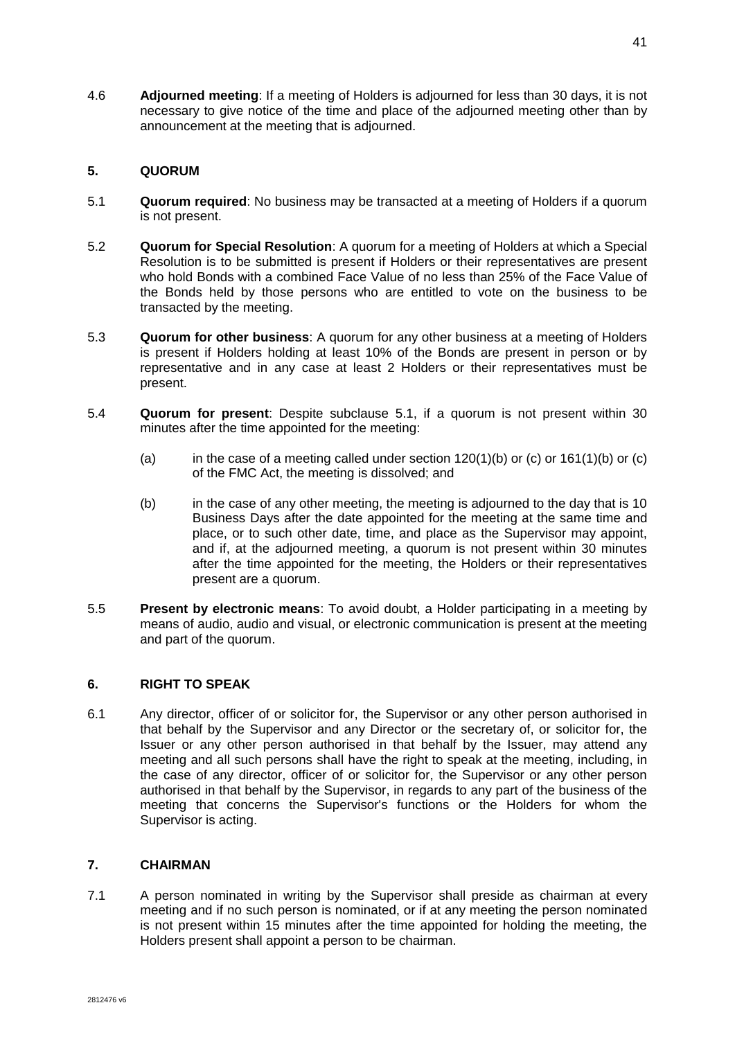4.6 **Adjourned meeting**: If a meeting of Holders is adjourned for less than 30 days, it is not necessary to give notice of the time and place of the adjourned meeting other than by announcement at the meeting that is adjourned.

# **5. QUORUM**

- <span id="page-48-0"></span>5.1 **Quorum required**: No business may be transacted at a meeting of Holders if a quorum is not present.
- 5.2 **Quorum for Special Resolution**: A quorum for a meeting of Holders at which a Special Resolution is to be submitted is present if Holders or their representatives are present who hold Bonds with a combined Face Value of no less than 25% of the Face Value of the Bonds held by those persons who are entitled to vote on the business to be transacted by the meeting.
- 5.3 **Quorum for other business**: A quorum for any other business at a meeting of Holders is present if Holders holding at least 10% of the Bonds are present in person or by representative and in any case at least 2 Holders or their representatives must be present.
- 5.4 **Quorum for present**: Despite subclause [5.1,](#page-48-0) if a quorum is not present within 30 minutes after the time appointed for the meeting:
	- (a) in the case of a meeting called under section  $120(1)(b)$  or (c) or  $161(1)(b)$  or (c) of the FMC Act, the meeting is dissolved; and
	- (b) in the case of any other meeting, the meeting is adjourned to the day that is 10 Business Days after the date appointed for the meeting at the same time and place, or to such other date, time, and place as the Supervisor may appoint, and if, at the adjourned meeting, a quorum is not present within 30 minutes after the time appointed for the meeting, the Holders or their representatives present are a quorum.
- 5.5 **Present by electronic means**: To avoid doubt, a Holder participating in a meeting by means of audio, audio and visual, or electronic communication is present at the meeting and part of the quorum.

# **6. RIGHT TO SPEAK**

6.1 Any director, officer of or solicitor for, the Supervisor or any other person authorised in that behalf by the Supervisor and any Director or the secretary of, or solicitor for, the Issuer or any other person authorised in that behalf by the Issuer, may attend any meeting and all such persons shall have the right to speak at the meeting, including, in the case of any director, officer of or solicitor for, the Supervisor or any other person authorised in that behalf by the Supervisor, in regards to any part of the business of the meeting that concerns the Supervisor's functions or the Holders for whom the Supervisor is acting.

# **7. CHAIRMAN**

7.1 A person nominated in writing by the Supervisor shall preside as chairman at every meeting and if no such person is nominated, or if at any meeting the person nominated is not present within 15 minutes after the time appointed for holding the meeting, the Holders present shall appoint a person to be chairman.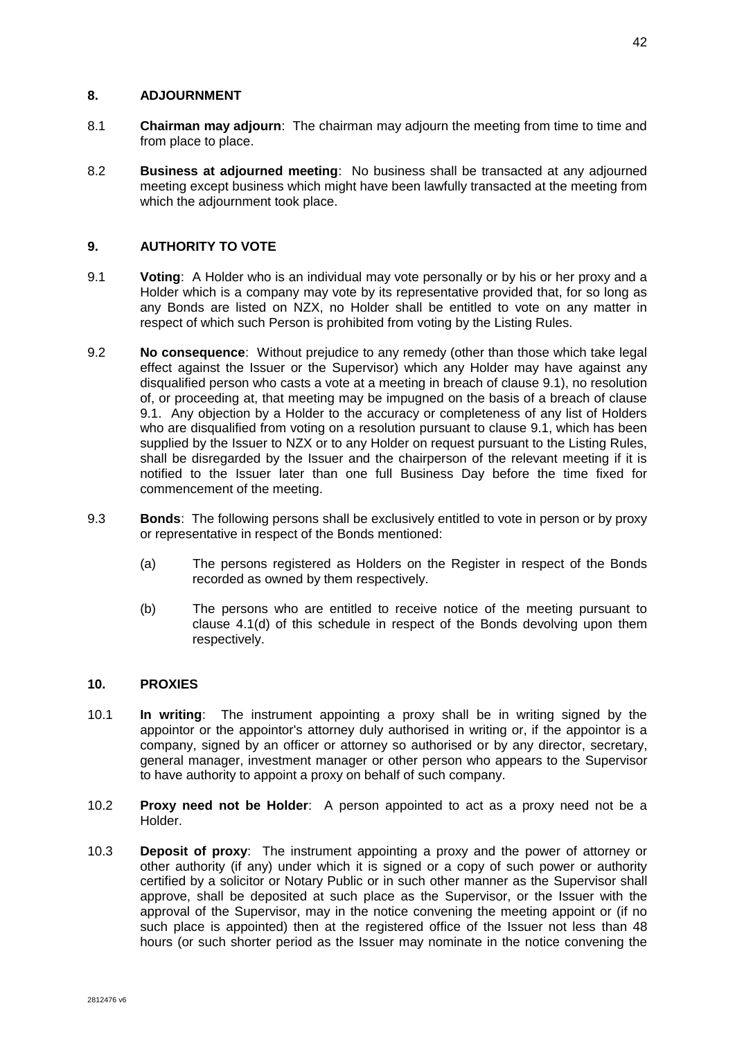## **8. ADJOURNMENT**

- 8.1 **Chairman may adjourn**: The chairman may adjourn the meeting from time to time and from place to place.
- 8.2 **Business at adjourned meeting**: No business shall be transacted at any adjourned meeting except business which might have been lawfully transacted at the meeting from which the adjournment took place.

# **9. AUTHORITY TO VOTE**

- 9.1 **Voting**: A Holder who is an individual may vote personally or by his or her proxy and a Holder which is a company may vote by its representative provided that, for so long as any Bonds are listed on NZX, no Holder shall be entitled to vote on any matter in respect of which such Person is prohibited from voting by the Listing Rules.
- 9.2 **No consequence**: Without prejudice to any remedy (other than those which take legal effect against the Issuer or the Supervisor) which any Holder may have against any disqualified person who casts a vote at a meeting in breach of clause 9.1), no resolution of, or proceeding at, that meeting may be impugned on the basis of a breach of clause 9.1. Any objection by a Holder to the accuracy or completeness of any list of Holders who are disqualified from voting on a resolution pursuant to clause 9.1, which has been supplied by the Issuer to NZX or to any Holder on request pursuant to the Listing Rules, shall be disregarded by the Issuer and the chairperson of the relevant meeting if it is notified to the Issuer later than one full Business Day before the time fixed for commencement of the meeting.
- 9.3 **Bonds**: The following persons shall be exclusively entitled to vote in person or by proxy or representative in respect of the Bonds mentioned:
	- (a) The persons registered as Holders on the Register in respect of the Bonds recorded as owned by them respectively.
	- (b) The persons who are entitled to receive notice of the meeting pursuant to clause [4.1\(d\)](#page-47-2) of this schedule in respect of the Bonds devolving upon them respectively.

# **10. PROXIES**

- 10.1 **In writing**: The instrument appointing a proxy shall be in writing signed by the appointor or the appointor's attorney duly authorised in writing or, if the appointor is a company, signed by an officer or attorney so authorised or by any director, secretary, general manager, investment manager or other person who appears to the Supervisor to have authority to appoint a proxy on behalf of such company.
- 10.2 **Proxy need not be Holder**: A person appointed to act as a proxy need not be a Holder.
- 10.3 **Deposit of proxy**: The instrument appointing a proxy and the power of attorney or other authority (if any) under which it is signed or a copy of such power or authority certified by a solicitor or Notary Public or in such other manner as the Supervisor shall approve, shall be deposited at such place as the Supervisor, or the Issuer with the approval of the Supervisor, may in the notice convening the meeting appoint or (if no such place is appointed) then at the registered office of the Issuer not less than 48 hours (or such shorter period as the Issuer may nominate in the notice convening the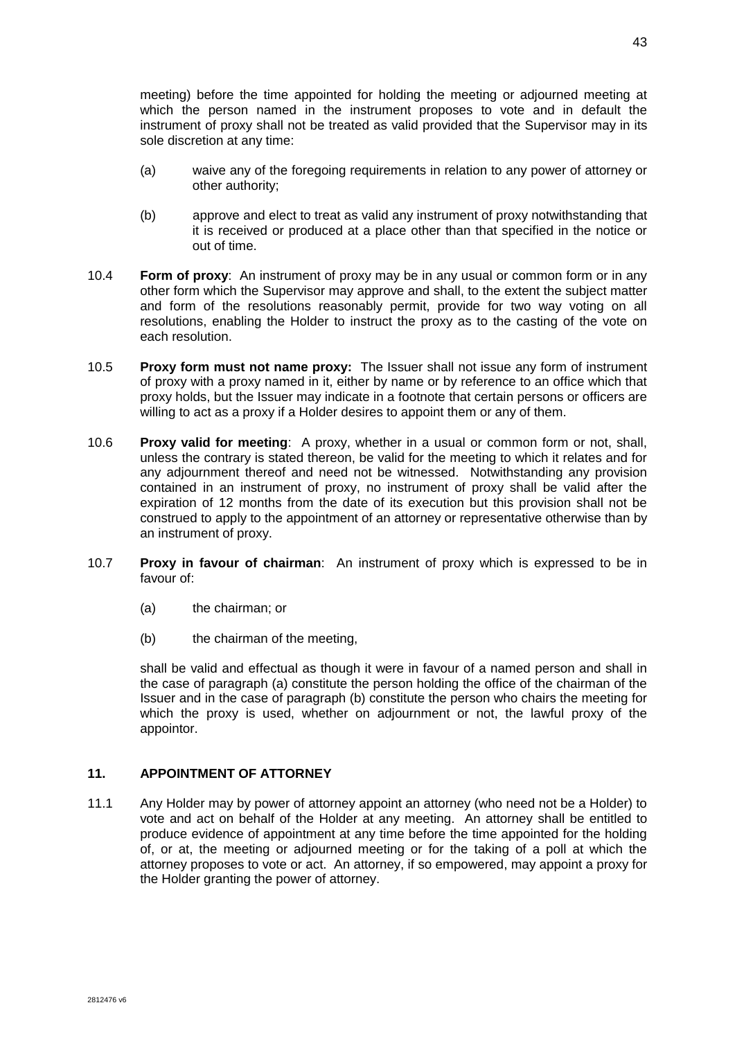meeting) before the time appointed for holding the meeting or adjourned meeting at which the person named in the instrument proposes to vote and in default the instrument of proxy shall not be treated as valid provided that the Supervisor may in its sole discretion at any time:

- (a) waive any of the foregoing requirements in relation to any power of attorney or other authority;
- (b) approve and elect to treat as valid any instrument of proxy notwithstanding that it is received or produced at a place other than that specified in the notice or out of time.
- 10.4 **Form of proxy**: An instrument of proxy may be in any usual or common form or in any other form which the Supervisor may approve and shall, to the extent the subject matter and form of the resolutions reasonably permit, provide for two way voting on all resolutions, enabling the Holder to instruct the proxy as to the casting of the vote on each resolution.
- 10.5 **Proxy form must not name proxy:** The Issuer shall not issue any form of instrument of proxy with a proxy named in it, either by name or by reference to an office which that proxy holds, but the Issuer may indicate in a footnote that certain persons or officers are willing to act as a proxy if a Holder desires to appoint them or any of them.
- 10.6 **Proxy valid for meeting**: A proxy, whether in a usual or common form or not, shall, unless the contrary is stated thereon, be valid for the meeting to which it relates and for any adjournment thereof and need not be witnessed. Notwithstanding any provision contained in an instrument of proxy, no instrument of proxy shall be valid after the expiration of 12 months from the date of its execution but this provision shall not be construed to apply to the appointment of an attorney or representative otherwise than by an instrument of proxy.
- 10.7 **Proxy in favour of chairman**: An instrument of proxy which is expressed to be in favour of:
	- (a) the chairman; or
	- (b) the chairman of the meeting,

shall be valid and effectual as though it were in favour of a named person and shall in the case of paragraph (a) constitute the person holding the office of the chairman of the Issuer and in the case of paragraph (b) constitute the person who chairs the meeting for which the proxy is used, whether on adjournment or not, the lawful proxy of the appointor.

# **11. APPOINTMENT OF ATTORNEY**

11.1 Any Holder may by power of attorney appoint an attorney (who need not be a Holder) to vote and act on behalf of the Holder at any meeting. An attorney shall be entitled to produce evidence of appointment at any time before the time appointed for the holding of, or at, the meeting or adjourned meeting or for the taking of a poll at which the attorney proposes to vote or act. An attorney, if so empowered, may appoint a proxy for the Holder granting the power of attorney.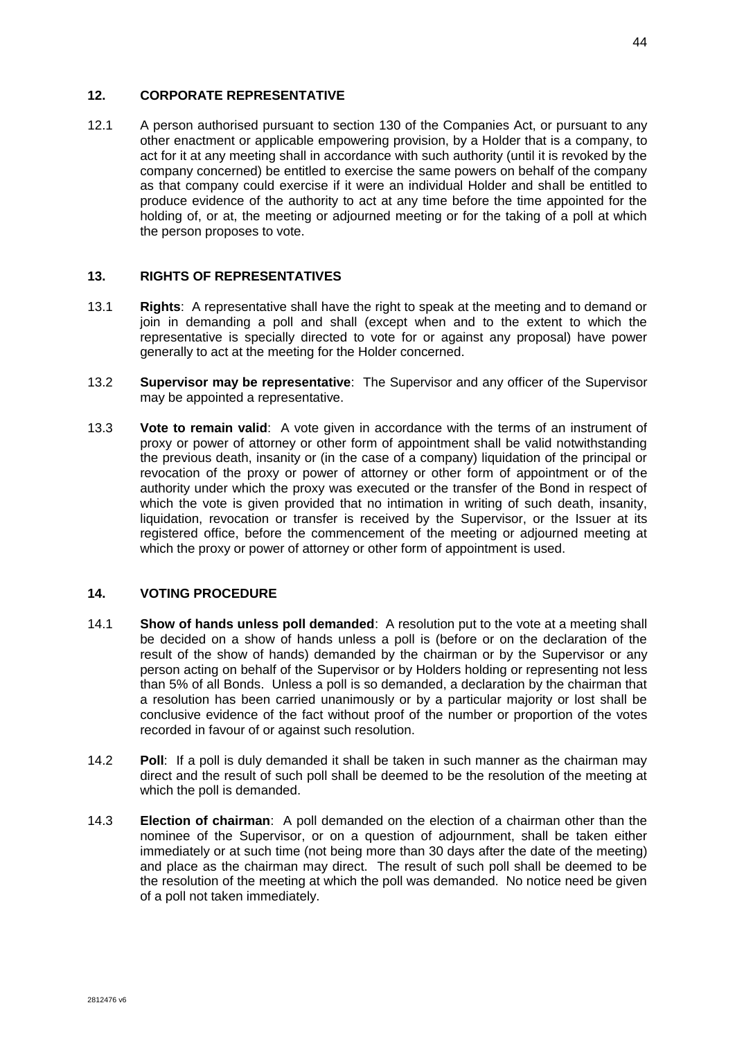### **12. CORPORATE REPRESENTATIVE**

12.1 A person authorised pursuant to section 130 of the Companies Act, or pursuant to any other enactment or applicable empowering provision, by a Holder that is a company, to act for it at any meeting shall in accordance with such authority (until it is revoked by the company concerned) be entitled to exercise the same powers on behalf of the company as that company could exercise if it were an individual Holder and shall be entitled to produce evidence of the authority to act at any time before the time appointed for the holding of, or at, the meeting or adjourned meeting or for the taking of a poll at which the person proposes to vote.

# **13. RIGHTS OF REPRESENTATIVES**

- 13.1 **Rights**: A representative shall have the right to speak at the meeting and to demand or join in demanding a poll and shall (except when and to the extent to which the representative is specially directed to vote for or against any proposal) have power generally to act at the meeting for the Holder concerned.
- 13.2 **Supervisor may be representative**: The Supervisor and any officer of the Supervisor may be appointed a representative.
- 13.3 **Vote to remain valid**: A vote given in accordance with the terms of an instrument of proxy or power of attorney or other form of appointment shall be valid notwithstanding the previous death, insanity or (in the case of a company) liquidation of the principal or revocation of the proxy or power of attorney or other form of appointment or of the authority under which the proxy was executed or the transfer of the Bond in respect of which the vote is given provided that no intimation in writing of such death, insanity, liquidation, revocation or transfer is received by the Supervisor, or the Issuer at its registered office, before the commencement of the meeting or adjourned meeting at which the proxy or power of attorney or other form of appointment is used.

#### **14. VOTING PROCEDURE**

- 14.1 **Show of hands unless poll demanded**: A resolution put to the vote at a meeting shall be decided on a show of hands unless a poll is (before or on the declaration of the result of the show of hands) demanded by the chairman or by the Supervisor or any person acting on behalf of the Supervisor or by Holders holding or representing not less than 5% of all Bonds. Unless a poll is so demanded, a declaration by the chairman that a resolution has been carried unanimously or by a particular majority or lost shall be conclusive evidence of the fact without proof of the number or proportion of the votes recorded in favour of or against such resolution.
- 14.2 **Poll**: If a poll is duly demanded it shall be taken in such manner as the chairman may direct and the result of such poll shall be deemed to be the resolution of the meeting at which the poll is demanded.
- 14.3 **Election of chairman**: A poll demanded on the election of a chairman other than the nominee of the Supervisor, or on a question of adjournment, shall be taken either immediately or at such time (not being more than 30 days after the date of the meeting) and place as the chairman may direct. The result of such poll shall be deemed to be the resolution of the meeting at which the poll was demanded. No notice need be given of a poll not taken immediately.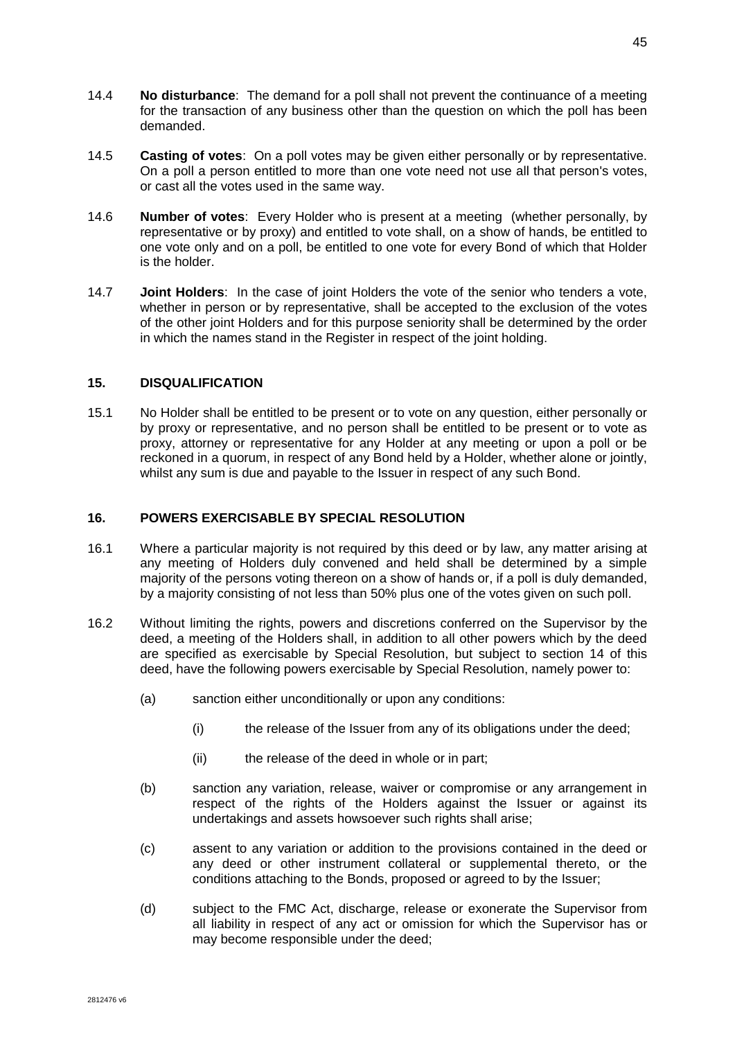- 14.4 **No disturbance**: The demand for a poll shall not prevent the continuance of a meeting for the transaction of any business other than the question on which the poll has been demanded.
- 14.5 **Casting of votes**: On a poll votes may be given either personally or by representative. On a poll a person entitled to more than one vote need not use all that person's votes, or cast all the votes used in the same way.
- 14.6 **Number of votes**: Every Holder who is present at a meeting (whether personally, by representative or by proxy) and entitled to vote shall, on a show of hands, be entitled to one vote only and on a poll, be entitled to one vote for every Bond of which that Holder is the holder.
- 14.7 **Joint Holders**: In the case of joint Holders the vote of the senior who tenders a vote, whether in person or by representative, shall be accepted to the exclusion of the votes of the other joint Holders and for this purpose seniority shall be determined by the order in which the names stand in the Register in respect of the joint holding.

### **15. DISQUALIFICATION**

15.1 No Holder shall be entitled to be present or to vote on any question, either personally or by proxy or representative, and no person shall be entitled to be present or to vote as proxy, attorney or representative for any Holder at any meeting or upon a poll or be reckoned in a quorum, in respect of any Bond held by a Holder, whether alone or jointly, whilst any sum is due and payable to the Issuer in respect of any such Bond.

# **16. POWERS EXERCISABLE BY SPECIAL RESOLUTION**

- 16.1 Where a particular majority is not required by this deed or by law, any matter arising at any meeting of Holders duly convened and held shall be determined by a simple majority of the persons voting thereon on a show of hands or, if a poll is duly demanded, by a majority consisting of not less than 50% plus one of the votes given on such poll.
- 16.2 Without limiting the rights, powers and discretions conferred on the Supervisor by the deed, a meeting of the Holders shall, in addition to all other powers which by the deed are specified as exercisable by Special Resolution, but subject to section 14 of this deed, have the following powers exercisable by Special Resolution, namely power to:
	- (a) sanction either unconditionally or upon any conditions:
		- (i) the release of the Issuer from any of its obligations under the deed;
		- (ii) the release of the deed in whole or in part;
	- (b) sanction any variation, release, waiver or compromise or any arrangement in respect of the rights of the Holders against the Issuer or against its undertakings and assets howsoever such rights shall arise;
	- (c) assent to any variation or addition to the provisions contained in the deed or any deed or other instrument collateral or supplemental thereto, or the conditions attaching to the Bonds, proposed or agreed to by the Issuer;
	- (d) subject to the FMC Act, discharge, release or exonerate the Supervisor from all liability in respect of any act or omission for which the Supervisor has or may become responsible under the deed;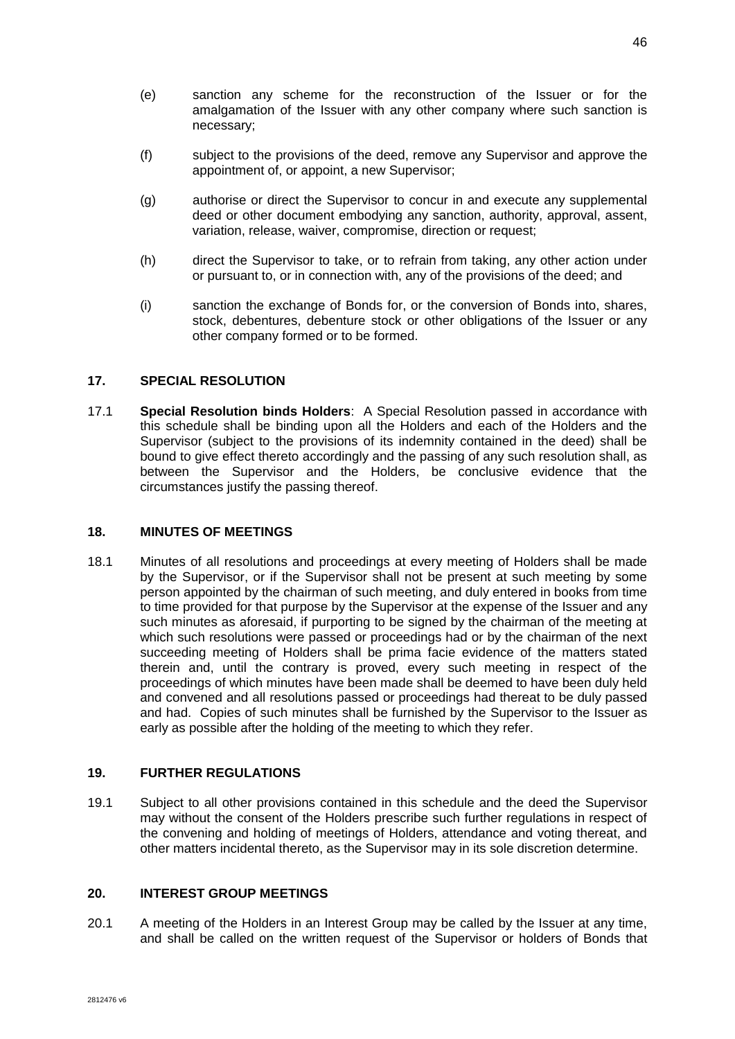- (e) sanction any scheme for the reconstruction of the Issuer or for the amalgamation of the Issuer with any other company where such sanction is necessary;
- (f) subject to the provisions of the deed, remove any Supervisor and approve the appointment of, or appoint, a new Supervisor;
- (g) authorise or direct the Supervisor to concur in and execute any supplemental deed or other document embodying any sanction, authority, approval, assent, variation, release, waiver, compromise, direction or request;
- (h) direct the Supervisor to take, or to refrain from taking, any other action under or pursuant to, or in connection with, any of the provisions of the deed; and
- (i) sanction the exchange of Bonds for, or the conversion of Bonds into, shares, stock, debentures, debenture stock or other obligations of the Issuer or any other company formed or to be formed.

# **17. SPECIAL RESOLUTION**

17.1 **Special Resolution binds Holders**: A Special Resolution passed in accordance with this schedule shall be binding upon all the Holders and each of the Holders and the Supervisor (subject to the provisions of its indemnity contained in the deed) shall be bound to give effect thereto accordingly and the passing of any such resolution shall, as between the Supervisor and the Holders, be conclusive evidence that the circumstances justify the passing thereof.

### **18. MINUTES OF MEETINGS**

18.1 Minutes of all resolutions and proceedings at every meeting of Holders shall be made by the Supervisor, or if the Supervisor shall not be present at such meeting by some person appointed by the chairman of such meeting, and duly entered in books from time to time provided for that purpose by the Supervisor at the expense of the Issuer and any such minutes as aforesaid, if purporting to be signed by the chairman of the meeting at which such resolutions were passed or proceedings had or by the chairman of the next succeeding meeting of Holders shall be prima facie evidence of the matters stated therein and, until the contrary is proved, every such meeting in respect of the proceedings of which minutes have been made shall be deemed to have been duly held and convened and all resolutions passed or proceedings had thereat to be duly passed and had. Copies of such minutes shall be furnished by the Supervisor to the Issuer as early as possible after the holding of the meeting to which they refer.

### **19. FURTHER REGULATIONS**

19.1 Subject to all other provisions contained in this schedule and the deed the Supervisor may without the consent of the Holders prescribe such further regulations in respect of the convening and holding of meetings of Holders, attendance and voting thereat, and other matters incidental thereto, as the Supervisor may in its sole discretion determine.

### **20. INTEREST GROUP MEETINGS**

20.1 A meeting of the Holders in an Interest Group may be called by the Issuer at any time, and shall be called on the written request of the Supervisor or holders of Bonds that